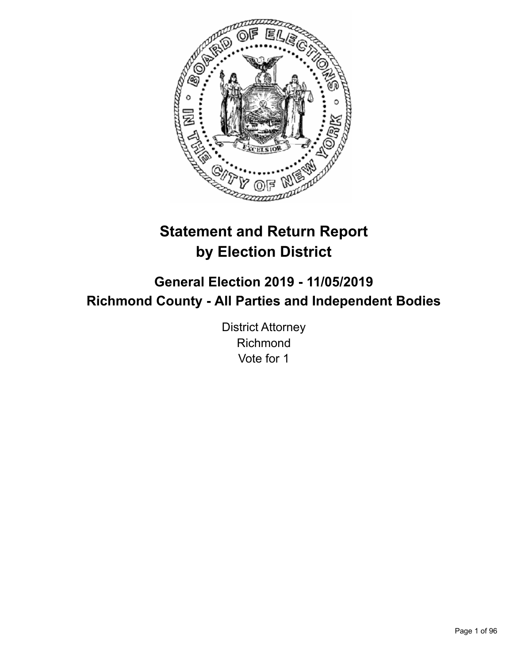

# **Statement and Return Report by Election District**

**General Election 2019 - 11/05/2019 Richmond County - All Parties and Independent Bodies**

> District Attorney Richmond Vote for 1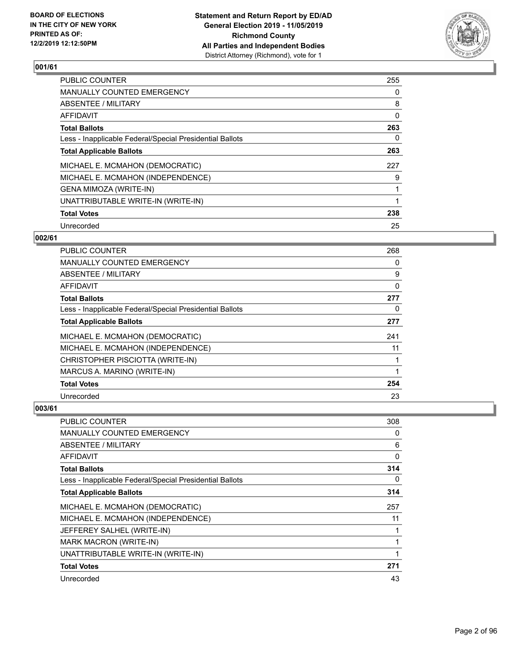

| <b>PUBLIC COUNTER</b>                                    | 255 |
|----------------------------------------------------------|-----|
| <b>MANUALLY COUNTED EMERGENCY</b>                        | 0   |
| ABSENTEE / MILITARY                                      | 8   |
| <b>AFFIDAVIT</b>                                         | 0   |
| <b>Total Ballots</b>                                     | 263 |
| Less - Inapplicable Federal/Special Presidential Ballots | 0   |
| <b>Total Applicable Ballots</b>                          | 263 |
| MICHAEL E. MCMAHON (DEMOCRATIC)                          | 227 |
| MICHAEL E. MCMAHON (INDEPENDENCE)                        | 9   |
| GENA MIMOZA (WRITE-IN)                                   |     |
| UNATTRIBUTABLE WRITE-IN (WRITE-IN)                       |     |
| <b>Total Votes</b>                                       | 238 |
| Unrecorded                                               | 25  |

### **002/61**

| <b>PUBLIC COUNTER</b>                                    | 268 |
|----------------------------------------------------------|-----|
| MANUALLY COUNTED EMERGENCY                               | 0   |
| ABSENTEE / MILITARY                                      | 9   |
| AFFIDAVIT                                                | 0   |
| <b>Total Ballots</b>                                     | 277 |
| Less - Inapplicable Federal/Special Presidential Ballots | 0   |
| <b>Total Applicable Ballots</b>                          | 277 |
| MICHAEL E. MCMAHON (DEMOCRATIC)                          | 241 |
| MICHAEL E. MCMAHON (INDEPENDENCE)                        | 11  |
| CHRISTOPHER PISCIOTTA (WRITE-IN)                         |     |
| MARCUS A. MARINO (WRITE-IN)                              |     |
| <b>Total Votes</b>                                       | 254 |
| Unrecorded                                               | 23  |

| PUBLIC COUNTER                                           | 308          |
|----------------------------------------------------------|--------------|
| MANUALLY COUNTED EMERGENCY                               | 0            |
| ABSENTEE / MILITARY                                      | 6            |
| AFFIDAVIT                                                | $\mathbf{0}$ |
| <b>Total Ballots</b>                                     | 314          |
| Less - Inapplicable Federal/Special Presidential Ballots | 0            |
| <b>Total Applicable Ballots</b>                          | 314          |
| MICHAEL E. MCMAHON (DEMOCRATIC)                          | 257          |
| MICHAEL E. MCMAHON (INDEPENDENCE)                        | 11           |
| JEFFEREY SALHEL (WRITE-IN)                               | 1            |
| <b>MARK MACRON (WRITE-IN)</b>                            | 1            |
| UNATTRIBUTABLE WRITE-IN (WRITE-IN)                       | 1            |
| <b>Total Votes</b>                                       | 271          |
| Unrecorded                                               | 43           |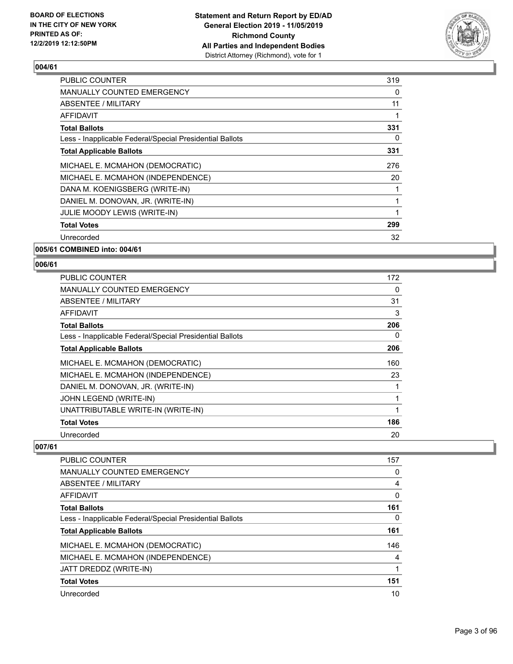

| <b>PUBLIC COUNTER</b>                                    | 319      |
|----------------------------------------------------------|----------|
| <b>MANUALLY COUNTED EMERGENCY</b>                        | 0        |
| ABSENTEE / MILITARY                                      | 11       |
| AFFIDAVIT                                                |          |
| <b>Total Ballots</b>                                     | 331      |
| Less - Inapplicable Federal/Special Presidential Ballots | $\Omega$ |
| <b>Total Applicable Ballots</b>                          | 331      |
| MICHAEL E. MCMAHON (DEMOCRATIC)                          | 276      |
| MICHAEL E. MCMAHON (INDEPENDENCE)                        | 20       |
| DANA M. KOENIGSBERG (WRITE-IN)                           |          |
| DANIEL M. DONOVAN, JR. (WRITE-IN)                        |          |
| JULIE MOODY LEWIS (WRITE-IN)                             |          |
| <b>Total Votes</b>                                       | 299      |
| Unrecorded                                               | 32       |
| 005/61 COMBINED into: 004/61                             |          |

#### **006/61**

| <b>PUBLIC COUNTER</b>                                    | 172 |
|----------------------------------------------------------|-----|
| <b>MANUALLY COUNTED EMERGENCY</b>                        | 0   |
| ABSENTEE / MILITARY                                      | 31  |
| AFFIDAVIT                                                | 3   |
| <b>Total Ballots</b>                                     | 206 |
| Less - Inapplicable Federal/Special Presidential Ballots | 0   |
| <b>Total Applicable Ballots</b>                          | 206 |
| MICHAEL E. MCMAHON (DEMOCRATIC)                          | 160 |
| MICHAEL E. MCMAHON (INDEPENDENCE)                        | 23  |
| DANIEL M. DONOVAN, JR. (WRITE-IN)                        |     |
| JOHN LEGEND (WRITE-IN)                                   | 1   |
| UNATTRIBUTABLE WRITE-IN (WRITE-IN)                       | 1   |
| <b>Total Votes</b>                                       | 186 |
| Unrecorded                                               | 20  |

| PUBLIC COUNTER                                           | 157 |
|----------------------------------------------------------|-----|
| <b>MANUALLY COUNTED EMERGENCY</b>                        | 0   |
| ABSENTEE / MILITARY                                      | 4   |
| AFFIDAVIT                                                | 0   |
| <b>Total Ballots</b>                                     | 161 |
| Less - Inapplicable Federal/Special Presidential Ballots | 0   |
| <b>Total Applicable Ballots</b>                          | 161 |
| MICHAEL E. MCMAHON (DEMOCRATIC)                          | 146 |
| MICHAEL E. MCMAHON (INDEPENDENCE)                        | 4   |
| JATT DREDDZ (WRITE-IN)                                   |     |
| <b>Total Votes</b>                                       | 151 |
| Unrecorded                                               | 10  |
|                                                          |     |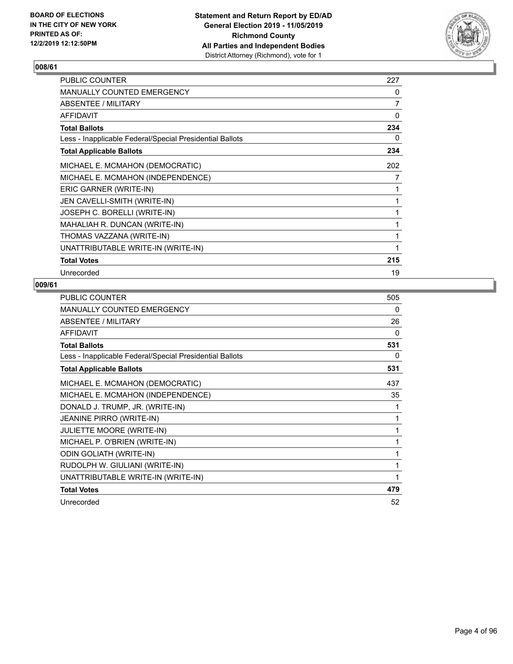

| <b>PUBLIC COUNTER</b>                                    | 227 |
|----------------------------------------------------------|-----|
| <b>MANUALLY COUNTED EMERGENCY</b>                        | 0   |
| ABSENTEE / MILITARY                                      | 7   |
| <b>AFFIDAVIT</b>                                         | 0   |
| <b>Total Ballots</b>                                     | 234 |
| Less - Inapplicable Federal/Special Presidential Ballots | 0   |
| <b>Total Applicable Ballots</b>                          | 234 |
| MICHAEL E. MCMAHON (DEMOCRATIC)                          | 202 |
| MICHAEL E. MCMAHON (INDEPENDENCE)                        | 7   |
| ERIC GARNER (WRITE-IN)                                   | 1   |
| JEN CAVELLI-SMITH (WRITE-IN)                             | 1   |
| JOSEPH C. BORELLI (WRITE-IN)                             | 1   |
| MAHALIAH R. DUNCAN (WRITE-IN)                            | 1   |
| THOMAS VAZZANA (WRITE-IN)                                | 1   |
| UNATTRIBUTABLE WRITE-IN (WRITE-IN)                       | 1   |
| <b>Total Votes</b>                                       | 215 |
| Unrecorded                                               | 19  |

| <b>PUBLIC COUNTER</b>                                    | 505 |
|----------------------------------------------------------|-----|
| MANUALLY COUNTED EMERGENCY                               | 0   |
| ABSENTEE / MILITARY                                      | 26  |
| <b>AFFIDAVIT</b>                                         | 0   |
| <b>Total Ballots</b>                                     | 531 |
| Less - Inapplicable Federal/Special Presidential Ballots | 0   |
| <b>Total Applicable Ballots</b>                          | 531 |
| MICHAEL E. MCMAHON (DEMOCRATIC)                          | 437 |
| MICHAEL E. MCMAHON (INDEPENDENCE)                        | 35  |
| DONALD J. TRUMP, JR. (WRITE-IN)                          | 1   |
| <b>JEANINE PIRRO (WRITE-IN)</b>                          | 1   |
| JULIETTE MOORE (WRITE-IN)                                | 1   |
| MICHAEL P. O'BRIEN (WRITE-IN)                            | 1   |
| <b>ODIN GOLIATH (WRITE-IN)</b>                           | 1   |
| RUDOLPH W. GIULIANI (WRITE-IN)                           | 1   |
| UNATTRIBUTABLE WRITE-IN (WRITE-IN)                       | 1   |
| <b>Total Votes</b>                                       | 479 |
| Unrecorded                                               | 52  |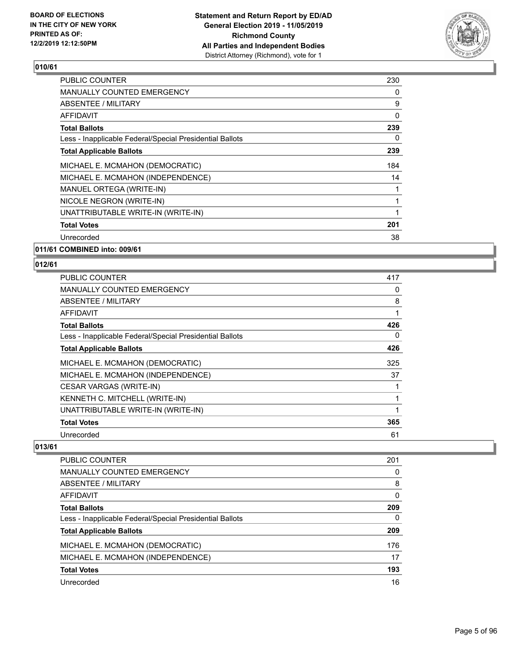

| <b>PUBLIC COUNTER</b>                                    | 230 |
|----------------------------------------------------------|-----|
| <b>MANUALLY COUNTED EMERGENCY</b>                        | 0   |
| ABSENTEE / MILITARY                                      | 9   |
| AFFIDAVIT                                                | 0   |
| <b>Total Ballots</b>                                     | 239 |
| Less - Inapplicable Federal/Special Presidential Ballots | 0   |
| <b>Total Applicable Ballots</b>                          | 239 |
| MICHAEL E. MCMAHON (DEMOCRATIC)                          | 184 |
| MICHAEL E. MCMAHON (INDEPENDENCE)                        | 14  |
| MANUEL ORTEGA (WRITE-IN)                                 |     |
| NICOLE NEGRON (WRITE-IN)                                 |     |
| UNATTRIBUTABLE WRITE-IN (WRITE-IN)                       | 1   |
| <b>Total Votes</b>                                       | 201 |
| Unrecorded                                               | 38  |
|                                                          |     |

**011/61 COMBINED into: 009/61**

#### **012/61**

| <b>PUBLIC COUNTER</b>                                    | 417 |
|----------------------------------------------------------|-----|
| <b>MANUALLY COUNTED EMERGENCY</b>                        | 0   |
| ABSENTEE / MILITARY                                      | 8   |
| AFFIDAVIT                                                |     |
| <b>Total Ballots</b>                                     | 426 |
| Less - Inapplicable Federal/Special Presidential Ballots | 0   |
| <b>Total Applicable Ballots</b>                          | 426 |
| MICHAEL E. MCMAHON (DEMOCRATIC)                          | 325 |
| MICHAEL E. MCMAHON (INDEPENDENCE)                        | 37  |
| CESAR VARGAS (WRITE-IN)                                  |     |
| KENNETH C. MITCHELL (WRITE-IN)                           |     |
| UNATTRIBUTABLE WRITE-IN (WRITE-IN)                       |     |
| <b>Total Votes</b>                                       | 365 |
| Unrecorded                                               | 61  |

| <b>PUBLIC COUNTER</b>                                    | 201 |
|----------------------------------------------------------|-----|
| MANUALLY COUNTED EMERGENCY                               | 0   |
| ABSENTEE / MILITARY                                      | 8   |
| AFFIDAVIT                                                | 0   |
| <b>Total Ballots</b>                                     | 209 |
| Less - Inapplicable Federal/Special Presidential Ballots | 0   |
| <b>Total Applicable Ballots</b>                          | 209 |
| MICHAEL E. MCMAHON (DEMOCRATIC)                          | 176 |
| MICHAEL E. MCMAHON (INDEPENDENCE)                        | 17  |
| <b>Total Votes</b>                                       | 193 |
| Unrecorded                                               | 16  |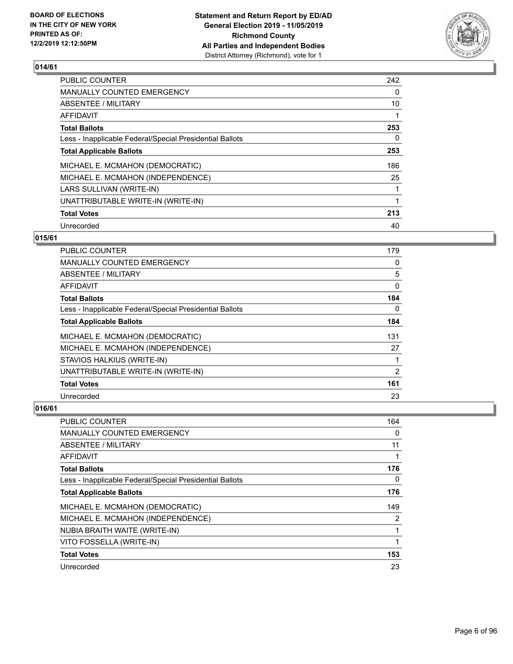

| <b>PUBLIC COUNTER</b>                                    | 242 |
|----------------------------------------------------------|-----|
| <b>MANUALLY COUNTED EMERGENCY</b>                        | 0   |
| ABSENTEE / MILITARY                                      | 10  |
| AFFIDAVIT                                                |     |
| <b>Total Ballots</b>                                     | 253 |
| Less - Inapplicable Federal/Special Presidential Ballots | 0   |
| <b>Total Applicable Ballots</b>                          | 253 |
| MICHAEL E. MCMAHON (DEMOCRATIC)                          | 186 |
| MICHAEL E. MCMAHON (INDEPENDENCE)                        | 25  |
| LARS SULLIVAN (WRITE-IN)                                 |     |
| UNATTRIBUTABLE WRITE-IN (WRITE-IN)                       |     |
| <b>Total Votes</b>                                       | 213 |
| Unrecorded                                               | 40  |

### **015/61**

| <b>PUBLIC COUNTER</b>                                    | 179      |
|----------------------------------------------------------|----------|
| <b>MANUALLY COUNTED EMERGENCY</b>                        | $\Omega$ |
| ABSENTEE / MILITARY                                      | 5        |
| AFFIDAVIT                                                | 0        |
| <b>Total Ballots</b>                                     | 184      |
| Less - Inapplicable Federal/Special Presidential Ballots | $\Omega$ |
| <b>Total Applicable Ballots</b>                          | 184      |
| MICHAEL E. MCMAHON (DEMOCRATIC)                          | 131      |
| MICHAEL E. MCMAHON (INDEPENDENCE)                        | 27       |
| STAVIOS HALKIUS (WRITE-IN)                               |          |
| UNATTRIBUTABLE WRITE-IN (WRITE-IN)                       | 2        |
| <b>Total Votes</b>                                       | 161      |
| Unrecorded                                               | 23       |

| PUBLIC COUNTER                                           | 164            |
|----------------------------------------------------------|----------------|
| <b>MANUALLY COUNTED EMERGENCY</b>                        | 0              |
| ABSENTEE / MILITARY                                      | 11             |
| AFFIDAVIT                                                |                |
| <b>Total Ballots</b>                                     | 176            |
| Less - Inapplicable Federal/Special Presidential Ballots | 0              |
| <b>Total Applicable Ballots</b>                          | 176            |
| MICHAEL E. MCMAHON (DEMOCRATIC)                          | 149            |
| MICHAEL E. MCMAHON (INDEPENDENCE)                        | $\overline{2}$ |
| NUBIA BRAITH WAITE (WRITE-IN)                            | 1              |
| VITO FOSSELLA (WRITE-IN)                                 | 1              |
| <b>Total Votes</b>                                       | 153            |
| Unrecorded                                               | 23             |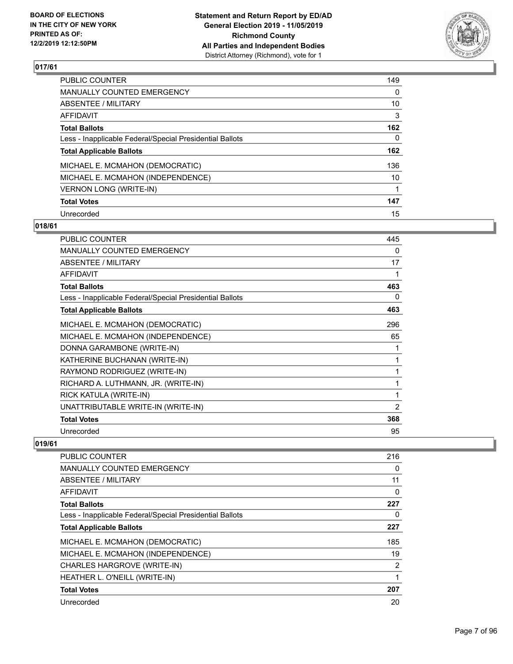

| PUBLIC COUNTER                                           | 149 |
|----------------------------------------------------------|-----|
| <b>MANUALLY COUNTED EMERGENCY</b>                        | 0   |
| ABSENTEE / MILITARY                                      | 10  |
| AFFIDAVIT                                                | 3   |
| <b>Total Ballots</b>                                     | 162 |
| Less - Inapplicable Federal/Special Presidential Ballots | 0   |
| <b>Total Applicable Ballots</b>                          | 162 |
| MICHAEL E. MCMAHON (DEMOCRATIC)                          | 136 |
| MICHAEL E. MCMAHON (INDEPENDENCE)                        | 10  |
| <b>VERNON LONG (WRITE-IN)</b>                            |     |
| <b>Total Votes</b>                                       | 147 |
| Unrecorded                                               | 15  |

#### **018/61**

| <b>PUBLIC COUNTER</b>                                    | 445 |
|----------------------------------------------------------|-----|
| MANUALLY COUNTED EMERGENCY                               | 0   |
| ABSENTEE / MILITARY                                      | 17  |
| <b>AFFIDAVIT</b>                                         | 1   |
| <b>Total Ballots</b>                                     | 463 |
| Less - Inapplicable Federal/Special Presidential Ballots | 0   |
| <b>Total Applicable Ballots</b>                          | 463 |
| MICHAEL E. MCMAHON (DEMOCRATIC)                          | 296 |
| MICHAEL E. MCMAHON (INDEPENDENCE)                        | 65  |
| DONNA GARAMBONE (WRITE-IN)                               | 1   |
| KATHERINE BUCHANAN (WRITE-IN)                            | 1   |
| RAYMOND RODRIGUEZ (WRITE-IN)                             | 1   |
| RICHARD A. LUTHMANN, JR. (WRITE-IN)                      | 1   |
| RICK KATULA (WRITE-IN)                                   | 1   |
| UNATTRIBUTABLE WRITE-IN (WRITE-IN)                       | 2   |
| <b>Total Votes</b>                                       | 368 |
| Unrecorded                                               | 95  |

| <b>PUBLIC COUNTER</b>                                    | 216 |
|----------------------------------------------------------|-----|
| <b>MANUALLY COUNTED EMERGENCY</b>                        | 0   |
| ABSENTEE / MILITARY                                      | 11  |
| <b>AFFIDAVIT</b>                                         | 0   |
| <b>Total Ballots</b>                                     | 227 |
| Less - Inapplicable Federal/Special Presidential Ballots | 0   |
| <b>Total Applicable Ballots</b>                          | 227 |
| MICHAEL E. MCMAHON (DEMOCRATIC)                          | 185 |
| MICHAEL E. MCMAHON (INDEPENDENCE)                        | 19  |
| CHARLES HARGROVE (WRITE-IN)                              | 2   |
| HEATHER L. O'NEILL (WRITE-IN)                            |     |
| <b>Total Votes</b>                                       | 207 |
| Unrecorded                                               | 20  |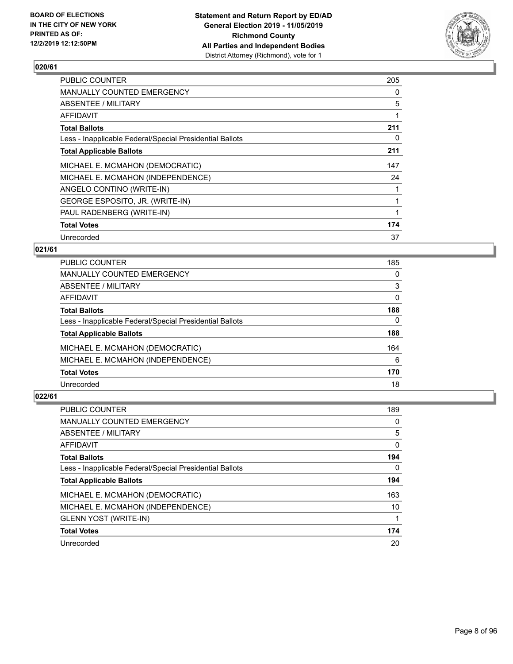

| <b>PUBLIC COUNTER</b>                                    | 205 |
|----------------------------------------------------------|-----|
| MANUALLY COUNTED EMERGENCY                               | 0   |
| ABSENTEE / MILITARY                                      | 5   |
| AFFIDAVIT                                                |     |
| <b>Total Ballots</b>                                     | 211 |
| Less - Inapplicable Federal/Special Presidential Ballots | 0   |
| <b>Total Applicable Ballots</b>                          | 211 |
| MICHAEL E. MCMAHON (DEMOCRATIC)                          | 147 |
| MICHAEL E. MCMAHON (INDEPENDENCE)                        | 24  |
| ANGELO CONTINO (WRITE-IN)                                |     |
| GEORGE ESPOSITO, JR. (WRITE-IN)                          |     |
| PAUL RADENBERG (WRITE-IN)                                |     |
| <b>Total Votes</b>                                       | 174 |
| Unrecorded                                               | 37  |

### **021/61**

| <b>PUBLIC COUNTER</b>                                    | 185      |
|----------------------------------------------------------|----------|
| MANUALLY COUNTED EMERGENCY                               | $\Omega$ |
| ABSENTEE / MILITARY                                      | 3        |
| AFFIDAVIT                                                | $\Omega$ |
| <b>Total Ballots</b>                                     | 188      |
| Less - Inapplicable Federal/Special Presidential Ballots | 0        |
| <b>Total Applicable Ballots</b>                          | 188      |
| MICHAEL E. MCMAHON (DEMOCRATIC)                          | 164      |
| MICHAEL E. MCMAHON (INDEPENDENCE)                        | 6        |
| <b>Total Votes</b>                                       | 170      |
| Unrecorded                                               | 18       |

| PUBLIC COUNTER                                           | 189 |
|----------------------------------------------------------|-----|
| <b>MANUALLY COUNTED EMERGENCY</b>                        | 0   |
| ABSENTEE / MILITARY                                      | 5   |
| AFFIDAVIT                                                | 0   |
| <b>Total Ballots</b>                                     | 194 |
| Less - Inapplicable Federal/Special Presidential Ballots | 0   |
| <b>Total Applicable Ballots</b>                          | 194 |
| MICHAEL E. MCMAHON (DEMOCRATIC)                          | 163 |
| MICHAEL E. MCMAHON (INDEPENDENCE)                        | 10  |
| <b>GLENN YOST (WRITE-IN)</b>                             |     |
| <b>Total Votes</b>                                       | 174 |
| Unrecorded                                               | 20  |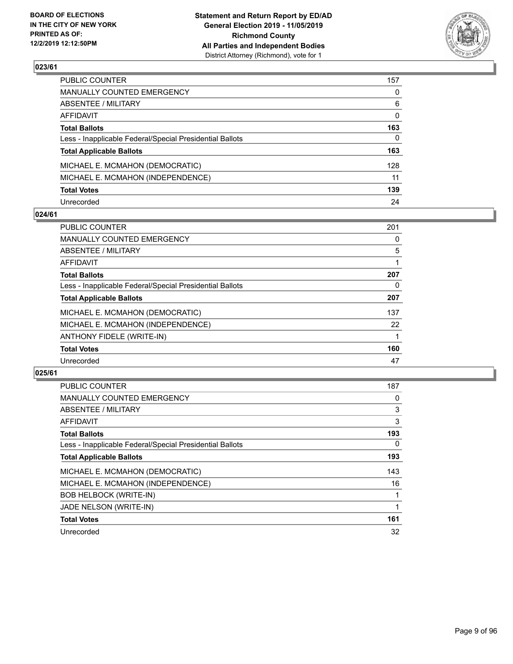

| PUBLIC COUNTER                                           | 157 |
|----------------------------------------------------------|-----|
| MANUALLY COUNTED EMERGENCY                               | 0   |
| ABSENTEE / MILITARY                                      | 6   |
| AFFIDAVIT                                                | 0   |
| <b>Total Ballots</b>                                     | 163 |
| Less - Inapplicable Federal/Special Presidential Ballots | 0   |
| <b>Total Applicable Ballots</b>                          | 163 |
| MICHAEL E. MCMAHON (DEMOCRATIC)                          | 128 |
| MICHAEL E. MCMAHON (INDEPENDENCE)                        | 11  |
| <b>Total Votes</b>                                       | 139 |
| Unrecorded                                               | 24  |

#### **024/61**

| <b>PUBLIC COUNTER</b>                                    | 201 |
|----------------------------------------------------------|-----|
| <b>MANUALLY COUNTED EMERGENCY</b>                        | 0   |
| ABSENTEE / MILITARY                                      | 5   |
| <b>AFFIDAVIT</b>                                         |     |
| <b>Total Ballots</b>                                     | 207 |
| Less - Inapplicable Federal/Special Presidential Ballots | 0   |
| <b>Total Applicable Ballots</b>                          | 207 |
| MICHAEL E. MCMAHON (DEMOCRATIC)                          | 137 |
| MICHAEL E. MCMAHON (INDEPENDENCE)                        | 22  |
| ANTHONY FIDELE (WRITE-IN)                                |     |
| <b>Total Votes</b>                                       | 160 |
| Unrecorded                                               | 47  |

| <b>PUBLIC COUNTER</b>                                    | 187 |
|----------------------------------------------------------|-----|
| <b>MANUALLY COUNTED EMERGENCY</b>                        | 0   |
| ABSENTEE / MILITARY                                      | 3   |
| AFFIDAVIT                                                | 3   |
| <b>Total Ballots</b>                                     | 193 |
| Less - Inapplicable Federal/Special Presidential Ballots | 0   |
| <b>Total Applicable Ballots</b>                          | 193 |
| MICHAEL E. MCMAHON (DEMOCRATIC)                          | 143 |
| MICHAEL E. MCMAHON (INDEPENDENCE)                        | 16  |
| <b>BOB HELBOCK (WRITE-IN)</b>                            |     |
| JADE NELSON (WRITE-IN)                                   |     |
| <b>Total Votes</b>                                       | 161 |
| Unrecorded                                               | 32  |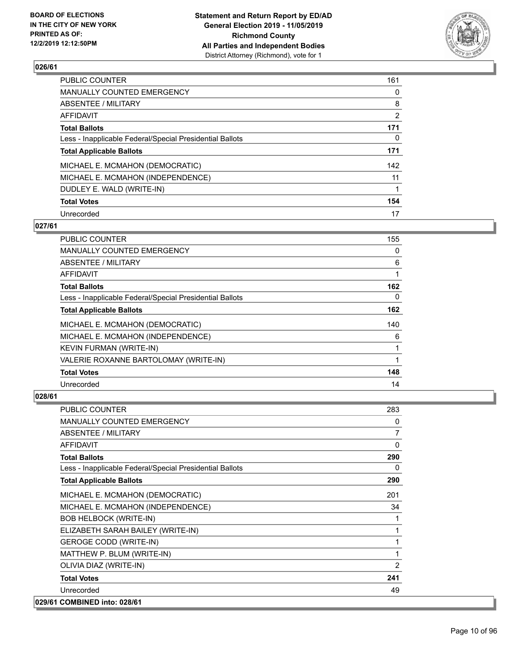

| <b>PUBLIC COUNTER</b>                                    | 161            |
|----------------------------------------------------------|----------------|
| <b>MANUALLY COUNTED EMERGENCY</b>                        | 0              |
| <b>ABSENTEE / MILITARY</b>                               | 8              |
| <b>AFFIDAVIT</b>                                         | $\overline{2}$ |
| <b>Total Ballots</b>                                     | 171            |
| Less - Inapplicable Federal/Special Presidential Ballots | 0              |
| <b>Total Applicable Ballots</b>                          | 171            |
| MICHAEL E. MCMAHON (DEMOCRATIC)                          | 142            |
| MICHAEL E. MCMAHON (INDEPENDENCE)                        | 11             |
| DUDLEY E. WALD (WRITE-IN)                                |                |
| <b>Total Votes</b>                                       | 154            |
| Unrecorded                                               | 17             |

#### **027/61**

| <b>PUBLIC COUNTER</b>                                    | 155 |
|----------------------------------------------------------|-----|
| <b>MANUALLY COUNTED EMERGENCY</b>                        | 0   |
| ABSENTEE / MILITARY                                      | 6   |
| AFFIDAVIT                                                |     |
| <b>Total Ballots</b>                                     | 162 |
| Less - Inapplicable Federal/Special Presidential Ballots | 0   |
| <b>Total Applicable Ballots</b>                          | 162 |
| MICHAEL E. MCMAHON (DEMOCRATIC)                          | 140 |
| MICHAEL E. MCMAHON (INDEPENDENCE)                        | 6   |
| KEVIN FURMAN (WRITE-IN)                                  |     |
| VALERIE ROXANNE BARTOLOMAY (WRITE-IN)                    |     |
| <b>Total Votes</b>                                       | 148 |
| Unrecorded                                               | 14  |

| <b>PUBLIC COUNTER</b>                                    | 283            |
|----------------------------------------------------------|----------------|
| MANUALLY COUNTED EMERGENCY                               | $\Omega$       |
| <b>ABSENTEE / MILITARY</b>                               | $\overline{7}$ |
| <b>AFFIDAVIT</b>                                         | 0              |
| <b>Total Ballots</b>                                     | 290            |
| Less - Inapplicable Federal/Special Presidential Ballots | 0              |
| <b>Total Applicable Ballots</b>                          | 290            |
| MICHAEL E. MCMAHON (DEMOCRATIC)                          | 201            |
| MICHAEL E. MCMAHON (INDEPENDENCE)                        | 34             |
| <b>BOB HELBOCK (WRITE-IN)</b>                            | $\mathbf{1}$   |
| ELIZABETH SARAH BAILEY (WRITE-IN)                        | 1              |
| <b>GEROGE CODD (WRITE-IN)</b>                            | 1              |
| MATTHEW P. BLUM (WRITE-IN)                               | 1              |
| OLIVIA DIAZ (WRITE-IN)                                   | 2              |
| <b>Total Votes</b>                                       | 241            |
| Unrecorded                                               | 49             |
| 029/61 COMBINED into: 028/61                             |                |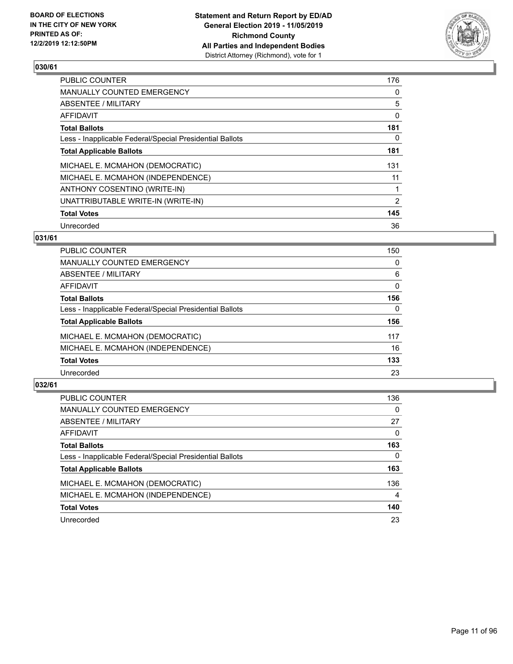

| <b>PUBLIC COUNTER</b>                                    | 176            |
|----------------------------------------------------------|----------------|
| MANUALLY COUNTED EMERGENCY                               | 0              |
| ABSENTEE / MILITARY                                      | 5              |
| AFFIDAVIT                                                | 0              |
| <b>Total Ballots</b>                                     | 181            |
| Less - Inapplicable Federal/Special Presidential Ballots | 0              |
| <b>Total Applicable Ballots</b>                          | 181            |
| MICHAEL E. MCMAHON (DEMOCRATIC)                          | 131            |
| MICHAEL E. MCMAHON (INDEPENDENCE)                        | 11             |
| ANTHONY COSENTINO (WRITE-IN)                             |                |
| UNATTRIBUTABLE WRITE-IN (WRITE-IN)                       | $\overline{2}$ |
| <b>Total Votes</b>                                       | 145            |
| Unrecorded                                               | 36             |

#### **031/61**

| 150      |
|----------|
| 0        |
| 6        |
| $\Omega$ |
| 156      |
| $\Omega$ |
| 156      |
| 117      |
| 16       |
| 133      |
| 23       |
|          |

| <b>PUBLIC COUNTER</b>                                    | 136      |
|----------------------------------------------------------|----------|
| <b>MANUALLY COUNTED EMERGENCY</b>                        | $\Omega$ |
| ABSENTEE / MILITARY                                      | 27       |
| AFFIDAVIT                                                | 0        |
| <b>Total Ballots</b>                                     | 163      |
| Less - Inapplicable Federal/Special Presidential Ballots | 0        |
| <b>Total Applicable Ballots</b>                          | 163      |
| MICHAEL E. MCMAHON (DEMOCRATIC)                          | 136      |
| MICHAEL E. MCMAHON (INDEPENDENCE)                        | 4        |
| <b>Total Votes</b>                                       | 140      |
| Unrecorded                                               | 23       |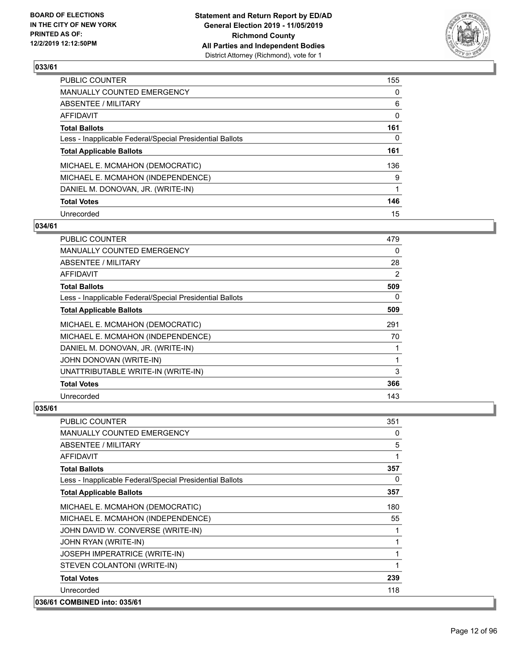

| <b>PUBLIC COUNTER</b>                                    | 155 |
|----------------------------------------------------------|-----|
| <b>MANUALLY COUNTED EMERGENCY</b>                        | 0   |
| ABSENTEE / MILITARY                                      | 6   |
| AFFIDAVIT                                                | 0   |
| <b>Total Ballots</b>                                     | 161 |
| Less - Inapplicable Federal/Special Presidential Ballots | 0   |
| <b>Total Applicable Ballots</b>                          | 161 |
| MICHAEL E. MCMAHON (DEMOCRATIC)                          | 136 |
| MICHAEL E. MCMAHON (INDEPENDENCE)                        | 9   |
| DANIEL M. DONOVAN, JR. (WRITE-IN)                        |     |
| <b>Total Votes</b>                                       | 146 |
| Unrecorded                                               | 15  |

#### **034/61**

| <b>PUBLIC COUNTER</b>                                    | 479 |
|----------------------------------------------------------|-----|
| <b>MANUALLY COUNTED EMERGENCY</b>                        | 0   |
| ABSENTEE / MILITARY                                      | 28  |
| AFFIDAVIT                                                | 2   |
| <b>Total Ballots</b>                                     | 509 |
| Less - Inapplicable Federal/Special Presidential Ballots | 0   |
| <b>Total Applicable Ballots</b>                          | 509 |
| MICHAEL E. MCMAHON (DEMOCRATIC)                          | 291 |
| MICHAEL E. MCMAHON (INDEPENDENCE)                        | 70  |
| DANIEL M. DONOVAN, JR. (WRITE-IN)                        | 1   |
| JOHN DONOVAN (WRITE-IN)                                  | 1   |
| UNATTRIBUTABLE WRITE-IN (WRITE-IN)                       | 3   |
| <b>Total Votes</b>                                       | 366 |
| Unrecorded                                               | 143 |

| <b>PUBLIC COUNTER</b>                                    | 351 |
|----------------------------------------------------------|-----|
| <b>MANUALLY COUNTED EMERGENCY</b>                        | 0   |
| ABSENTEE / MILITARY                                      | 5   |
| <b>AFFIDAVIT</b>                                         | 1   |
| <b>Total Ballots</b>                                     | 357 |
| Less - Inapplicable Federal/Special Presidential Ballots | 0   |
| <b>Total Applicable Ballots</b>                          | 357 |
| MICHAEL E. MCMAHON (DEMOCRATIC)                          | 180 |
| MICHAEL E. MCMAHON (INDEPENDENCE)                        | 55  |
| JOHN DAVID W. CONVERSE (WRITE-IN)                        |     |
| JOHN RYAN (WRITE-IN)                                     | 1   |
| <b>JOSEPH IMPERATRICE (WRITE-IN)</b>                     | 1   |
| STEVEN COLANTONI (WRITE-IN)                              | 1   |
| <b>Total Votes</b>                                       | 239 |
| Unrecorded                                               | 118 |
| 036/61 COMBINED into: 035/61                             |     |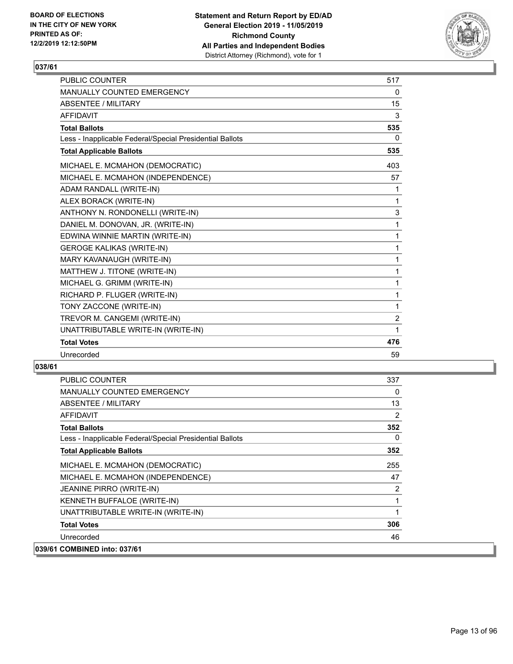

| PUBLIC COUNTER                                           | 517         |
|----------------------------------------------------------|-------------|
| MANUALLY COUNTED EMERGENCY                               | $\Omega$    |
| <b>ABSENTEE / MILITARY</b>                               | 15          |
| <b>AFFIDAVIT</b>                                         | 3           |
| <b>Total Ballots</b>                                     | 535         |
| Less - Inapplicable Federal/Special Presidential Ballots | $\Omega$    |
| <b>Total Applicable Ballots</b>                          | 535         |
| MICHAEL E. MCMAHON (DEMOCRATIC)                          | 403         |
| MICHAEL E. MCMAHON (INDEPENDENCE)                        | 57          |
| ADAM RANDALL (WRITE-IN)                                  | 1           |
| ALEX BORACK (WRITE-IN)                                   | 1           |
| ANTHONY N. RONDONELLI (WRITE-IN)                         | $\mathsf 3$ |
| DANIEL M. DONOVAN, JR. (WRITE-IN)                        | 1           |
| EDWINA WINNIE MARTIN (WRITE-IN)                          | 1           |
| <b>GEROGE KALIKAS (WRITE-IN)</b>                         | 1           |
| MARY KAVANAUGH (WRITE-IN)                                | 1           |
| MATTHEW J. TITONE (WRITE-IN)                             | 1           |
| MICHAEL G. GRIMM (WRITE-IN)                              | 1           |
| RICHARD P. FLUGER (WRITE-IN)                             | 1           |
| TONY ZACCONE (WRITE-IN)                                  | 1           |
| TREVOR M. CANGEMI (WRITE-IN)                             | 2           |
| UNATTRIBUTABLE WRITE-IN (WRITE-IN)                       | 1           |
| <b>Total Votes</b>                                       | 476         |
| Unrecorded                                               | 59          |

| <b>PUBLIC COUNTER</b>                                    | 337      |
|----------------------------------------------------------|----------|
| <b>MANUALLY COUNTED EMERGENCY</b>                        | $\Omega$ |
| ABSENTEE / MILITARY                                      | 13       |
| <b>AFFIDAVIT</b>                                         | 2        |
| <b>Total Ballots</b>                                     | 352      |
| Less - Inapplicable Federal/Special Presidential Ballots | $\Omega$ |
| <b>Total Applicable Ballots</b>                          | 352      |
| MICHAEL E. MCMAHON (DEMOCRATIC)                          | 255      |
| MICHAEL E. MCMAHON (INDEPENDENCE)                        | 47       |
| JEANINE PIRRO (WRITE-IN)                                 | 2        |
| KENNETH BUFFALOE (WRITE-IN)                              |          |
| UNATTRIBUTABLE WRITE-IN (WRITE-IN)                       | 1        |
| <b>Total Votes</b>                                       | 306      |
| Unrecorded                                               | 46       |
| 039/61 COMBINED into: 037/61                             |          |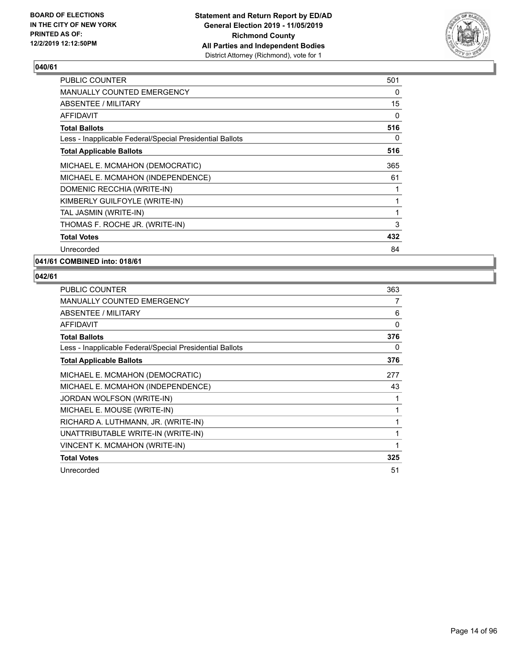

| <b>PUBLIC COUNTER</b>                                    | 501      |
|----------------------------------------------------------|----------|
| MANUALLY COUNTED EMERGENCY                               | $\Omega$ |
| ABSENTEE / MILITARY                                      | 15       |
| AFFIDAVIT                                                | 0        |
| <b>Total Ballots</b>                                     | 516      |
| Less - Inapplicable Federal/Special Presidential Ballots | 0        |
| <b>Total Applicable Ballots</b>                          | 516      |
| MICHAEL E. MCMAHON (DEMOCRATIC)                          | 365      |
| MICHAEL E. MCMAHON (INDEPENDENCE)                        | 61       |
| DOMENIC RECCHIA (WRITE-IN)                               | 1        |
| KIMBERLY GUILFOYLE (WRITE-IN)                            | 1        |
| TAL JASMIN (WRITE-IN)                                    | 1        |
| THOMAS F. ROCHE JR. (WRITE-IN)                           | 3        |
| <b>Total Votes</b>                                       | 432      |
| Unrecorded                                               | 84       |

**041/61 COMBINED into: 018/61**

| <b>PUBLIC COUNTER</b>                                    | 363 |
|----------------------------------------------------------|-----|
| <b>MANUALLY COUNTED EMERGENCY</b>                        | 7   |
| ABSENTEE / MILITARY                                      | 6   |
| <b>AFFIDAVIT</b>                                         | 0   |
| <b>Total Ballots</b>                                     | 376 |
| Less - Inapplicable Federal/Special Presidential Ballots | 0   |
| <b>Total Applicable Ballots</b>                          | 376 |
| MICHAEL E. MCMAHON (DEMOCRATIC)                          | 277 |
| MICHAEL E. MCMAHON (INDEPENDENCE)                        | 43  |
| JORDAN WOLFSON (WRITE-IN)                                | 1   |
| MICHAEL E. MOUSE (WRITE-IN)                              | 1   |
| RICHARD A. LUTHMANN, JR. (WRITE-IN)                      | 1   |
| UNATTRIBUTABLE WRITE-IN (WRITE-IN)                       | 1   |
| VINCENT K. MCMAHON (WRITE-IN)                            | 1   |
| <b>Total Votes</b>                                       | 325 |
| Unrecorded                                               | 51  |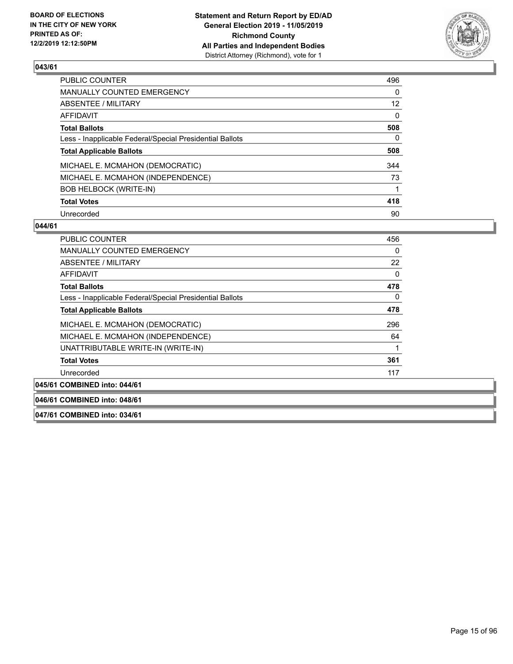

| <b>PUBLIC COUNTER</b>                                    | 496             |
|----------------------------------------------------------|-----------------|
| <b>MANUALLY COUNTED EMERGENCY</b>                        | 0               |
| ABSENTEE / MILITARY                                      | 12 <sup>2</sup> |
| <b>AFFIDAVIT</b>                                         | $\Omega$        |
| <b>Total Ballots</b>                                     | 508             |
| Less - Inapplicable Federal/Special Presidential Ballots | 0               |
| <b>Total Applicable Ballots</b>                          | 508             |
| MICHAEL E. MCMAHON (DEMOCRATIC)                          | 344             |
| MICHAEL E. MCMAHON (INDEPENDENCE)                        | 73              |
| <b>BOB HELBOCK (WRITE-IN)</b>                            |                 |
| <b>Total Votes</b>                                       | 418             |
| Unrecorded                                               | 90              |

#### **044/61**

| <b>PUBLIC COUNTER</b>                                    | 456      |
|----------------------------------------------------------|----------|
| <b>MANUALLY COUNTED EMERGENCY</b>                        | 0        |
| ABSENTEE / MILITARY                                      | 22       |
| <b>AFFIDAVIT</b>                                         | $\Omega$ |
| <b>Total Ballots</b>                                     | 478      |
| Less - Inapplicable Federal/Special Presidential Ballots | 0        |
| <b>Total Applicable Ballots</b>                          | 478      |
| MICHAEL E. MCMAHON (DEMOCRATIC)                          | 296      |
| MICHAEL E. MCMAHON (INDEPENDENCE)                        | 64       |
| UNATTRIBUTABLE WRITE-IN (WRITE-IN)                       |          |
| <b>Total Votes</b>                                       | 361      |
| Unrecorded                                               | 117      |
| 045/61 COMBINED into: 044/61                             |          |

**046/61 COMBINED into: 048/61**

**047/61 COMBINED into: 034/61**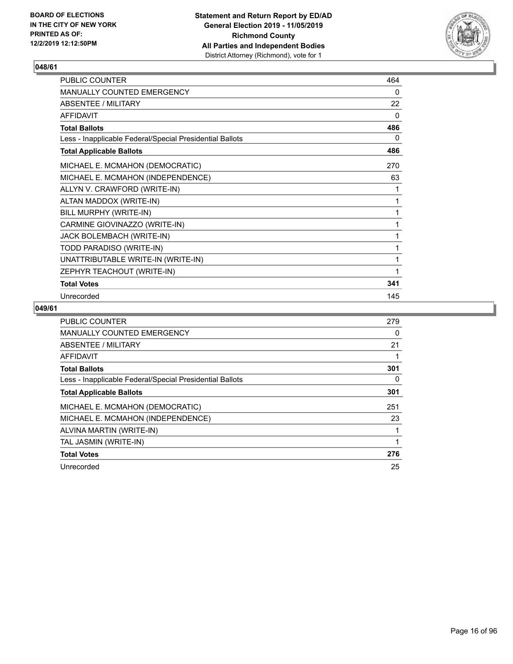

| PUBLIC COUNTER                                           | 464 |
|----------------------------------------------------------|-----|
| MANUALLY COUNTED EMERGENCY                               | 0   |
| <b>ABSENTEE / MILITARY</b>                               | 22  |
| <b>AFFIDAVIT</b>                                         | 0   |
| <b>Total Ballots</b>                                     | 486 |
| Less - Inapplicable Federal/Special Presidential Ballots | 0   |
| <b>Total Applicable Ballots</b>                          | 486 |
| MICHAEL E. MCMAHON (DEMOCRATIC)                          | 270 |
| MICHAEL E. MCMAHON (INDEPENDENCE)                        | 63  |
| ALLYN V. CRAWFORD (WRITE-IN)                             | 1   |
| ALTAN MADDOX (WRITE-IN)                                  | 1   |
| BILL MURPHY (WRITE-IN)                                   | 1   |
| CARMINE GIOVINAZZO (WRITE-IN)                            | 1   |
| JACK BOLEMBACH (WRITE-IN)                                | 1   |
| TODD PARADISO (WRITE-IN)                                 | 1   |
| UNATTRIBUTABLE WRITE-IN (WRITE-IN)                       | 1   |
| ZEPHYR TEACHOUT (WRITE-IN)                               | 1   |
| <b>Total Votes</b>                                       | 341 |
| Unrecorded                                               | 145 |

| <b>PUBLIC COUNTER</b>                                    | 279 |
|----------------------------------------------------------|-----|
| <b>MANUALLY COUNTED EMERGENCY</b>                        | 0   |
| ABSENTEE / MILITARY                                      | 21  |
| AFFIDAVIT                                                |     |
| <b>Total Ballots</b>                                     | 301 |
| Less - Inapplicable Federal/Special Presidential Ballots | 0   |
| <b>Total Applicable Ballots</b>                          | 301 |
| MICHAEL E. MCMAHON (DEMOCRATIC)                          | 251 |
| MICHAEL E. MCMAHON (INDEPENDENCE)                        | 23  |
| ALVINA MARTIN (WRITE-IN)                                 |     |
| TAL JASMIN (WRITE-IN)                                    |     |
| <b>Total Votes</b>                                       | 276 |
| Unrecorded                                               | 25  |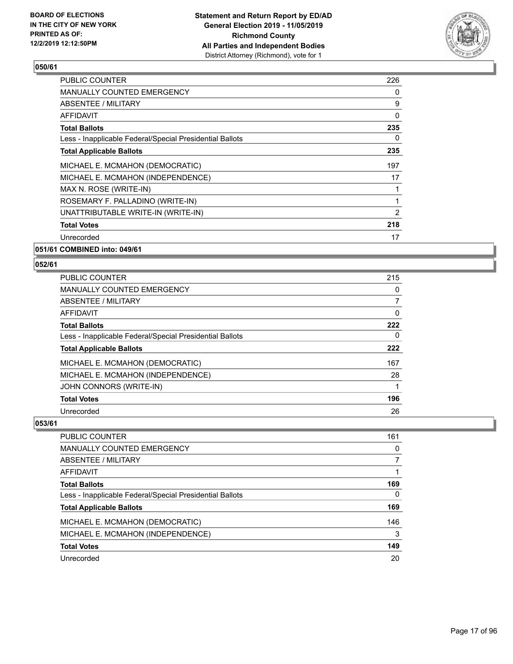

| <b>PUBLIC COUNTER</b>                                    | 226 |
|----------------------------------------------------------|-----|
| <b>MANUALLY COUNTED EMERGENCY</b>                        | 0   |
| <b>ABSENTEE / MILITARY</b>                               | 9   |
| AFFIDAVIT                                                | 0   |
| <b>Total Ballots</b>                                     | 235 |
| Less - Inapplicable Federal/Special Presidential Ballots | 0   |
| <b>Total Applicable Ballots</b>                          | 235 |
| MICHAEL E. MCMAHON (DEMOCRATIC)                          | 197 |
| MICHAEL E. MCMAHON (INDEPENDENCE)                        | 17  |
| MAX N. ROSE (WRITE-IN)                                   |     |
| ROSEMARY F. PALLADINO (WRITE-IN)                         | 1   |
| UNATTRIBUTABLE WRITE-IN (WRITE-IN)                       | 2   |
| <b>Total Votes</b>                                       | 218 |
| Unrecorded                                               | 17  |
|                                                          |     |

**051/61 COMBINED into: 049/61**

#### **052/61**

| <b>PUBLIC COUNTER</b>                                    | 215      |
|----------------------------------------------------------|----------|
| MANUALLY COUNTED EMERGENCY                               | 0        |
| ABSENTEE / MILITARY                                      |          |
| AFFIDAVIT                                                | $\Omega$ |
| <b>Total Ballots</b>                                     | 222      |
| Less - Inapplicable Federal/Special Presidential Ballots | 0        |
| <b>Total Applicable Ballots</b>                          | 222      |
| MICHAEL E. MCMAHON (DEMOCRATIC)                          | 167      |
| MICHAEL E. MCMAHON (INDEPENDENCE)                        | 28       |
| JOHN CONNORS (WRITE-IN)                                  |          |
| <b>Total Votes</b>                                       | 196      |
| Unrecorded                                               | 26       |

| <b>PUBLIC COUNTER</b>                                    | 161      |
|----------------------------------------------------------|----------|
| <b>MANUALLY COUNTED EMERGENCY</b>                        | $\Omega$ |
| ABSENTEE / MILITARY                                      |          |
| AFFIDAVIT                                                |          |
| <b>Total Ballots</b>                                     | 169      |
| Less - Inapplicable Federal/Special Presidential Ballots | $\Omega$ |
| <b>Total Applicable Ballots</b>                          | 169      |
| MICHAEL E. MCMAHON (DEMOCRATIC)                          | 146      |
| MICHAEL E. MCMAHON (INDEPENDENCE)                        | 3        |
| <b>Total Votes</b>                                       | 149      |
| Unrecorded                                               | 20       |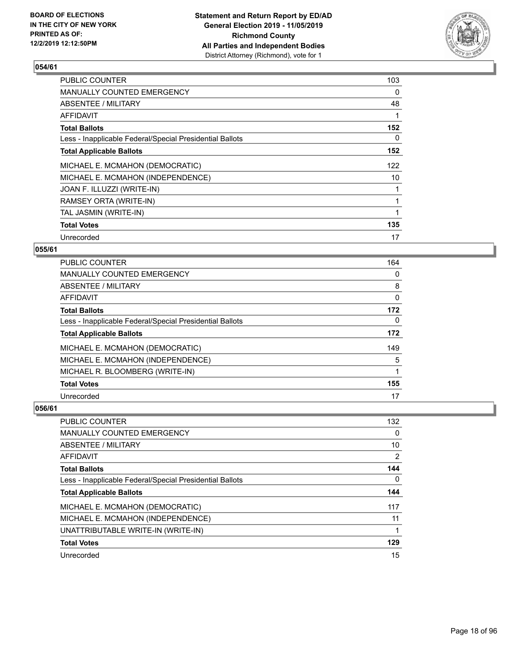

| <b>PUBLIC COUNTER</b>                                    | 103 |
|----------------------------------------------------------|-----|
| <b>MANUALLY COUNTED EMERGENCY</b>                        | 0   |
| ABSENTEE / MILITARY                                      | 48  |
| AFFIDAVIT                                                |     |
| <b>Total Ballots</b>                                     | 152 |
| Less - Inapplicable Federal/Special Presidential Ballots | 0   |
| <b>Total Applicable Ballots</b>                          | 152 |
| MICHAEL E. MCMAHON (DEMOCRATIC)                          | 122 |
| MICHAEL E. MCMAHON (INDEPENDENCE)                        | 10  |
| JOAN F. ILLUZZI (WRITE-IN)                               |     |
| RAMSEY ORTA (WRITE-IN)                                   |     |
| TAL JASMIN (WRITE-IN)                                    |     |
| <b>Total Votes</b>                                       | 135 |
| Unrecorded                                               | 17  |

### **055/61**

| PUBLIC COUNTER                                           | 164      |
|----------------------------------------------------------|----------|
| <b>MANUALLY COUNTED EMERGENCY</b>                        | $\Omega$ |
| ABSENTEE / MILITARY                                      | 8        |
| AFFIDAVIT                                                | 0        |
| <b>Total Ballots</b>                                     | 172      |
| Less - Inapplicable Federal/Special Presidential Ballots | 0        |
| <b>Total Applicable Ballots</b>                          | 172      |
| MICHAEL E. MCMAHON (DEMOCRATIC)                          | 149      |
| MICHAEL E. MCMAHON (INDEPENDENCE)                        | 5        |
| MICHAEL R. BLOOMBERG (WRITE-IN)                          |          |
| <b>Total Votes</b>                                       | 155      |
| Unrecorded                                               | 17       |

| <b>PUBLIC COUNTER</b>                                    | 132 |
|----------------------------------------------------------|-----|
| MANUALLY COUNTED EMERGENCY                               | 0   |
| ABSENTEE / MILITARY                                      | 10  |
| AFFIDAVIT                                                | 2   |
| <b>Total Ballots</b>                                     | 144 |
| Less - Inapplicable Federal/Special Presidential Ballots | 0   |
| <b>Total Applicable Ballots</b>                          | 144 |
| MICHAEL E. MCMAHON (DEMOCRATIC)                          | 117 |
| MICHAEL E. MCMAHON (INDEPENDENCE)                        | 11  |
| UNATTRIBUTABLE WRITE-IN (WRITE-IN)                       |     |
| <b>Total Votes</b>                                       | 129 |
| Unrecorded                                               | 15  |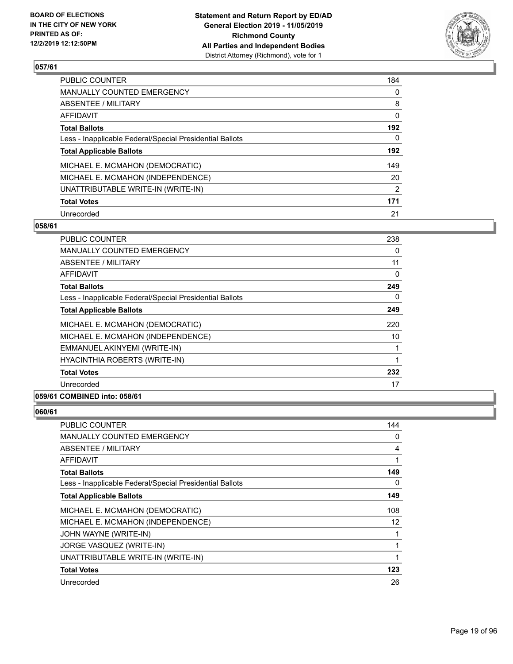

| PUBLIC COUNTER                                           | 184 |
|----------------------------------------------------------|-----|
| <b>MANUALLY COUNTED EMERGENCY</b>                        | 0   |
| ABSENTEE / MILITARY                                      | 8   |
| AFFIDAVIT                                                | 0   |
| <b>Total Ballots</b>                                     | 192 |
| Less - Inapplicable Federal/Special Presidential Ballots | 0   |
| <b>Total Applicable Ballots</b>                          | 192 |
| MICHAEL E. MCMAHON (DEMOCRATIC)                          | 149 |
| MICHAEL E. MCMAHON (INDEPENDENCE)                        | 20  |
| UNATTRIBUTABLE WRITE-IN (WRITE-IN)                       | 2   |
| <b>Total Votes</b>                                       | 171 |
| Unrecorded                                               | 21  |

#### **058/61**

| <b>PUBLIC COUNTER</b>                                    | 238 |
|----------------------------------------------------------|-----|
| <b>MANUALLY COUNTED EMERGENCY</b>                        | 0   |
| ABSENTEE / MILITARY                                      | 11  |
| AFFIDAVIT                                                | 0   |
| <b>Total Ballots</b>                                     | 249 |
| Less - Inapplicable Federal/Special Presidential Ballots | 0   |
| <b>Total Applicable Ballots</b>                          | 249 |
| MICHAEL E. MCMAHON (DEMOCRATIC)                          | 220 |
| MICHAEL E. MCMAHON (INDEPENDENCE)                        | 10  |
| EMMANUEL AKINYEMI (WRITE-IN)                             |     |
| HYACINTHIA ROBERTS (WRITE-IN)                            | 1   |
| <b>Total Votes</b>                                       | 232 |
| Unrecorded                                               | 17  |

### **059/61 COMBINED into: 058/61**

| PUBLIC COUNTER                                           | 144 |
|----------------------------------------------------------|-----|
| <b>MANUALLY COUNTED EMERGENCY</b>                        | 0   |
| ABSENTEE / MILITARY                                      | 4   |
| AFFIDAVIT                                                | 1   |
| <b>Total Ballots</b>                                     | 149 |
| Less - Inapplicable Federal/Special Presidential Ballots | 0   |
| <b>Total Applicable Ballots</b>                          | 149 |
| MICHAEL E. MCMAHON (DEMOCRATIC)                          | 108 |
| MICHAEL E. MCMAHON (INDEPENDENCE)                        | 12  |
| JOHN WAYNE (WRITE-IN)                                    |     |
| JORGE VASQUEZ (WRITE-IN)                                 |     |
| UNATTRIBUTABLE WRITE-IN (WRITE-IN)                       | 1   |
| <b>Total Votes</b>                                       | 123 |
| Unrecorded                                               | 26  |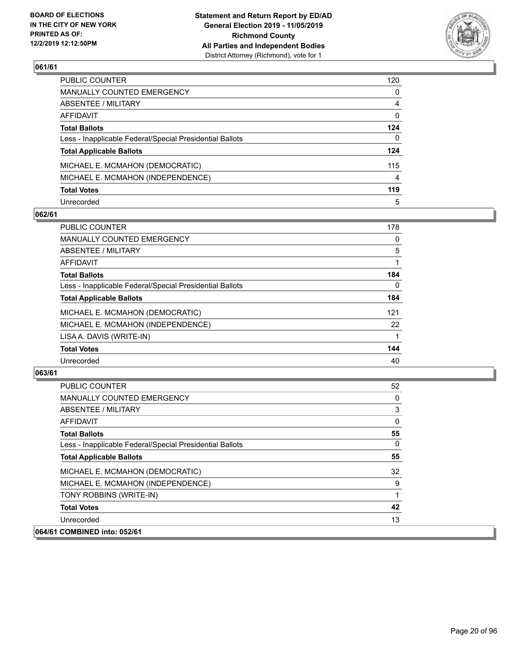

| PUBLIC COUNTER                                           | 120 |
|----------------------------------------------------------|-----|
| MANUALLY COUNTED EMERGENCY                               | 0   |
| ABSENTEE / MILITARY                                      | 4   |
| AFFIDAVIT                                                | 0   |
| <b>Total Ballots</b>                                     | 124 |
| Less - Inapplicable Federal/Special Presidential Ballots | 0   |
| <b>Total Applicable Ballots</b>                          | 124 |
| MICHAEL E. MCMAHON (DEMOCRATIC)                          | 115 |
| MICHAEL E. MCMAHON (INDEPENDENCE)                        | 4   |
| <b>Total Votes</b>                                       | 119 |
| Unrecorded                                               | 5   |

#### **062/61**

| <b>PUBLIC COUNTER</b>                                    | 178      |
|----------------------------------------------------------|----------|
| <b>MANUALLY COUNTED EMERGENCY</b>                        | 0        |
| ABSENTEE / MILITARY                                      | 5        |
| <b>AFFIDAVIT</b>                                         |          |
| <b>Total Ballots</b>                                     | 184      |
| Less - Inapplicable Federal/Special Presidential Ballots | $\Omega$ |
| <b>Total Applicable Ballots</b>                          | 184      |
| MICHAEL E. MCMAHON (DEMOCRATIC)                          | 121      |
| MICHAEL E. MCMAHON (INDEPENDENCE)                        | 22       |
| LISA A. DAVIS (WRITE-IN)                                 |          |
| <b>Total Votes</b>                                       | 144      |
| Unrecorded                                               | 40       |

| PUBLIC COUNTER                                           | 52 |
|----------------------------------------------------------|----|
| <b>MANUALLY COUNTED EMERGENCY</b>                        | 0  |
| ABSENTEE / MILITARY                                      | 3  |
| AFFIDAVIT                                                | 0  |
| <b>Total Ballots</b>                                     | 55 |
| Less - Inapplicable Federal/Special Presidential Ballots | 0  |
| <b>Total Applicable Ballots</b>                          | 55 |
| MICHAEL E. MCMAHON (DEMOCRATIC)                          | 32 |
| MICHAEL E. MCMAHON (INDEPENDENCE)                        | 9  |
| TONY ROBBINS (WRITE-IN)                                  | 1  |
| <b>Total Votes</b>                                       | 42 |
| Unrecorded                                               | 13 |
| 064/61 COMBINED into: 052/61                             |    |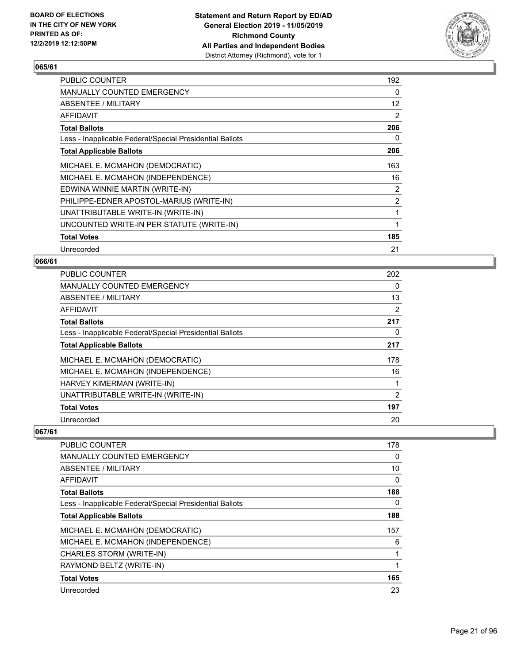

| <b>PUBLIC COUNTER</b>                                    | 192            |
|----------------------------------------------------------|----------------|
| <b>MANUALLY COUNTED EMERGENCY</b>                        | $\Omega$       |
| ABSENTEE / MILITARY                                      | 12             |
| AFFIDAVIT                                                | 2              |
| <b>Total Ballots</b>                                     | 206            |
| Less - Inapplicable Federal/Special Presidential Ballots | 0              |
| <b>Total Applicable Ballots</b>                          | 206            |
| MICHAEL E. MCMAHON (DEMOCRATIC)                          | 163            |
| MICHAEL E. MCMAHON (INDEPENDENCE)                        | 16             |
| EDWINA WINNIE MARTIN (WRITE-IN)                          | $\overline{2}$ |
| PHILIPPE-EDNER APOSTOL-MARIUS (WRITE-IN)                 | $\overline{2}$ |
| UNATTRIBUTABLE WRITE-IN (WRITE-IN)                       | 1              |
| UNCOUNTED WRITE-IN PER STATUTE (WRITE-IN)                | 1              |
| <b>Total Votes</b>                                       | 185            |
| Unrecorded                                               | 21             |

### **066/61**

| <b>PUBLIC COUNTER</b>                                    | 202            |
|----------------------------------------------------------|----------------|
| <b>MANUALLY COUNTED EMERGENCY</b>                        | 0              |
| ABSENTEE / MILITARY                                      | 13             |
| <b>AFFIDAVIT</b>                                         | 2              |
| <b>Total Ballots</b>                                     | 217            |
| Less - Inapplicable Federal/Special Presidential Ballots | 0              |
| <b>Total Applicable Ballots</b>                          | 217            |
| MICHAEL E. MCMAHON (DEMOCRATIC)                          | 178            |
| MICHAEL E. MCMAHON (INDEPENDENCE)                        | 16             |
| HARVEY KIMERMAN (WRITE-IN)                               |                |
| UNATTRIBUTABLE WRITE-IN (WRITE-IN)                       | $\overline{2}$ |
| <b>Total Votes</b>                                       | 197            |
| Unrecorded                                               | 20             |

| <b>PUBLIC COUNTER</b>                                    | 178 |
|----------------------------------------------------------|-----|
| <b>MANUALLY COUNTED EMERGENCY</b>                        | 0   |
| ABSENTEE / MILITARY                                      | 10  |
| <b>AFFIDAVIT</b>                                         | 0   |
| <b>Total Ballots</b>                                     | 188 |
| Less - Inapplicable Federal/Special Presidential Ballots | 0   |
| <b>Total Applicable Ballots</b>                          | 188 |
| MICHAEL E. MCMAHON (DEMOCRATIC)                          | 157 |
| MICHAEL E. MCMAHON (INDEPENDENCE)                        | 6   |
| CHARLES STORM (WRITE-IN)                                 |     |
| RAYMOND BELTZ (WRITE-IN)                                 |     |
| <b>Total Votes</b>                                       | 165 |
| Unrecorded                                               | 23  |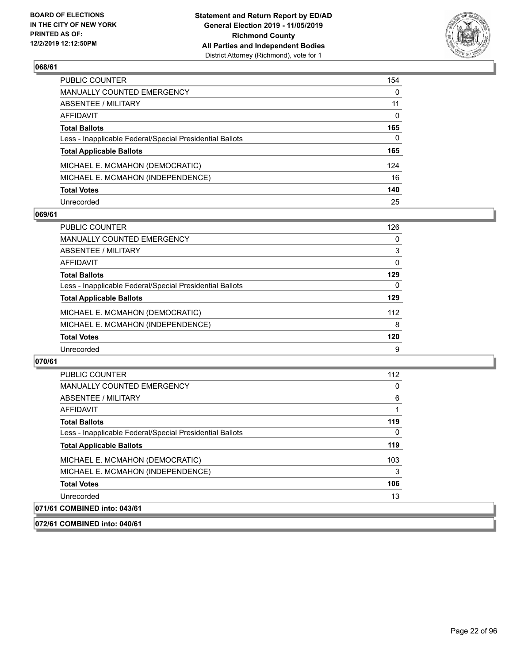

| PUBLIC COUNTER                                           | 154          |
|----------------------------------------------------------|--------------|
| MANUALLY COUNTED EMERGENCY                               | $\mathbf{0}$ |
| ABSENTEE / MILITARY                                      | 11           |
| AFFIDAVIT                                                | 0            |
| Total Ballots                                            | 165          |
| Less - Inapplicable Federal/Special Presidential Ballots | $\Omega$     |
| <b>Total Applicable Ballots</b>                          | 165          |
| MICHAEL E. MCMAHON (DEMOCRATIC)                          | 124          |
| MICHAEL E. MCMAHON (INDEPENDENCE)                        | 16           |
| <b>Total Votes</b>                                       | 140          |
| Unrecorded                                               | 25           |

#### **069/61**

| <b>PUBLIC COUNTER</b>                                    | 126 |
|----------------------------------------------------------|-----|
| <b>MANUALLY COUNTED EMERGENCY</b>                        | 0   |
| ABSENTEE / MILITARY                                      | 3   |
| AFFIDAVIT                                                | 0   |
| <b>Total Ballots</b>                                     | 129 |
| Less - Inapplicable Federal/Special Presidential Ballots | 0   |
| <b>Total Applicable Ballots</b>                          | 129 |
| MICHAEL E. MCMAHON (DEMOCRATIC)                          | 112 |
| MICHAEL E. MCMAHON (INDEPENDENCE)                        | 8   |
| <b>Total Votes</b>                                       | 120 |
| Unrecorded                                               | 9   |

#### **070/61**

| <b>PUBLIC COUNTER</b>                                    | 112 |
|----------------------------------------------------------|-----|
| <b>MANUALLY COUNTED EMERGENCY</b>                        | 0   |
| ABSENTEE / MILITARY                                      | 6   |
| AFFIDAVIT                                                |     |
| <b>Total Ballots</b>                                     | 119 |
| Less - Inapplicable Federal/Special Presidential Ballots | 0   |
| <b>Total Applicable Ballots</b>                          | 119 |
| MICHAEL E. MCMAHON (DEMOCRATIC)                          | 103 |
| MICHAEL E. MCMAHON (INDEPENDENCE)                        | 3   |
| <b>Total Votes</b>                                       | 106 |
| Unrecorded                                               | 13  |
| 071/61 COMBINED into: 043/61                             |     |

**072/61 COMBINED into: 040/61**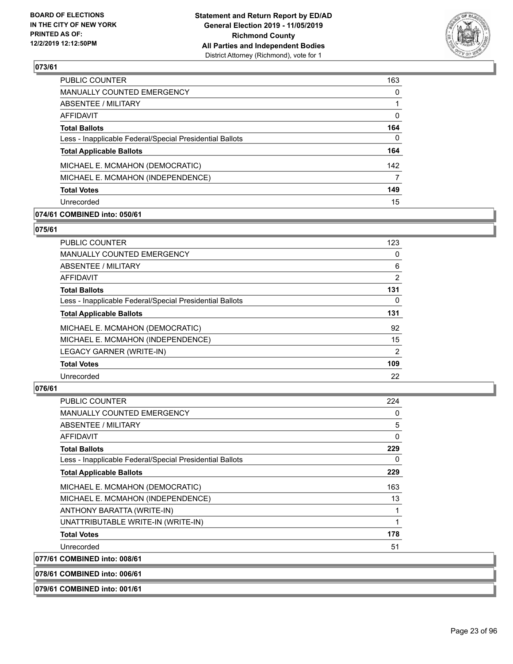

| <b>PUBLIC COUNTER</b>                                    | 163      |
|----------------------------------------------------------|----------|
| <b>MANUALLY COUNTED EMERGENCY</b>                        | $\Omega$ |
| ABSENTEE / MILITARY                                      |          |
| <b>AFFIDAVIT</b>                                         | $\Omega$ |
| <b>Total Ballots</b>                                     | 164      |
| Less - Inapplicable Federal/Special Presidential Ballots | 0        |
| <b>Total Applicable Ballots</b>                          | 164      |
| MICHAEL E. MCMAHON (DEMOCRATIC)                          | 142      |
| MICHAEL E. MCMAHON (INDEPENDENCE)                        | 7        |
| <b>Total Votes</b>                                       | 149      |
| Unrecorded                                               | 15       |
|                                                          |          |

### **074/61 COMBINED into: 050/61**

#### **075/61**

| <b>PUBLIC COUNTER</b>                                    | 123            |
|----------------------------------------------------------|----------------|
| MANUALLY COUNTED EMERGENCY                               | 0              |
| ABSENTEE / MILITARY                                      | 6              |
| AFFIDAVIT                                                | $\overline{2}$ |
| <b>Total Ballots</b>                                     | 131            |
| Less - Inapplicable Federal/Special Presidential Ballots | 0              |
| <b>Total Applicable Ballots</b>                          | 131            |
| MICHAEL E. MCMAHON (DEMOCRATIC)                          | 92             |
| MICHAEL E. MCMAHON (INDEPENDENCE)                        | 15             |
| LEGACY GARNER (WRITE-IN)                                 | $\overline{2}$ |
| <b>Total Votes</b>                                       | 109            |
| Unrecorded                                               | 22             |
|                                                          |                |

### **076/61**

| <b>PUBLIC COUNTER</b>                                    | 224          |
|----------------------------------------------------------|--------------|
| <b>MANUALLY COUNTED EMERGENCY</b>                        | 0            |
| ABSENTEE / MILITARY                                      | 5            |
| <b>AFFIDAVIT</b>                                         | $\mathbf{0}$ |
| <b>Total Ballots</b>                                     | 229          |
| Less - Inapplicable Federal/Special Presidential Ballots | 0            |
| <b>Total Applicable Ballots</b>                          | 229          |
| MICHAEL E. MCMAHON (DEMOCRATIC)                          | 163          |
| MICHAEL E. MCMAHON (INDEPENDENCE)                        | 13           |
| ANTHONY BARATTA (WRITE-IN)                               | 1            |
| UNATTRIBUTABLE WRITE-IN (WRITE-IN)                       | 1            |
| <b>Total Votes</b>                                       | 178          |
| Unrecorded                                               | 51           |
| 077/61 COMBINED into: 008/61                             |              |
| 078/61 COMBINED into: 006/61                             |              |

#### **079/61 COMBINED into: 001/61**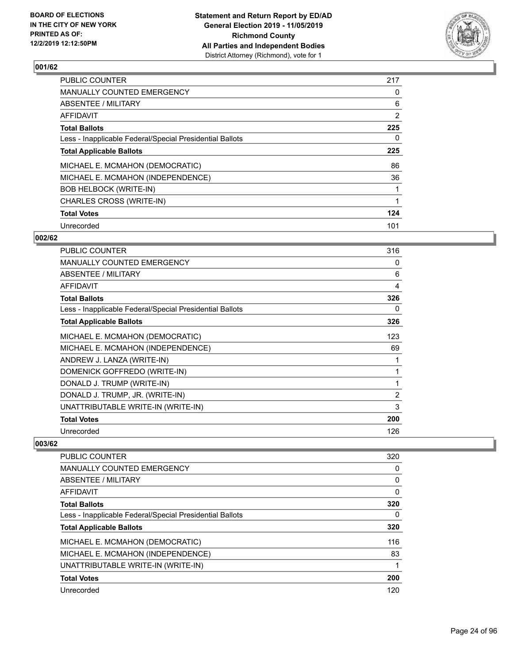

| <b>PUBLIC COUNTER</b>                                    | 217            |
|----------------------------------------------------------|----------------|
| <b>MANUALLY COUNTED EMERGENCY</b>                        | 0              |
| ABSENTEE / MILITARY                                      | 6              |
| AFFIDAVIT                                                | $\overline{2}$ |
| <b>Total Ballots</b>                                     | 225            |
| Less - Inapplicable Federal/Special Presidential Ballots | 0              |
| <b>Total Applicable Ballots</b>                          | 225            |
| MICHAEL E. MCMAHON (DEMOCRATIC)                          | 86             |
| MICHAEL E. MCMAHON (INDEPENDENCE)                        | 36             |
| <b>BOB HELBOCK (WRITE-IN)</b>                            |                |
| CHARLES CROSS (WRITE-IN)                                 |                |
| <b>Total Votes</b>                                       | 124            |
| Unrecorded                                               | 101            |

#### **002/62**

| <b>PUBLIC COUNTER</b>                                    | 316 |
|----------------------------------------------------------|-----|
| <b>MANUALLY COUNTED EMERGENCY</b>                        | 0   |
| <b>ABSENTEE / MILITARY</b>                               | 6   |
| <b>AFFIDAVIT</b>                                         | 4   |
| <b>Total Ballots</b>                                     | 326 |
| Less - Inapplicable Federal/Special Presidential Ballots | 0   |
| <b>Total Applicable Ballots</b>                          | 326 |
| MICHAEL E. MCMAHON (DEMOCRATIC)                          | 123 |
| MICHAEL E. MCMAHON (INDEPENDENCE)                        | 69  |
| ANDREW J. LANZA (WRITE-IN)                               |     |
| DOMENICK GOFFREDO (WRITE-IN)                             |     |
| DONALD J. TRUMP (WRITE-IN)                               | 1   |
| DONALD J. TRUMP, JR. (WRITE-IN)                          | 2   |
| UNATTRIBUTABLE WRITE-IN (WRITE-IN)                       | 3   |
| <b>Total Votes</b>                                       | 200 |
| Unrecorded                                               | 126 |

| <b>PUBLIC COUNTER</b>                                    | 320 |
|----------------------------------------------------------|-----|
| <b>MANUALLY COUNTED EMERGENCY</b>                        | 0   |
| ABSENTEE / MILITARY                                      | 0   |
| AFFIDAVIT                                                | 0   |
| <b>Total Ballots</b>                                     | 320 |
| Less - Inapplicable Federal/Special Presidential Ballots | 0   |
| <b>Total Applicable Ballots</b>                          | 320 |
| MICHAEL E. MCMAHON (DEMOCRATIC)                          | 116 |
| MICHAEL E. MCMAHON (INDEPENDENCE)                        | 83  |
| UNATTRIBUTABLE WRITE-IN (WRITE-IN)                       |     |
| <b>Total Votes</b>                                       | 200 |
| Unrecorded                                               | 120 |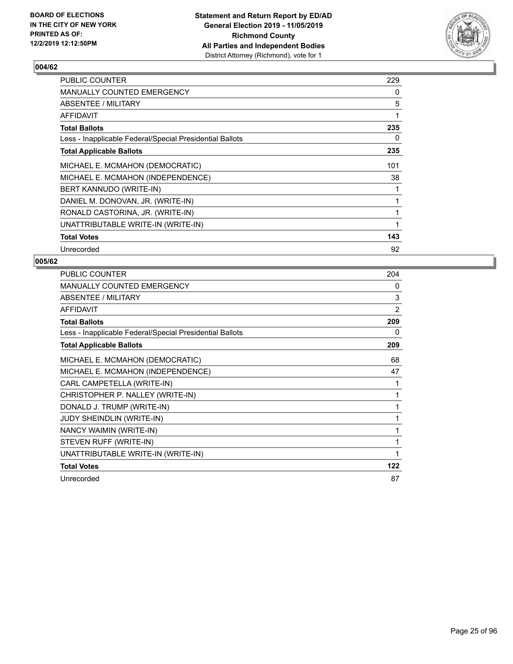

| <b>PUBLIC COUNTER</b>                                    | 229 |
|----------------------------------------------------------|-----|
| <b>MANUALLY COUNTED EMERGENCY</b>                        | 0   |
| ABSENTEE / MILITARY                                      | 5   |
| <b>AFFIDAVIT</b>                                         | 1   |
| <b>Total Ballots</b>                                     | 235 |
| Less - Inapplicable Federal/Special Presidential Ballots | 0   |
| <b>Total Applicable Ballots</b>                          | 235 |
| MICHAEL E. MCMAHON (DEMOCRATIC)                          | 101 |
| MICHAEL E. MCMAHON (INDEPENDENCE)                        | 38  |
| BERT KANNUDO (WRITE-IN)                                  | 1   |
| DANIEL M. DONOVAN, JR. (WRITE-IN)                        | 1   |
| RONALD CASTORINA, JR. (WRITE-IN)                         | 1   |
| UNATTRIBUTABLE WRITE-IN (WRITE-IN)                       | 1   |
| <b>Total Votes</b>                                       | 143 |
| Unrecorded                                               | 92  |

| PUBLIC COUNTER                                           | 204            |
|----------------------------------------------------------|----------------|
| MANUALLY COUNTED EMERGENCY                               | 0              |
| ABSENTEE / MILITARY                                      | 3              |
| <b>AFFIDAVIT</b>                                         | $\overline{2}$ |
| <b>Total Ballots</b>                                     | 209            |
| Less - Inapplicable Federal/Special Presidential Ballots | 0              |
| <b>Total Applicable Ballots</b>                          | 209            |
| MICHAEL E. MCMAHON (DEMOCRATIC)                          | 68             |
| MICHAEL E. MCMAHON (INDEPENDENCE)                        | 47             |
| CARL CAMPETELLA (WRITE-IN)                               | 1              |
| CHRISTOPHER P. NALLEY (WRITE-IN)                         | 1              |
| DONALD J. TRUMP (WRITE-IN)                               | 1              |
| JUDY SHEINDLIN (WRITE-IN)                                | 1              |
| NANCY WAIMIN (WRITE-IN)                                  | 1              |
| STEVEN RUFF (WRITE-IN)                                   | 1              |
| UNATTRIBUTABLE WRITE-IN (WRITE-IN)                       | 1              |
| <b>Total Votes</b>                                       | 122            |
| Unrecorded                                               | 87             |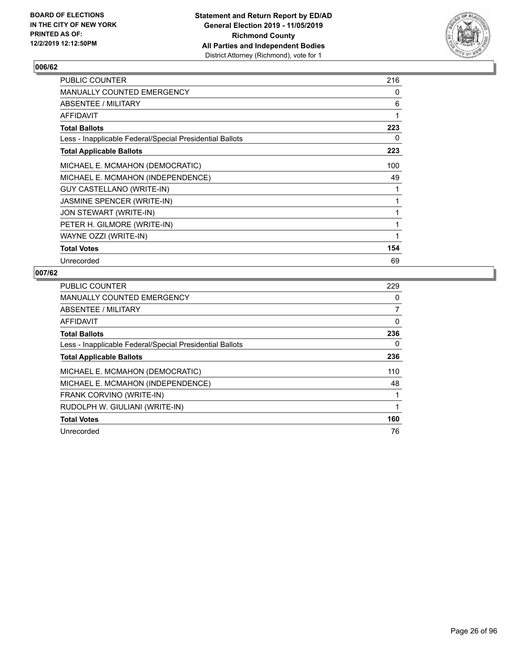

| <b>PUBLIC COUNTER</b>                                    | 216          |
|----------------------------------------------------------|--------------|
| MANUALLY COUNTED EMERGENCY                               | 0            |
| ABSENTEE / MILITARY                                      | 6            |
| AFFIDAVIT                                                | 1            |
| <b>Total Ballots</b>                                     | 223          |
| Less - Inapplicable Federal/Special Presidential Ballots | 0            |
| <b>Total Applicable Ballots</b>                          | 223          |
| MICHAEL E. MCMAHON (DEMOCRATIC)                          | 100          |
| MICHAEL E. MCMAHON (INDEPENDENCE)                        | 49           |
| <b>GUY CASTELLANO (WRITE-IN)</b>                         | 1            |
| JASMINE SPENCER (WRITE-IN)                               | 1            |
| JON STEWART (WRITE-IN)                                   | 1            |
| PETER H. GILMORE (WRITE-IN)                              | 1            |
| WAYNE OZZI (WRITE-IN)                                    | $\mathbf{1}$ |
| <b>Total Votes</b>                                       | 154          |
| Unrecorded                                               | 69           |

| <b>PUBLIC COUNTER</b>                                    | 229 |
|----------------------------------------------------------|-----|
| <b>MANUALLY COUNTED EMERGENCY</b>                        | 0   |
| ABSENTEE / MILITARY                                      | 7   |
| AFFIDAVIT                                                | 0   |
| <b>Total Ballots</b>                                     | 236 |
| Less - Inapplicable Federal/Special Presidential Ballots | 0   |
| <b>Total Applicable Ballots</b>                          | 236 |
| MICHAEL E. MCMAHON (DEMOCRATIC)                          | 110 |
| MICHAEL E. MCMAHON (INDEPENDENCE)                        | 48  |
| FRANK CORVINO (WRITE-IN)                                 |     |
| RUDOLPH W. GIULIANI (WRITE-IN)                           | 1   |
| <b>Total Votes</b>                                       | 160 |
| Unrecorded                                               | 76  |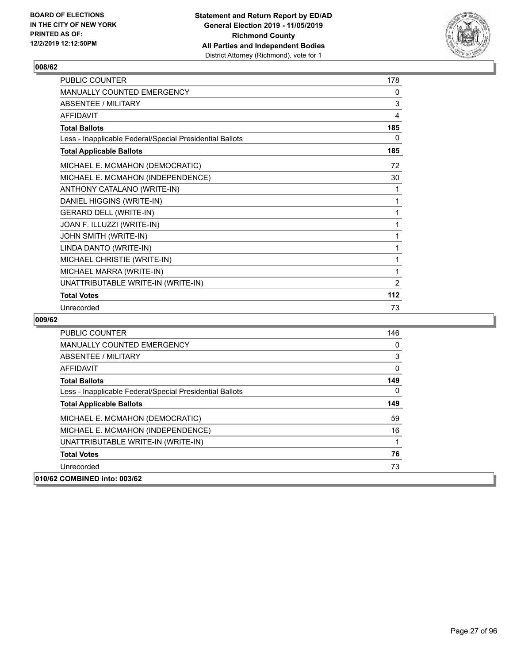

| PUBLIC COUNTER                                           | 178 |
|----------------------------------------------------------|-----|
| MANUALLY COUNTED EMERGENCY                               | 0   |
| <b>ABSENTEE / MILITARY</b>                               | 3   |
| <b>AFFIDAVIT</b>                                         | 4   |
| <b>Total Ballots</b>                                     | 185 |
| Less - Inapplicable Federal/Special Presidential Ballots | 0   |
| <b>Total Applicable Ballots</b>                          | 185 |
| MICHAEL E. MCMAHON (DEMOCRATIC)                          | 72  |
| MICHAEL E. MCMAHON (INDEPENDENCE)                        | 30  |
| ANTHONY CATALANO (WRITE-IN)                              | 1   |
| DANIEL HIGGINS (WRITE-IN)                                | 1   |
| <b>GERARD DELL (WRITE-IN)</b>                            | 1   |
| JOAN F. ILLUZZI (WRITE-IN)                               | 1   |
| JOHN SMITH (WRITE-IN)                                    | 1   |
| LINDA DANTO (WRITE-IN)                                   | 1   |
| MICHAEL CHRISTIE (WRITE-IN)                              | 1   |
| MICHAEL MARRA (WRITE-IN)                                 | 1   |
| UNATTRIBUTABLE WRITE-IN (WRITE-IN)                       | 2   |
| <b>Total Votes</b>                                       | 112 |
| Unrecorded                                               | 73  |

| <b>PUBLIC COUNTER</b>                                    | 146      |
|----------------------------------------------------------|----------|
| <b>MANUALLY COUNTED EMERGENCY</b>                        | 0        |
| ABSENTEE / MILITARY                                      | 3        |
| AFFIDAVIT                                                | 0        |
| <b>Total Ballots</b>                                     | 149      |
| Less - Inapplicable Federal/Special Presidential Ballots | $\Omega$ |
| <b>Total Applicable Ballots</b>                          | 149      |
| MICHAEL E. MCMAHON (DEMOCRATIC)                          | 59       |
| MICHAEL E. MCMAHON (INDEPENDENCE)                        | 16       |
| UNATTRIBUTABLE WRITE-IN (WRITE-IN)                       |          |
| <b>Total Votes</b>                                       | 76       |
| Unrecorded                                               | 73       |
| 010/62 COMBINED into: 003/62                             |          |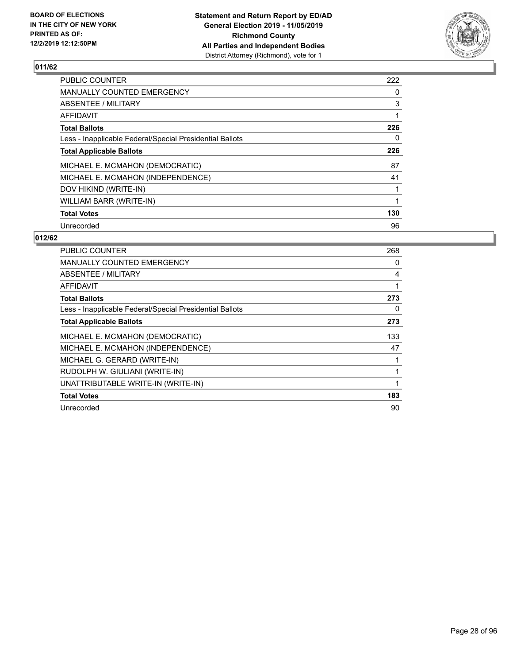

| <b>PUBLIC COUNTER</b>                                    | 222 |
|----------------------------------------------------------|-----|
| <b>MANUALLY COUNTED EMERGENCY</b>                        | 0   |
| ABSENTEE / MILITARY                                      | 3   |
| <b>AFFIDAVIT</b>                                         | 1   |
| <b>Total Ballots</b>                                     | 226 |
| Less - Inapplicable Federal/Special Presidential Ballots | 0   |
| <b>Total Applicable Ballots</b>                          | 226 |
| MICHAEL E. MCMAHON (DEMOCRATIC)                          | 87  |
| MICHAEL E. MCMAHON (INDEPENDENCE)                        | 41  |
| DOV HIKIND (WRITE-IN)                                    |     |
| WILLIAM BARR (WRITE-IN)                                  | 1   |
| <b>Total Votes</b>                                       | 130 |
| Unrecorded                                               | 96  |

| PUBLIC COUNTER                                           | 268 |
|----------------------------------------------------------|-----|
| MANUALLY COUNTED EMERGENCY                               | 0   |
| <b>ABSENTEE / MILITARY</b>                               | 4   |
| <b>AFFIDAVIT</b>                                         | 1   |
| <b>Total Ballots</b>                                     | 273 |
| Less - Inapplicable Federal/Special Presidential Ballots | 0   |
| <b>Total Applicable Ballots</b>                          | 273 |
| MICHAEL E. MCMAHON (DEMOCRATIC)                          | 133 |
| MICHAEL E. MCMAHON (INDEPENDENCE)                        | 47  |
| MICHAEL G. GERARD (WRITE-IN)                             | 1   |
| RUDOLPH W. GIULIANI (WRITE-IN)                           | 1   |
| UNATTRIBUTABLE WRITE-IN (WRITE-IN)                       | 1   |
| <b>Total Votes</b>                                       | 183 |
| Unrecorded                                               | 90  |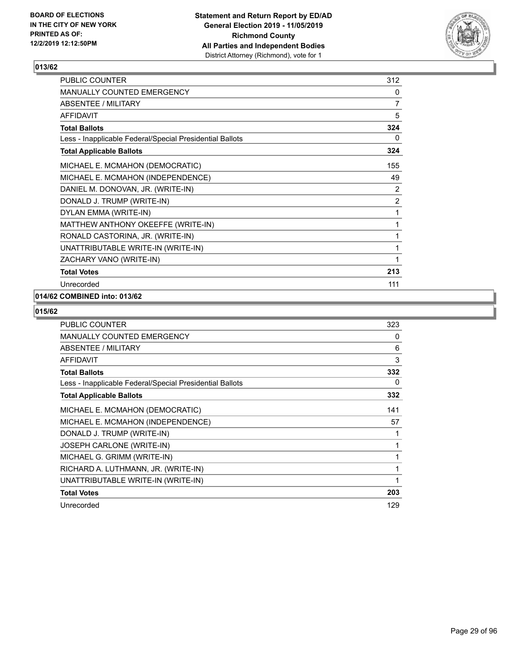

| PUBLIC COUNTER                                           | 312            |
|----------------------------------------------------------|----------------|
| <b>MANUALLY COUNTED EMERGENCY</b>                        | 0              |
| <b>ABSENTEE / MILITARY</b>                               | $\overline{7}$ |
| <b>AFFIDAVIT</b>                                         | 5              |
| <b>Total Ballots</b>                                     | 324            |
| Less - Inapplicable Federal/Special Presidential Ballots | 0              |
| <b>Total Applicable Ballots</b>                          | 324            |
| MICHAEL E. MCMAHON (DEMOCRATIC)                          | 155            |
| MICHAEL E. MCMAHON (INDEPENDENCE)                        | 49             |
| DANIEL M. DONOVAN, JR. (WRITE-IN)                        | 2              |
| DONALD J. TRUMP (WRITE-IN)                               | $\overline{2}$ |
| DYLAN EMMA (WRITE-IN)                                    | 1              |
| MATTHEW ANTHONY OKEEFFE (WRITE-IN)                       | 1              |
| RONALD CASTORINA, JR. (WRITE-IN)                         | 1              |
| UNATTRIBUTABLE WRITE-IN (WRITE-IN)                       | 1              |
| ZACHARY VANO (WRITE-IN)                                  | 1              |
| <b>Total Votes</b>                                       | 213            |
| Unrecorded                                               | 111            |

## **014/62 COMBINED into: 013/62**

| PUBLIC COUNTER                                           | 323 |
|----------------------------------------------------------|-----|
| <b>MANUALLY COUNTED EMERGENCY</b>                        | 0   |
| ABSENTEE / MILITARY                                      | 6   |
| <b>AFFIDAVIT</b>                                         | 3   |
| <b>Total Ballots</b>                                     | 332 |
| Less - Inapplicable Federal/Special Presidential Ballots | 0   |
| <b>Total Applicable Ballots</b>                          | 332 |
| MICHAEL E. MCMAHON (DEMOCRATIC)                          | 141 |
| MICHAEL E. MCMAHON (INDEPENDENCE)                        | 57  |
| DONALD J. TRUMP (WRITE-IN)                               | 1   |
| JOSEPH CARLONE (WRITE-IN)                                | 1   |
| MICHAEL G. GRIMM (WRITE-IN)                              | 1   |
| RICHARD A. LUTHMANN, JR. (WRITE-IN)                      | 1   |
| UNATTRIBUTABLE WRITE-IN (WRITE-IN)                       | 1   |
| <b>Total Votes</b>                                       | 203 |
| Unrecorded                                               | 129 |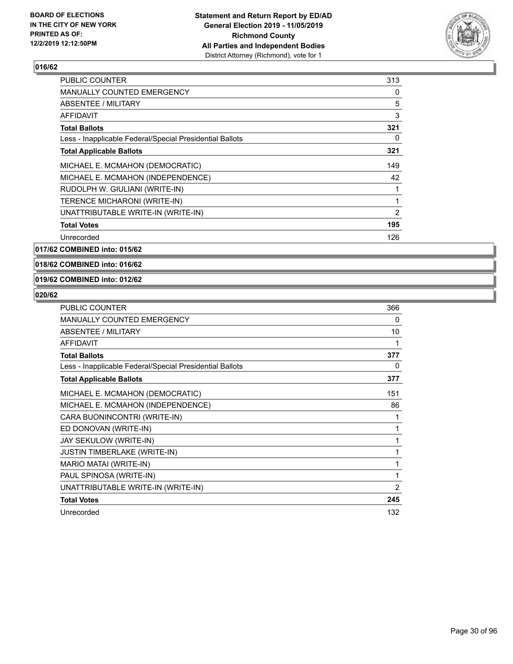

| <b>PUBLIC COUNTER</b>                                    | 313 |
|----------------------------------------------------------|-----|
| <b>MANUALLY COUNTED EMERGENCY</b>                        | 0   |
| ABSENTEE / MILITARY                                      | 5   |
| AFFIDAVIT                                                | 3   |
| Total Ballots                                            | 321 |
| Less - Inapplicable Federal/Special Presidential Ballots | 0   |
| <b>Total Applicable Ballots</b>                          | 321 |
| MICHAEL E. MCMAHON (DEMOCRATIC)                          | 149 |
| MICHAEL E. MCMAHON (INDEPENDENCE)                        | 42  |
| RUDOLPH W. GIULIANI (WRITE-IN)                           | 1   |
| TERENCE MICHARONI (WRITE-IN)                             | 1   |
| UNATTRIBUTABLE WRITE-IN (WRITE-IN)                       | 2   |
| <b>Total Votes</b>                                       | 195 |
| Unrecorded                                               | 126 |
|                                                          |     |

**017/62 COMBINED into: 015/62**

**018/62 COMBINED into: 016/62**

#### **019/62 COMBINED into: 012/62**

| PUBLIC COUNTER                                           | 366            |
|----------------------------------------------------------|----------------|
| MANUALLY COUNTED EMERGENCY                               | 0              |
| ABSENTEE / MILITARY                                      | 10             |
| <b>AFFIDAVIT</b>                                         | 1              |
| <b>Total Ballots</b>                                     | 377            |
| Less - Inapplicable Federal/Special Presidential Ballots | 0              |
| <b>Total Applicable Ballots</b>                          | 377            |
| MICHAEL E. MCMAHON (DEMOCRATIC)                          | 151            |
| MICHAEL E. MCMAHON (INDEPENDENCE)                        | 86             |
| CARA BUONINCONTRI (WRITE-IN)                             | 1              |
| ED DONOVAN (WRITE-IN)                                    | 1              |
| JAY SEKULOW (WRITE-IN)                                   | 1              |
| <b>JUSTIN TIMBERLAKE (WRITE-IN)</b>                      | 1              |
| MARIO MATAI (WRITE-IN)                                   | 1              |
| PAUL SPINOSA (WRITE-IN)                                  | 1              |
| UNATTRIBUTABLE WRITE-IN (WRITE-IN)                       | $\overline{2}$ |
| <b>Total Votes</b>                                       | 245            |
| Unrecorded                                               | 132            |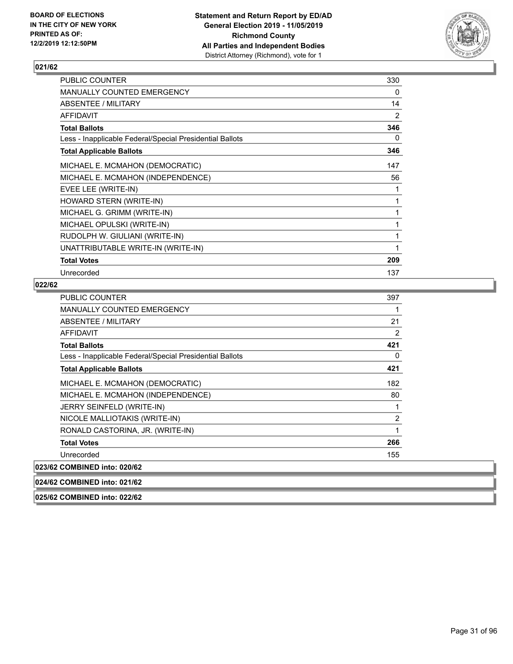

| <b>PUBLIC COUNTER</b>                                    | 330 |
|----------------------------------------------------------|-----|
| MANUALLY COUNTED EMERGENCY                               | 0   |
| ABSENTEE / MILITARY                                      | 14  |
| <b>AFFIDAVIT</b>                                         | 2   |
| <b>Total Ballots</b>                                     | 346 |
| Less - Inapplicable Federal/Special Presidential Ballots | 0   |
| <b>Total Applicable Ballots</b>                          | 346 |
| MICHAEL E. MCMAHON (DEMOCRATIC)                          | 147 |
| MICHAEL E. MCMAHON (INDEPENDENCE)                        | 56  |
| EVEE LEE (WRITE-IN)                                      | 1   |
| HOWARD STERN (WRITE-IN)                                  | 1   |
| MICHAEL G. GRIMM (WRITE-IN)                              | 1   |
| MICHAEL OPULSKI (WRITE-IN)                               | 1   |
| RUDOLPH W. GIULIANI (WRITE-IN)                           | 1   |
| UNATTRIBUTABLE WRITE-IN (WRITE-IN)                       | 1   |
| <b>Total Votes</b>                                       | 209 |
| Unrecorded                                               | 137 |

#### **022/62**

| <b>PUBLIC COUNTER</b>                                    | 397            |
|----------------------------------------------------------|----------------|
| <b>MANUALLY COUNTED EMERGENCY</b>                        | 1              |
| ABSENTEE / MILITARY                                      | 21             |
| AFFIDAVIT                                                | 2              |
| <b>Total Ballots</b>                                     | 421            |
| Less - Inapplicable Federal/Special Presidential Ballots | 0              |
| <b>Total Applicable Ballots</b>                          | 421            |
| MICHAEL E. MCMAHON (DEMOCRATIC)                          | 182            |
| MICHAEL E. MCMAHON (INDEPENDENCE)                        | 80             |
| JERRY SEINFELD (WRITE-IN)                                | 1              |
| NICOLE MALLIOTAKIS (WRITE-IN)                            | $\overline{2}$ |
| RONALD CASTORINA, JR. (WRITE-IN)                         | 1              |
| <b>Total Votes</b>                                       | 266            |
| Unrecorded                                               | 155            |
| 023/62 COMBINED into: 020/62                             |                |
| 024/62 COMBINED into: 021/62                             |                |

**025/62 COMBINED into: 022/62**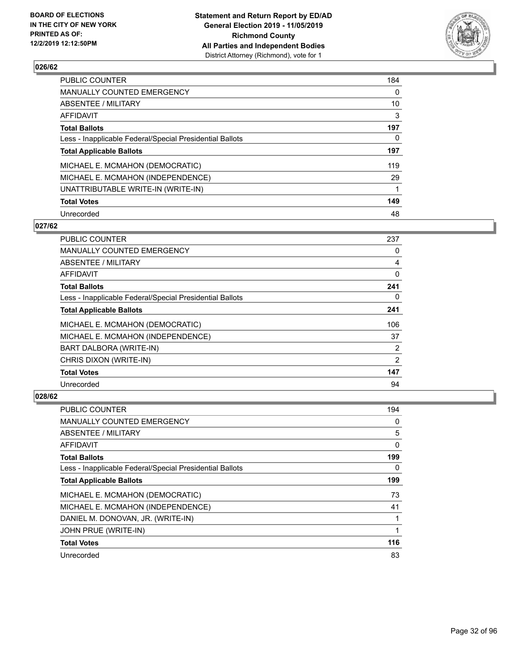

| PUBLIC COUNTER                                           | 184 |
|----------------------------------------------------------|-----|
| <b>MANUALLY COUNTED EMERGENCY</b>                        | 0   |
| <b>ABSENTEE / MILITARY</b>                               | 10  |
| <b>AFFIDAVIT</b>                                         | 3   |
| <b>Total Ballots</b>                                     | 197 |
| Less - Inapplicable Federal/Special Presidential Ballots | 0   |
| <b>Total Applicable Ballots</b>                          | 197 |
| MICHAEL E. MCMAHON (DEMOCRATIC)                          | 119 |
| MICHAEL E. MCMAHON (INDEPENDENCE)                        | 29  |
| UNATTRIBUTABLE WRITE-IN (WRITE-IN)                       |     |
| <b>Total Votes</b>                                       | 149 |
| Unrecorded                                               | 48  |

#### **027/62**

| PUBLIC COUNTER                                           | 237      |
|----------------------------------------------------------|----------|
| <b>MANUALLY COUNTED EMERGENCY</b>                        | 0        |
| ABSENTEE / MILITARY                                      | 4        |
| AFFIDAVIT                                                | 0        |
| <b>Total Ballots</b>                                     | 241      |
| Less - Inapplicable Federal/Special Presidential Ballots | $\Omega$ |
| <b>Total Applicable Ballots</b>                          | 241      |
| MICHAEL E. MCMAHON (DEMOCRATIC)                          | 106      |
| MICHAEL E. MCMAHON (INDEPENDENCE)                        | 37       |
| BART DALBORA (WRITE-IN)                                  | 2        |
| CHRIS DIXON (WRITE-IN)                                   | 2        |
| <b>Total Votes</b>                                       | 147      |
| Unrecorded                                               | 94       |

| PUBLIC COUNTER                                           | 194 |
|----------------------------------------------------------|-----|
| MANUALLY COUNTED EMERGENCY                               | 0   |
| ABSENTEE / MILITARY                                      | 5   |
| AFFIDAVIT                                                | 0   |
| <b>Total Ballots</b>                                     | 199 |
| Less - Inapplicable Federal/Special Presidential Ballots | 0   |
| <b>Total Applicable Ballots</b>                          | 199 |
| MICHAEL E. MCMAHON (DEMOCRATIC)                          | 73  |
| MICHAEL E. MCMAHON (INDEPENDENCE)                        | 41  |
| DANIEL M. DONOVAN, JR. (WRITE-IN)                        |     |
| JOHN PRUE (WRITE-IN)                                     |     |
| <b>Total Votes</b>                                       | 116 |
| Unrecorded                                               | 83  |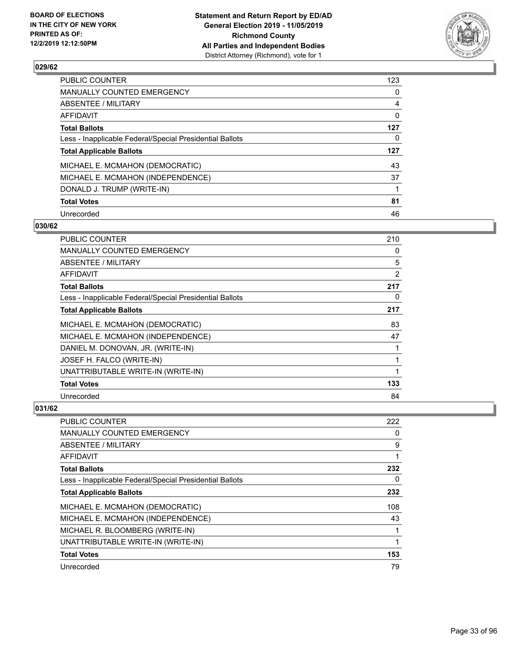

| <b>PUBLIC COUNTER</b>                                    | 123 |
|----------------------------------------------------------|-----|
| <b>MANUALLY COUNTED EMERGENCY</b>                        | 0   |
| ABSENTEE / MILITARY                                      | 4   |
| <b>AFFIDAVIT</b>                                         | 0   |
| <b>Total Ballots</b>                                     | 127 |
| Less - Inapplicable Federal/Special Presidential Ballots | 0   |
| <b>Total Applicable Ballots</b>                          | 127 |
| MICHAEL E. MCMAHON (DEMOCRATIC)                          | 43  |
| MICHAEL E. MCMAHON (INDEPENDENCE)                        | 37  |
| DONALD J. TRUMP (WRITE-IN)                               | 1   |
| <b>Total Votes</b>                                       | 81  |
| Unrecorded                                               | 46  |

#### **030/62**

| PUBLIC COUNTER                                           | 210 |
|----------------------------------------------------------|-----|
| MANUALLY COUNTED EMERGENCY                               | 0   |
| ABSENTEE / MILITARY                                      | 5   |
| AFFIDAVIT                                                | 2   |
| <b>Total Ballots</b>                                     | 217 |
| Less - Inapplicable Federal/Special Presidential Ballots | 0   |
| <b>Total Applicable Ballots</b>                          | 217 |
| MICHAEL E. MCMAHON (DEMOCRATIC)                          | 83  |
| MICHAEL E. MCMAHON (INDEPENDENCE)                        | 47  |
| DANIEL M. DONOVAN, JR. (WRITE-IN)                        | 1   |
| JOSEF H. FALCO (WRITE-IN)                                | 1   |
| UNATTRIBUTABLE WRITE-IN (WRITE-IN)                       | 1   |
| <b>Total Votes</b>                                       | 133 |
| Unrecorded                                               | 84  |

| PUBLIC COUNTER                                           | 222 |
|----------------------------------------------------------|-----|
| MANUALLY COUNTED EMERGENCY                               | 0   |
| ABSENTEE / MILITARY                                      | 9   |
| AFFIDAVIT                                                | 1   |
| <b>Total Ballots</b>                                     | 232 |
| Less - Inapplicable Federal/Special Presidential Ballots | 0   |
| <b>Total Applicable Ballots</b>                          | 232 |
| MICHAEL E. MCMAHON (DEMOCRATIC)                          | 108 |
| MICHAEL E. MCMAHON (INDEPENDENCE)                        | 43  |
| MICHAEL R. BLOOMBERG (WRITE-IN)                          | 1   |
| UNATTRIBUTABLE WRITE-IN (WRITE-IN)                       | 1   |
| <b>Total Votes</b>                                       | 153 |
| Unrecorded                                               | 79  |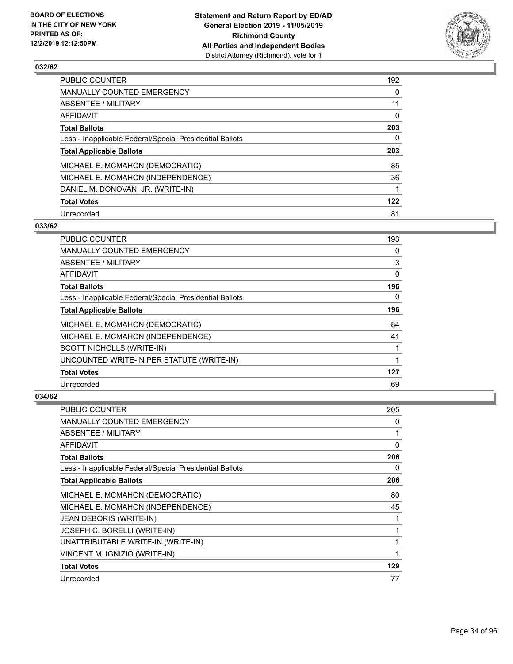

| PUBLIC COUNTER                                           | 192      |
|----------------------------------------------------------|----------|
| <b>MANUALLY COUNTED EMERGENCY</b>                        | 0        |
| <b>ABSENTEE / MILITARY</b>                               | 11       |
| <b>AFFIDAVIT</b>                                         | $\Omega$ |
| <b>Total Ballots</b>                                     | 203      |
| Less - Inapplicable Federal/Special Presidential Ballots | 0        |
| <b>Total Applicable Ballots</b>                          | 203      |
| MICHAEL E. MCMAHON (DEMOCRATIC)                          | 85       |
| MICHAEL E. MCMAHON (INDEPENDENCE)                        | 36       |
| DANIEL M. DONOVAN, JR. (WRITE-IN)                        |          |
| <b>Total Votes</b>                                       | 122      |
| Unrecorded                                               | 81       |

#### **033/62**

| PUBLIC COUNTER                                           | 193      |
|----------------------------------------------------------|----------|
| <b>MANUALLY COUNTED EMERGENCY</b>                        | 0        |
| ABSENTEE / MILITARY                                      | 3        |
| <b>AFFIDAVIT</b>                                         | 0        |
| <b>Total Ballots</b>                                     | 196      |
| Less - Inapplicable Federal/Special Presidential Ballots | $\Omega$ |
| <b>Total Applicable Ballots</b>                          | 196      |
| MICHAEL E. MCMAHON (DEMOCRATIC)                          | 84       |
| MICHAEL E. MCMAHON (INDEPENDENCE)                        | 41       |
| SCOTT NICHOLLS (WRITE-IN)                                |          |
| UNCOUNTED WRITE-IN PER STATUTE (WRITE-IN)                | 1        |
| <b>Total Votes</b>                                       | 127      |
| Unrecorded                                               | 69       |

| <b>PUBLIC COUNTER</b>                                    | 205 |
|----------------------------------------------------------|-----|
| <b>MANUALLY COUNTED EMERGENCY</b>                        | 0   |
| ABSENTEE / MILITARY                                      | 1   |
| AFFIDAVIT                                                | 0   |
| <b>Total Ballots</b>                                     | 206 |
| Less - Inapplicable Federal/Special Presidential Ballots | 0   |
| <b>Total Applicable Ballots</b>                          | 206 |
| MICHAEL E. MCMAHON (DEMOCRATIC)                          | 80  |
| MICHAEL E. MCMAHON (INDEPENDENCE)                        | 45  |
| JEAN DEBORIS (WRITE-IN)                                  | 1   |
| JOSEPH C. BORELLI (WRITE-IN)                             | 1   |
| UNATTRIBUTABLE WRITE-IN (WRITE-IN)                       |     |
| VINCENT M. IGNIZIO (WRITE-IN)                            | 1   |
| <b>Total Votes</b>                                       | 129 |
| Unrecorded                                               | 77  |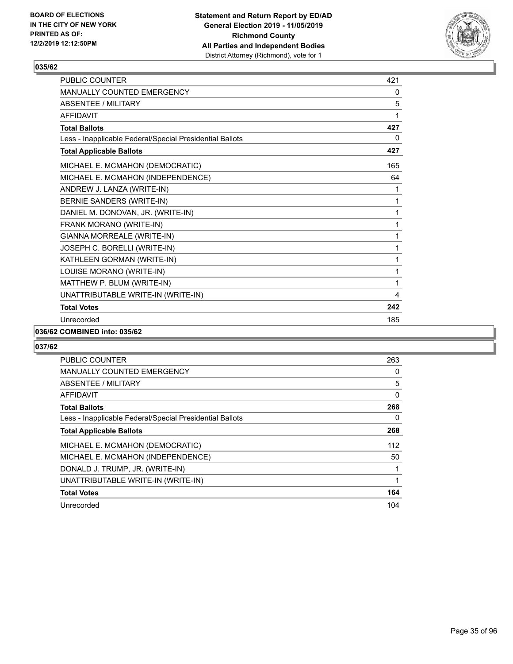

| <b>PUBLIC COUNTER</b>                                    | 421 |
|----------------------------------------------------------|-----|
| <b>MANUALLY COUNTED EMERGENCY</b>                        | 0   |
| <b>ABSENTEE / MILITARY</b>                               | 5   |
| <b>AFFIDAVIT</b>                                         |     |
| <b>Total Ballots</b>                                     | 427 |
| Less - Inapplicable Federal/Special Presidential Ballots | 0   |
| <b>Total Applicable Ballots</b>                          | 427 |
| MICHAEL E. MCMAHON (DEMOCRATIC)                          | 165 |
| MICHAEL E. MCMAHON (INDEPENDENCE)                        | 64  |
| ANDREW J. LANZA (WRITE-IN)                               | 1   |
| <b>BERNIE SANDERS (WRITE-IN)</b>                         | 1   |
| DANIEL M. DONOVAN, JR. (WRITE-IN)                        | 1   |
| FRANK MORANO (WRITE-IN)                                  | 1   |
| GIANNA MORREALE (WRITE-IN)                               | 1   |
| JOSEPH C. BORELLI (WRITE-IN)                             | 1   |
| KATHLEEN GORMAN (WRITE-IN)                               | 1   |
| LOUISE MORANO (WRITE-IN)                                 | 1   |
| MATTHEW P. BLUM (WRITE-IN)                               | 1   |
| UNATTRIBUTABLE WRITE-IN (WRITE-IN)                       | 4   |
| <b>Total Votes</b>                                       | 242 |
| Unrecorded                                               | 185 |

#### **036/62 COMBINED into: 035/62**

| <b>PUBLIC COUNTER</b>                                    | 263 |
|----------------------------------------------------------|-----|
| <b>MANUALLY COUNTED EMERGENCY</b>                        | 0   |
| ABSENTEE / MILITARY                                      | 5   |
| AFFIDAVIT                                                | 0   |
| <b>Total Ballots</b>                                     | 268 |
| Less - Inapplicable Federal/Special Presidential Ballots | 0   |
| <b>Total Applicable Ballots</b>                          | 268 |
| MICHAEL E. MCMAHON (DEMOCRATIC)                          | 112 |
| MICHAEL E. MCMAHON (INDEPENDENCE)                        | 50  |
| DONALD J. TRUMP, JR. (WRITE-IN)                          | 1   |
| UNATTRIBUTABLE WRITE-IN (WRITE-IN)                       | 1   |
| <b>Total Votes</b>                                       | 164 |
| Unrecorded                                               | 104 |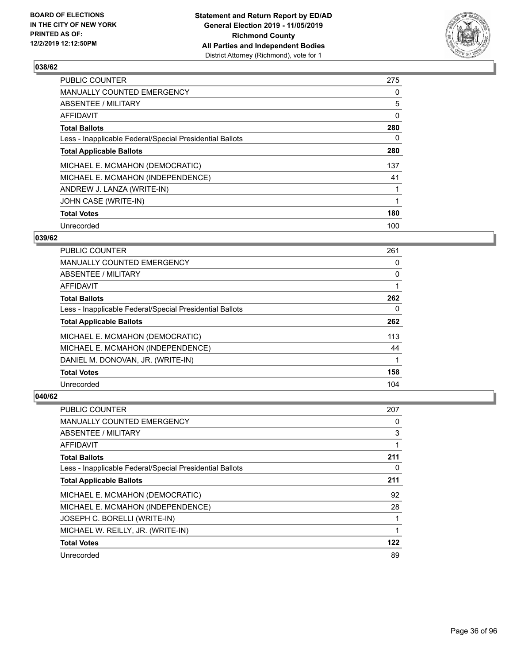

| <b>PUBLIC COUNTER</b>                                    | 275      |
|----------------------------------------------------------|----------|
| <b>MANUALLY COUNTED EMERGENCY</b>                        | 0        |
| ABSENTEE / MILITARY                                      | 5        |
| AFFIDAVIT                                                | $\Omega$ |
| <b>Total Ballots</b>                                     | 280      |
| Less - Inapplicable Federal/Special Presidential Ballots | 0        |
| <b>Total Applicable Ballots</b>                          | 280      |
| MICHAEL E. MCMAHON (DEMOCRATIC)                          | 137      |
| MICHAEL E. MCMAHON (INDEPENDENCE)                        | 41       |
| ANDREW J. LANZA (WRITE-IN)                               |          |
| JOHN CASE (WRITE-IN)                                     |          |
| <b>Total Votes</b>                                       | 180      |
| Unrecorded                                               | 100      |

#### **039/62**

| <b>PUBLIC COUNTER</b>                                    | 261      |
|----------------------------------------------------------|----------|
| <b>MANUALLY COUNTED EMERGENCY</b>                        | 0        |
| <b>ABSENTEE / MILITARY</b>                               | $\Omega$ |
| <b>AFFIDAVIT</b>                                         |          |
| <b>Total Ballots</b>                                     | 262      |
| Less - Inapplicable Federal/Special Presidential Ballots | $\Omega$ |
| <b>Total Applicable Ballots</b>                          | 262      |
| MICHAEL E. MCMAHON (DEMOCRATIC)                          | 113      |
| MICHAEL E. MCMAHON (INDEPENDENCE)                        | 44       |
| DANIEL M. DONOVAN, JR. (WRITE-IN)                        |          |
| <b>Total Votes</b>                                       | 158      |
| Unrecorded                                               | 104      |

| PUBLIC COUNTER                                           | 207 |
|----------------------------------------------------------|-----|
| MANUALLY COUNTED EMERGENCY                               | 0   |
| ABSENTEE / MILITARY                                      | 3   |
| AFFIDAVIT                                                |     |
| <b>Total Ballots</b>                                     | 211 |
| Less - Inapplicable Federal/Special Presidential Ballots | 0   |
| <b>Total Applicable Ballots</b>                          | 211 |
| MICHAEL E. MCMAHON (DEMOCRATIC)                          | 92  |
| MICHAEL E. MCMAHON (INDEPENDENCE)                        | 28  |
| JOSEPH C. BORELLI (WRITE-IN)                             | 1   |
| MICHAEL W. REILLY, JR. (WRITE-IN)                        | 1   |
| <b>Total Votes</b>                                       | 122 |
| Unrecorded                                               | 89  |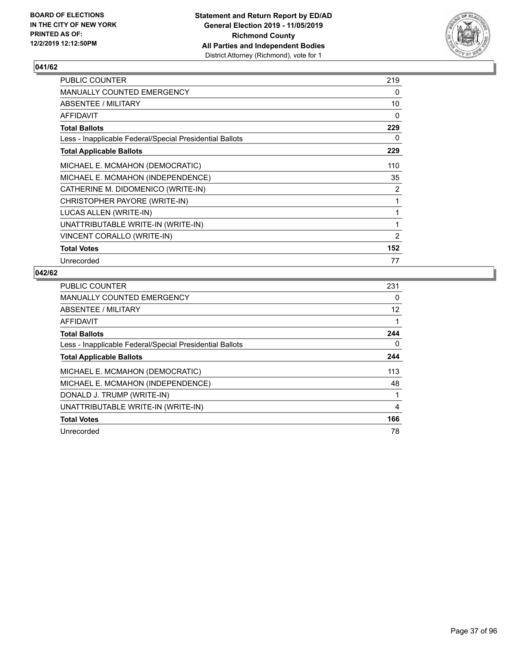

| <b>PUBLIC COUNTER</b>                                    | 219            |
|----------------------------------------------------------|----------------|
| <b>MANUALLY COUNTED EMERGENCY</b>                        | 0              |
| ABSENTEE / MILITARY                                      | 10             |
| AFFIDAVIT                                                | 0              |
| Total Ballots                                            | 229            |
| Less - Inapplicable Federal/Special Presidential Ballots | 0              |
| <b>Total Applicable Ballots</b>                          | 229            |
| MICHAEL E. MCMAHON (DEMOCRATIC)                          | 110            |
| MICHAEL E. MCMAHON (INDEPENDENCE)                        | 35             |
| CATHERINE M. DIDOMENICO (WRITE-IN)                       | $\overline{2}$ |
| CHRISTOPHER PAYORE (WRITE-IN)                            | 1              |
| LUCAS ALLEN (WRITE-IN)                                   | 1              |
| UNATTRIBUTABLE WRITE-IN (WRITE-IN)                       | 1              |
| VINCENT CORALLO (WRITE-IN)                               | 2              |
| <b>Total Votes</b>                                       | 152            |
| Unrecorded                                               | 77             |

| <b>PUBLIC COUNTER</b>                                    | 231      |
|----------------------------------------------------------|----------|
| <b>MANUALLY COUNTED EMERGENCY</b>                        | 0        |
| ABSENTEE / MILITARY                                      | 12       |
| AFFIDAVIT                                                |          |
| <b>Total Ballots</b>                                     | 244      |
| Less - Inapplicable Federal/Special Presidential Ballots | $\Omega$ |
| <b>Total Applicable Ballots</b>                          | 244      |
| MICHAEL E. MCMAHON (DEMOCRATIC)                          | 113      |
| MICHAEL E. MCMAHON (INDEPENDENCE)                        | 48       |
| DONALD J. TRUMP (WRITE-IN)                               |          |
| UNATTRIBUTABLE WRITE-IN (WRITE-IN)                       | 4        |
| <b>Total Votes</b>                                       | 166      |
| Unrecorded                                               | 78       |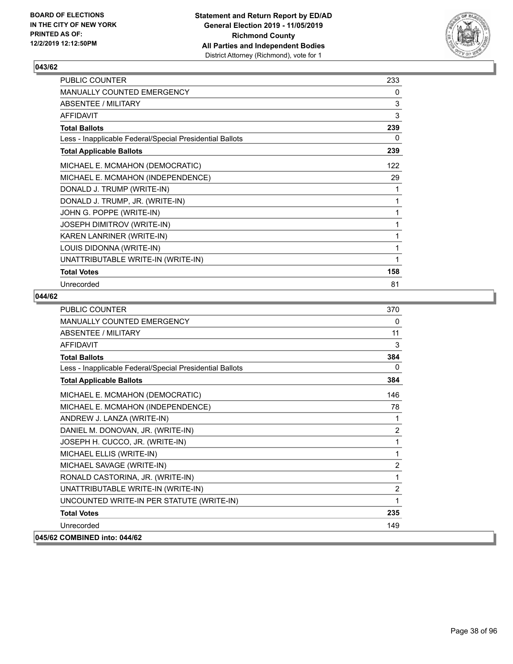

| PUBLIC COUNTER                                           | 233 |
|----------------------------------------------------------|-----|
| <b>MANUALLY COUNTED EMERGENCY</b>                        | 0   |
| ABSENTEE / MILITARY                                      | 3   |
| <b>AFFIDAVIT</b>                                         | 3   |
| <b>Total Ballots</b>                                     | 239 |
| Less - Inapplicable Federal/Special Presidential Ballots | 0   |
| <b>Total Applicable Ballots</b>                          | 239 |
| MICHAEL E. MCMAHON (DEMOCRATIC)                          | 122 |
| MICHAEL E. MCMAHON (INDEPENDENCE)                        | 29  |
| DONALD J. TRUMP (WRITE-IN)                               | 1   |
| DONALD J. TRUMP, JR. (WRITE-IN)                          | 1   |
| JOHN G. POPPE (WRITE-IN)                                 | 1   |
| JOSEPH DIMITROV (WRITE-IN)                               | 1   |
| KAREN LANRINER (WRITE-IN)                                |     |
| LOUIS DIDONNA (WRITE-IN)                                 | 1   |
| UNATTRIBUTABLE WRITE-IN (WRITE-IN)                       | 1   |
| <b>Total Votes</b>                                       | 158 |
| Unrecorded                                               | 81  |

| <b>PUBLIC COUNTER</b>                                    | 370            |
|----------------------------------------------------------|----------------|
| MANUALLY COUNTED EMERGENCY                               | 0              |
| ABSENTEE / MILITARY                                      | 11             |
| <b>AFFIDAVIT</b>                                         | 3              |
| <b>Total Ballots</b>                                     | 384            |
| Less - Inapplicable Federal/Special Presidential Ballots | 0              |
| <b>Total Applicable Ballots</b>                          | 384            |
| MICHAEL E. MCMAHON (DEMOCRATIC)                          | 146            |
| MICHAEL E. MCMAHON (INDEPENDENCE)                        | 78             |
| ANDREW J. LANZA (WRITE-IN)                               | 1              |
| DANIEL M. DONOVAN, JR. (WRITE-IN)                        | $\overline{2}$ |
| JOSEPH H. CUCCO, JR. (WRITE-IN)                          | 1              |
| MICHAEL ELLIS (WRITE-IN)                                 | 1              |
| MICHAEL SAVAGE (WRITE-IN)                                | 2              |
| RONALD CASTORINA, JR. (WRITE-IN)                         | 1              |
| UNATTRIBUTABLE WRITE-IN (WRITE-IN)                       | $\overline{2}$ |
| UNCOUNTED WRITE-IN PER STATUTE (WRITE-IN)                | 1              |
| <b>Total Votes</b>                                       | 235            |
| Unrecorded                                               | 149            |
| 045/62 COMBINED into: 044/62                             |                |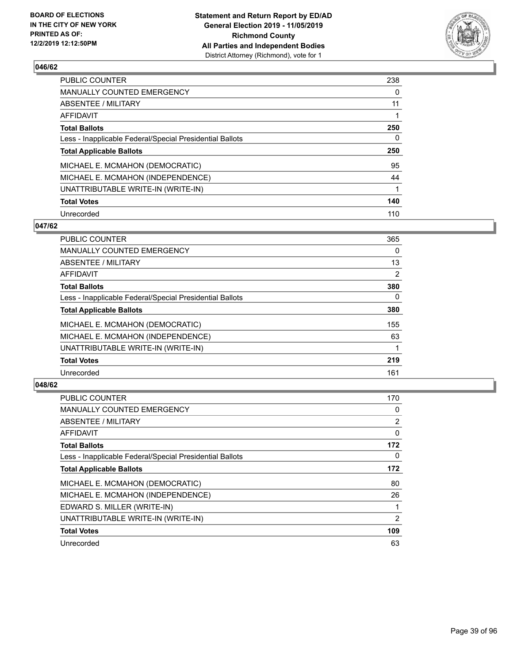

| PUBLIC COUNTER                                           | 238      |
|----------------------------------------------------------|----------|
| <b>MANUALLY COUNTED EMERGENCY</b>                        | $\Omega$ |
| <b>ABSENTEE / MILITARY</b>                               | 11       |
| <b>AFFIDAVIT</b>                                         |          |
| <b>Total Ballots</b>                                     | 250      |
| Less - Inapplicable Federal/Special Presidential Ballots | 0        |
| <b>Total Applicable Ballots</b>                          | 250      |
| MICHAEL E. MCMAHON (DEMOCRATIC)                          | 95       |
| MICHAEL E. MCMAHON (INDEPENDENCE)                        | 44       |
|                                                          |          |
| UNATTRIBUTABLE WRITE-IN (WRITE-IN)                       |          |
| <b>Total Votes</b>                                       | 140      |

#### **047/62**

| <b>PUBLIC COUNTER</b>                                    | 365      |
|----------------------------------------------------------|----------|
| MANUALLY COUNTED EMERGENCY                               | $\Omega$ |
| ABSENTEE / MILITARY                                      | 13       |
| <b>AFFIDAVIT</b>                                         | 2        |
| <b>Total Ballots</b>                                     | 380      |
| Less - Inapplicable Federal/Special Presidential Ballots | $\Omega$ |
| <b>Total Applicable Ballots</b>                          | 380      |
| MICHAEL E. MCMAHON (DEMOCRATIC)                          | 155      |
| MICHAEL E. MCMAHON (INDEPENDENCE)                        | 63       |
| UNATTRIBUTABLE WRITE-IN (WRITE-IN)                       |          |
| <b>Total Votes</b>                                       | 219      |
| Unrecorded                                               | 161      |

| <b>PUBLIC COUNTER</b>                                    | 170 |
|----------------------------------------------------------|-----|
| <b>MANUALLY COUNTED EMERGENCY</b>                        | 0   |
| ABSENTEE / MILITARY                                      | 2   |
| AFFIDAVIT                                                | 0   |
| <b>Total Ballots</b>                                     | 172 |
| Less - Inapplicable Federal/Special Presidential Ballots | 0   |
| <b>Total Applicable Ballots</b>                          | 172 |
| MICHAEL E. MCMAHON (DEMOCRATIC)                          | 80  |
| MICHAEL E. MCMAHON (INDEPENDENCE)                        | 26  |
| EDWARD S. MILLER (WRITE-IN)                              |     |
| UNATTRIBUTABLE WRITE-IN (WRITE-IN)                       | 2   |
| <b>Total Votes</b>                                       | 109 |
| Unrecorded                                               | 63  |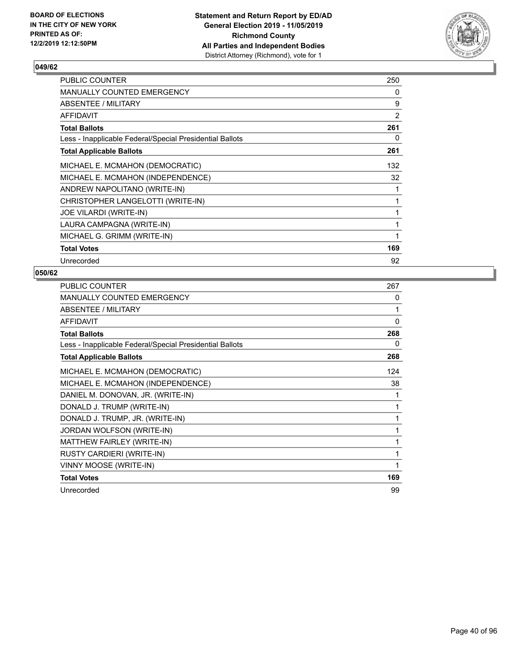

| <b>PUBLIC COUNTER</b>                                    | 250            |
|----------------------------------------------------------|----------------|
| MANUALLY COUNTED EMERGENCY                               | 0              |
| ABSENTEE / MILITARY                                      | 9              |
| AFFIDAVIT                                                | $\overline{2}$ |
| <b>Total Ballots</b>                                     | 261            |
| Less - Inapplicable Federal/Special Presidential Ballots | 0              |
| <b>Total Applicable Ballots</b>                          | 261            |
| MICHAEL E. MCMAHON (DEMOCRATIC)                          | 132            |
| MICHAEL E. MCMAHON (INDEPENDENCE)                        | 32             |
| ANDREW NAPOLITANO (WRITE-IN)                             | 1              |
| CHRISTOPHER LANGELOTTI (WRITE-IN)                        | 1              |
| <b>JOE VILARDI (WRITE-IN)</b>                            | 1              |
| LAURA CAMPAGNA (WRITE-IN)                                | 1              |
| MICHAEL G. GRIMM (WRITE-IN)                              | 1              |
| <b>Total Votes</b>                                       | 169            |
| Unrecorded                                               | 92             |

| <b>PUBLIC COUNTER</b>                                    | 267          |
|----------------------------------------------------------|--------------|
| MANUALLY COUNTED EMERGENCY                               | 0            |
| ABSENTEE / MILITARY                                      | 1            |
| <b>AFFIDAVIT</b>                                         | $\mathbf{0}$ |
| <b>Total Ballots</b>                                     | 268          |
| Less - Inapplicable Federal/Special Presidential Ballots | 0            |
| <b>Total Applicable Ballots</b>                          | 268          |
| MICHAEL E. MCMAHON (DEMOCRATIC)                          | 124          |
| MICHAEL E. MCMAHON (INDEPENDENCE)                        | 38           |
| DANIEL M. DONOVAN, JR. (WRITE-IN)                        |              |
| DONALD J. TRUMP (WRITE-IN)                               |              |
| DONALD J. TRUMP, JR. (WRITE-IN)                          |              |
| JORDAN WOLFSON (WRITE-IN)                                | 1            |
| MATTHEW FAIRLEY (WRITE-IN)                               | 1            |
| <b>RUSTY CARDIERI (WRITE-IN)</b>                         | 1            |
| VINNY MOOSE (WRITE-IN)                                   |              |
| <b>Total Votes</b>                                       | 169          |
| Unrecorded                                               | 99           |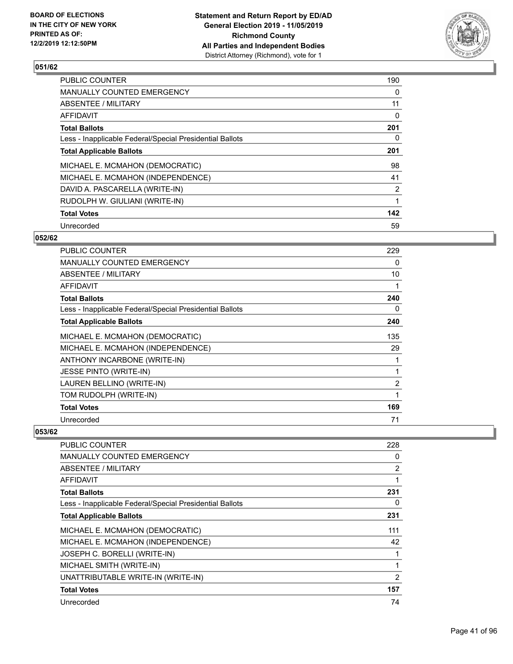

| <b>PUBLIC COUNTER</b>                                    | 190            |
|----------------------------------------------------------|----------------|
| <b>MANUALLY COUNTED EMERGENCY</b>                        | 0              |
| ABSENTEE / MILITARY                                      | 11             |
| AFFIDAVIT                                                | $\Omega$       |
| <b>Total Ballots</b>                                     | 201            |
| Less - Inapplicable Federal/Special Presidential Ballots | 0              |
| <b>Total Applicable Ballots</b>                          | 201            |
| MICHAEL E. MCMAHON (DEMOCRATIC)                          | 98             |
| MICHAEL E. MCMAHON (INDEPENDENCE)                        | 41             |
| DAVID A. PASCARELLA (WRITE-IN)                           | $\overline{2}$ |
| RUDOLPH W. GIULIANI (WRITE-IN)                           | 1              |
| <b>Total Votes</b>                                       | 142            |
| Unrecorded                                               | 59             |

#### **052/62**

| PUBLIC COUNTER                                           | 229            |
|----------------------------------------------------------|----------------|
| <b>MANUALLY COUNTED EMERGENCY</b>                        | 0              |
| <b>ABSENTEE / MILITARY</b>                               | 10             |
| <b>AFFIDAVIT</b>                                         | 1              |
| <b>Total Ballots</b>                                     | 240            |
| Less - Inapplicable Federal/Special Presidential Ballots | 0              |
| <b>Total Applicable Ballots</b>                          | 240            |
| MICHAEL E. MCMAHON (DEMOCRATIC)                          | 135            |
| MICHAEL E. MCMAHON (INDEPENDENCE)                        | 29             |
| ANTHONY INCARBONE (WRITE-IN)                             | 1              |
| <b>JESSE PINTO (WRITE-IN)</b>                            | 1              |
| LAUREN BELLINO (WRITE-IN)                                | $\overline{2}$ |
| TOM RUDOLPH (WRITE-IN)                                   | 1              |
| <b>Total Votes</b>                                       | 169            |
| Unrecorded                                               | 71             |

| PUBLIC COUNTER                                           | 228            |
|----------------------------------------------------------|----------------|
| <b>MANUALLY COUNTED EMERGENCY</b>                        | 0              |
| ABSENTEE / MILITARY                                      | $\overline{2}$ |
| <b>AFFIDAVIT</b>                                         |                |
| <b>Total Ballots</b>                                     | 231            |
| Less - Inapplicable Federal/Special Presidential Ballots | 0              |
| <b>Total Applicable Ballots</b>                          | 231            |
| MICHAEL E. MCMAHON (DEMOCRATIC)                          | 111            |
| MICHAEL E. MCMAHON (INDEPENDENCE)                        | 42             |
| JOSEPH C. BORELLI (WRITE-IN)                             |                |
| MICHAEL SMITH (WRITE-IN)                                 |                |
| UNATTRIBUTABLE WRITE-IN (WRITE-IN)                       | 2              |
| <b>Total Votes</b>                                       | 157            |
| Unrecorded                                               | 74             |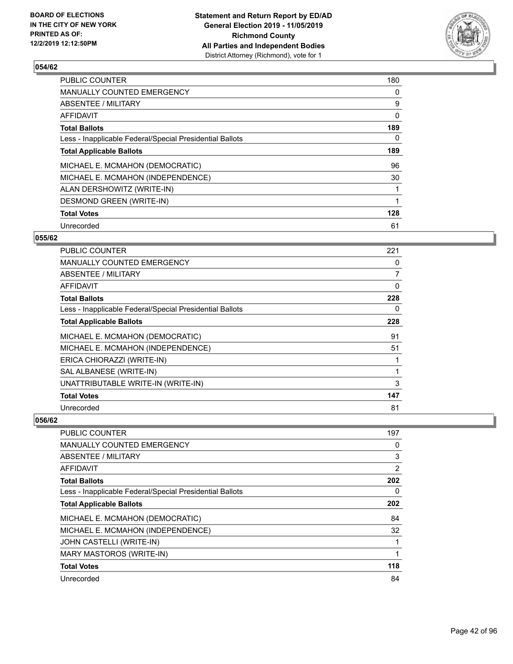

| <b>PUBLIC COUNTER</b>                                    | 180 |
|----------------------------------------------------------|-----|
| <b>MANUALLY COUNTED EMERGENCY</b>                        | 0   |
| ABSENTEE / MILITARY                                      | 9   |
| AFFIDAVIT                                                | 0   |
| <b>Total Ballots</b>                                     | 189 |
| Less - Inapplicable Federal/Special Presidential Ballots | 0   |
| <b>Total Applicable Ballots</b>                          | 189 |
| MICHAEL E. MCMAHON (DEMOCRATIC)                          | 96  |
| MICHAEL E. MCMAHON (INDEPENDENCE)                        | 30  |
| ALAN DERSHOWITZ (WRITE-IN)                               |     |
| <b>DESMOND GREEN (WRITE-IN)</b>                          |     |
| <b>Total Votes</b>                                       | 128 |
| Unrecorded                                               | 61  |

### **055/62**

| PUBLIC COUNTER                                           | 221      |
|----------------------------------------------------------|----------|
| <b>MANUALLY COUNTED EMERGENCY</b>                        | 0        |
| ABSENTEE / MILITARY                                      | 7        |
| <b>AFFIDAVIT</b>                                         | $\Omega$ |
| <b>Total Ballots</b>                                     | 228      |
| Less - Inapplicable Federal/Special Presidential Ballots | 0        |
| <b>Total Applicable Ballots</b>                          | 228      |
| MICHAEL E. MCMAHON (DEMOCRATIC)                          | 91       |
| MICHAEL E. MCMAHON (INDEPENDENCE)                        | 51       |
| ERICA CHIORAZZI (WRITE-IN)                               | 1        |
| SAL ALBANESE (WRITE-IN)                                  | 1        |
| UNATTRIBUTABLE WRITE-IN (WRITE-IN)                       | 3        |
| <b>Total Votes</b>                                       | 147      |
| Unrecorded                                               | 81       |

| PUBLIC COUNTER                                           | 197 |
|----------------------------------------------------------|-----|
| MANUALLY COUNTED EMERGENCY                               | 0   |
| ABSENTEE / MILITARY                                      | 3   |
| AFFIDAVIT                                                | 2   |
| <b>Total Ballots</b>                                     | 202 |
| Less - Inapplicable Federal/Special Presidential Ballots | 0   |
| <b>Total Applicable Ballots</b>                          | 202 |
| MICHAEL E. MCMAHON (DEMOCRATIC)                          | 84  |
| MICHAEL E. MCMAHON (INDEPENDENCE)                        | 32  |
| JOHN CASTELLI (WRITE-IN)                                 |     |
| MARY MASTOROS (WRITE-IN)                                 |     |
| <b>Total Votes</b>                                       | 118 |
| Unrecorded                                               | 84  |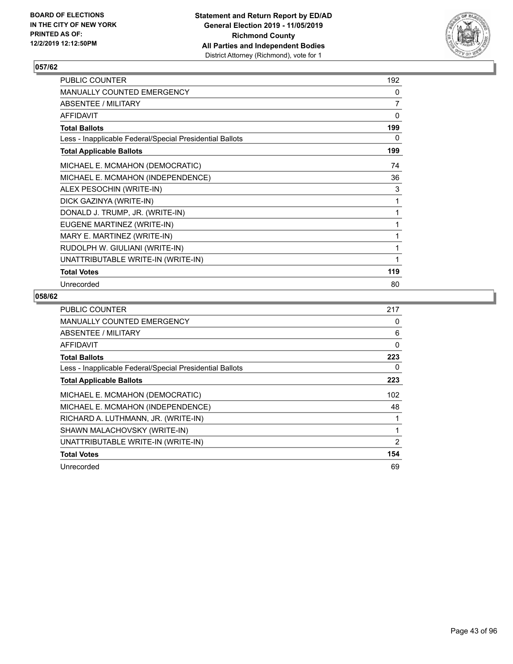

| PUBLIC COUNTER                                           | 192 |
|----------------------------------------------------------|-----|
| MANUALLY COUNTED EMERGENCY                               | 0   |
| ABSENTEE / MILITARY                                      | 7   |
| <b>AFFIDAVIT</b>                                         | 0   |
| <b>Total Ballots</b>                                     | 199 |
| Less - Inapplicable Federal/Special Presidential Ballots | 0   |
| <b>Total Applicable Ballots</b>                          | 199 |
| MICHAEL E. MCMAHON (DEMOCRATIC)                          | 74  |
| MICHAEL E. MCMAHON (INDEPENDENCE)                        | 36  |
| ALEX PESOCHIN (WRITE-IN)                                 | 3   |
| DICK GAZINYA (WRITE-IN)                                  | 1   |
| DONALD J. TRUMP, JR. (WRITE-IN)                          | 1   |
| EUGENE MARTINEZ (WRITE-IN)                               | 1   |
| MARY E. MARTINEZ (WRITE-IN)                              | 1   |
| RUDOLPH W. GIULIANI (WRITE-IN)                           | 1   |
| UNATTRIBUTABLE WRITE-IN (WRITE-IN)                       | 1   |
| <b>Total Votes</b>                                       | 119 |
| Unrecorded                                               | 80  |

| <b>PUBLIC COUNTER</b>                                    | 217 |
|----------------------------------------------------------|-----|
| <b>MANUALLY COUNTED EMERGENCY</b>                        | 0   |
| ABSENTEE / MILITARY                                      | 6   |
| AFFIDAVIT                                                | 0   |
| <b>Total Ballots</b>                                     | 223 |
| Less - Inapplicable Federal/Special Presidential Ballots | 0   |
| <b>Total Applicable Ballots</b>                          | 223 |
| MICHAEL E. MCMAHON (DEMOCRATIC)                          | 102 |
| MICHAEL E. MCMAHON (INDEPENDENCE)                        | 48  |
| RICHARD A. LUTHMANN, JR. (WRITE-IN)                      |     |
| SHAWN MALACHOVSKY (WRITE-IN)                             | 1   |
| UNATTRIBUTABLE WRITE-IN (WRITE-IN)                       | 2   |
| <b>Total Votes</b>                                       | 154 |
| Unrecorded                                               | 69  |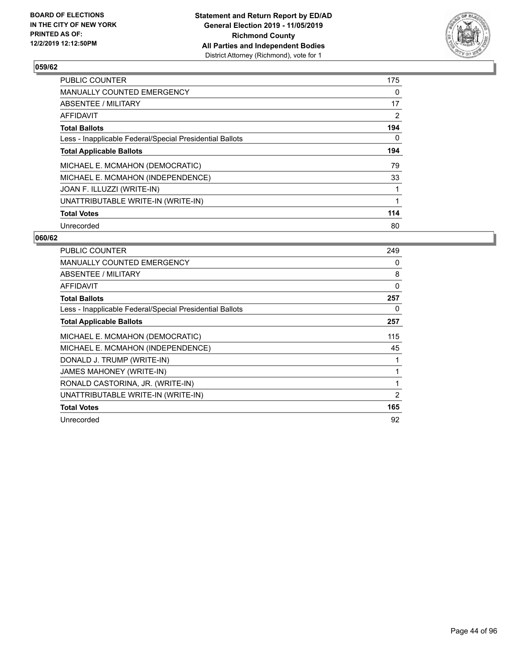

| <b>PUBLIC COUNTER</b>                                    | 175 |
|----------------------------------------------------------|-----|
| <b>MANUALLY COUNTED EMERGENCY</b>                        | 0   |
| ABSENTEE / MILITARY                                      | 17  |
| AFFIDAVIT                                                | 2   |
| <b>Total Ballots</b>                                     | 194 |
| Less - Inapplicable Federal/Special Presidential Ballots | 0   |
| <b>Total Applicable Ballots</b>                          | 194 |
| MICHAEL E. MCMAHON (DEMOCRATIC)                          | 79  |
| MICHAEL E. MCMAHON (INDEPENDENCE)                        | 33  |
| JOAN F. ILLUZZI (WRITE-IN)                               | 1   |
| UNATTRIBUTABLE WRITE-IN (WRITE-IN)                       | 1   |
| <b>Total Votes</b>                                       | 114 |
| Unrecorded                                               | 80  |

| <b>PUBLIC COUNTER</b>                                    | 249 |
|----------------------------------------------------------|-----|
| <b>MANUALLY COUNTED EMERGENCY</b>                        | 0   |
| <b>ABSENTEE / MILITARY</b>                               | 8   |
| <b>AFFIDAVIT</b>                                         | 0   |
| <b>Total Ballots</b>                                     | 257 |
| Less - Inapplicable Federal/Special Presidential Ballots | 0   |
| <b>Total Applicable Ballots</b>                          | 257 |
| MICHAEL E. MCMAHON (DEMOCRATIC)                          | 115 |
| MICHAEL E. MCMAHON (INDEPENDENCE)                        | 45  |
| DONALD J. TRUMP (WRITE-IN)                               |     |
| JAMES MAHONEY (WRITE-IN)                                 | 1   |
| RONALD CASTORINA, JR. (WRITE-IN)                         | 1   |
| UNATTRIBUTABLE WRITE-IN (WRITE-IN)                       | 2   |
| <b>Total Votes</b>                                       | 165 |
| Unrecorded                                               | 92  |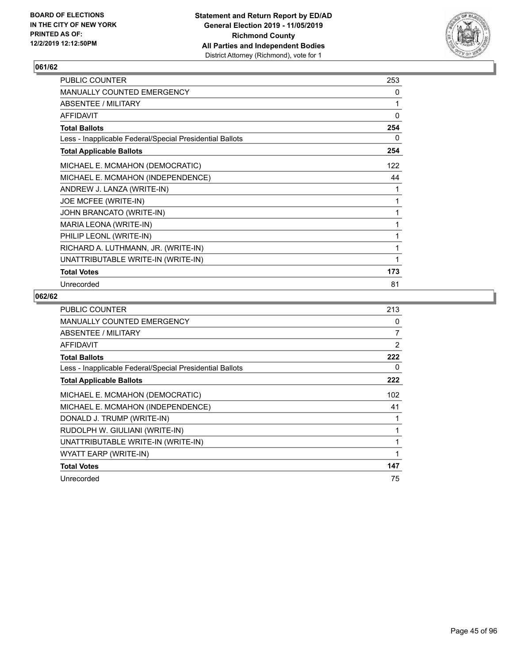

| PUBLIC COUNTER                                           | 253 |
|----------------------------------------------------------|-----|
| MANUALLY COUNTED EMERGENCY                               | 0   |
| ABSENTEE / MILITARY                                      | 1   |
| <b>AFFIDAVIT</b>                                         | 0   |
| <b>Total Ballots</b>                                     | 254 |
| Less - Inapplicable Federal/Special Presidential Ballots | 0   |
| <b>Total Applicable Ballots</b>                          | 254 |
| MICHAEL E. MCMAHON (DEMOCRATIC)                          | 122 |
| MICHAEL E. MCMAHON (INDEPENDENCE)                        | 44  |
| ANDREW J. LANZA (WRITE-IN)                               | 1   |
| JOE MCFEE (WRITE-IN)                                     | 1   |
| JOHN BRANCATO (WRITE-IN)                                 | 1   |
| MARIA LEONA (WRITE-IN)                                   | 1   |
| PHILIP LEONL (WRITE-IN)                                  | 1   |
| RICHARD A. LUTHMANN, JR. (WRITE-IN)                      |     |
| UNATTRIBUTABLE WRITE-IN (WRITE-IN)                       | 1   |
| <b>Total Votes</b>                                       | 173 |
| Unrecorded                                               | 81  |

| <b>PUBLIC COUNTER</b>                                    | 213 |
|----------------------------------------------------------|-----|
| <b>MANUALLY COUNTED EMERGENCY</b>                        | 0   |
| ABSENTEE / MILITARY                                      | 7   |
| AFFIDAVIT                                                | 2   |
| <b>Total Ballots</b>                                     | 222 |
| Less - Inapplicable Federal/Special Presidential Ballots | 0   |
| <b>Total Applicable Ballots</b>                          | 222 |
| MICHAEL E. MCMAHON (DEMOCRATIC)                          | 102 |
| MICHAEL E. MCMAHON (INDEPENDENCE)                        | 41  |
| DONALD J. TRUMP (WRITE-IN)                               |     |
| RUDOLPH W. GIULIANI (WRITE-IN)                           | 1   |
| UNATTRIBUTABLE WRITE-IN (WRITE-IN)                       |     |
| WYATT EARP (WRITE-IN)                                    | 1   |
| <b>Total Votes</b>                                       | 147 |
| Unrecorded                                               | 75  |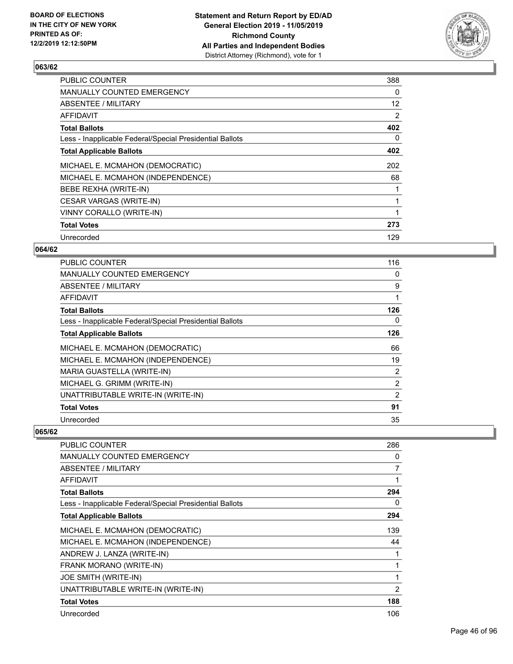

| 388 |
|-----|
| 0   |
| 12  |
| 2   |
| 402 |
| 0   |
| 402 |
| 202 |
| 68  |
|     |
|     |
|     |
| 273 |
| 129 |
|     |

## **064/62**

| <b>PUBLIC COUNTER</b>                                    | 116 |
|----------------------------------------------------------|-----|
| <b>MANUALLY COUNTED EMERGENCY</b>                        | 0   |
| ABSENTEE / MILITARY                                      | 9   |
| AFFIDAVIT                                                |     |
| <b>Total Ballots</b>                                     | 126 |
| Less - Inapplicable Federal/Special Presidential Ballots | 0   |
| <b>Total Applicable Ballots</b>                          | 126 |
| MICHAEL E. MCMAHON (DEMOCRATIC)                          | 66  |
| MICHAEL E. MCMAHON (INDEPENDENCE)                        | 19  |
| MARIA GUASTELLA (WRITE-IN)                               | 2   |
| MICHAEL G. GRIMM (WRITE-IN)                              | 2   |
| UNATTRIBUTABLE WRITE-IN (WRITE-IN)                       | 2   |
| <b>Total Votes</b>                                       | 91  |
| Unrecorded                                               | 35  |

| PUBLIC COUNTER                                           | 286            |
|----------------------------------------------------------|----------------|
| <b>MANUALLY COUNTED EMERGENCY</b>                        | 0              |
| <b>ABSENTEE / MILITARY</b>                               | 7              |
| <b>AFFIDAVIT</b>                                         | 1              |
| <b>Total Ballots</b>                                     | 294            |
| Less - Inapplicable Federal/Special Presidential Ballots | 0              |
| <b>Total Applicable Ballots</b>                          | 294            |
| MICHAEL E. MCMAHON (DEMOCRATIC)                          | 139            |
| MICHAEL E. MCMAHON (INDEPENDENCE)                        | 44             |
| ANDREW J. LANZA (WRITE-IN)                               | 1              |
| FRANK MORANO (WRITE-IN)                                  | 1              |
| JOE SMITH (WRITE-IN)                                     | 1              |
| UNATTRIBUTABLE WRITE-IN (WRITE-IN)                       | $\overline{2}$ |
| <b>Total Votes</b>                                       | 188            |
| Unrecorded                                               | 106            |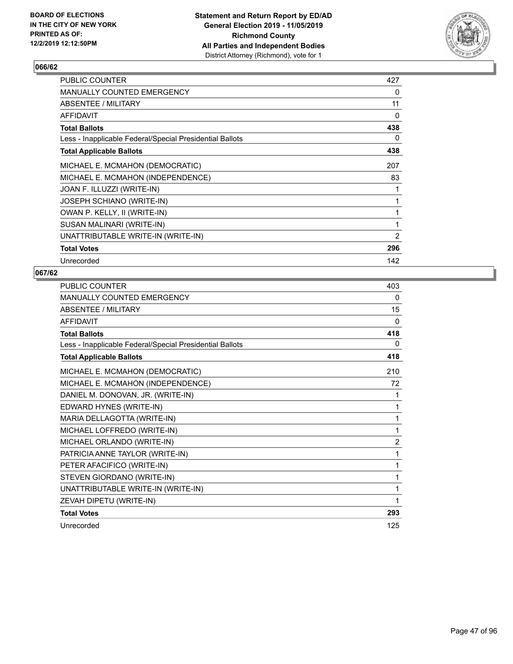

| <b>PUBLIC COUNTER</b>                                    | 427            |
|----------------------------------------------------------|----------------|
| <b>MANUALLY COUNTED EMERGENCY</b>                        | 0              |
| ABSENTEE / MILITARY                                      | 11             |
| <b>AFFIDAVIT</b>                                         | 0              |
| <b>Total Ballots</b>                                     | 438            |
| Less - Inapplicable Federal/Special Presidential Ballots | 0              |
| <b>Total Applicable Ballots</b>                          | 438            |
| MICHAEL E. MCMAHON (DEMOCRATIC)                          | 207            |
| MICHAEL E. MCMAHON (INDEPENDENCE)                        | 83             |
| JOAN F. ILLUZZI (WRITE-IN)                               | 1              |
| <b>JOSEPH SCHIANO (WRITE-IN)</b>                         | $\mathbf{1}$   |
| OWAN P. KELLY, II (WRITE-IN)                             | 1              |
| SUSAN MALINARI (WRITE-IN)                                | 1              |
| UNATTRIBUTABLE WRITE-IN (WRITE-IN)                       | $\overline{2}$ |
| <b>Total Votes</b>                                       | 296            |
| Unrecorded                                               | 142            |

| <b>PUBLIC COUNTER</b>                                    | 403          |
|----------------------------------------------------------|--------------|
| MANUALLY COUNTED EMERGENCY                               | 0            |
| <b>ABSENTEE / MILITARY</b>                               | 15           |
| <b>AFFIDAVIT</b>                                         | $\mathbf{0}$ |
| <b>Total Ballots</b>                                     | 418          |
| Less - Inapplicable Federal/Special Presidential Ballots | 0            |
| <b>Total Applicable Ballots</b>                          | 418          |
| MICHAEL E. MCMAHON (DEMOCRATIC)                          | 210          |
| MICHAEL E. MCMAHON (INDEPENDENCE)                        | 72           |
| DANIEL M. DONOVAN, JR. (WRITE-IN)                        | 1            |
| EDWARD HYNES (WRITE-IN)                                  | 1            |
| MARIA DELLAGOTTA (WRITE-IN)                              | 1            |
| MICHAEL LOFFREDO (WRITE-IN)                              | 1            |
| MICHAEL ORLANDO (WRITE-IN)                               | 2            |
| PATRICIA ANNE TAYLOR (WRITE-IN)                          | 1            |
| PETER AFACIFICO (WRITE-IN)                               | 1            |
| STEVEN GIORDANO (WRITE-IN)                               | 1            |
| UNATTRIBUTABLE WRITE-IN (WRITE-IN)                       | 1            |
| ZEVAH DIPETU (WRITE-IN)                                  | 1            |
| <b>Total Votes</b>                                       | 293          |
| Unrecorded                                               | 125          |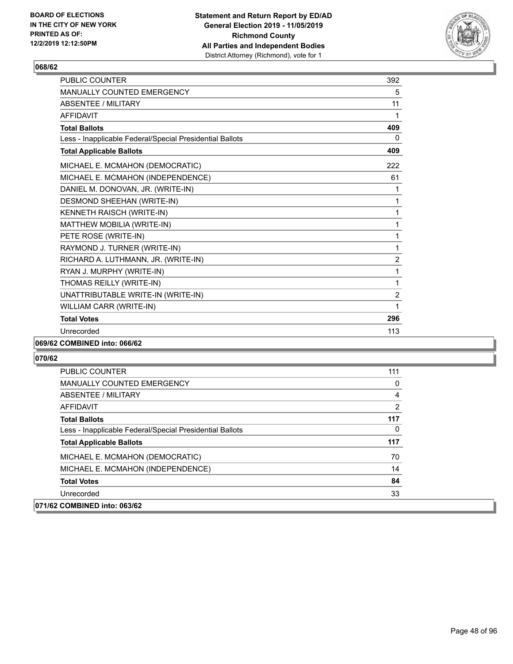

| <b>PUBLIC COUNTER</b>                                    | 392            |
|----------------------------------------------------------|----------------|
| <b>MANUALLY COUNTED EMERGENCY</b>                        | 5              |
| <b>ABSENTEE / MILITARY</b>                               | 11             |
| <b>AFFIDAVIT</b>                                         | 1              |
| <b>Total Ballots</b>                                     | 409            |
| Less - Inapplicable Federal/Special Presidential Ballots | $\Omega$       |
| <b>Total Applicable Ballots</b>                          | 409            |
| MICHAEL E. MCMAHON (DEMOCRATIC)                          | 222            |
| MICHAEL E. MCMAHON (INDEPENDENCE)                        | 61             |
| DANIEL M. DONOVAN, JR. (WRITE-IN)                        | 1              |
| DESMOND SHEEHAN (WRITE-IN)                               | 1              |
| KENNETH RAISCH (WRITE-IN)                                | 1              |
| MATTHEW MOBILIA (WRITE-IN)                               | 1              |
| PETE ROSE (WRITE-IN)                                     | 1              |
| RAYMOND J. TURNER (WRITE-IN)                             | 1              |
| RICHARD A. LUTHMANN, JR. (WRITE-IN)                      | $\overline{c}$ |
| RYAN J. MURPHY (WRITE-IN)                                | 1              |
| THOMAS REILLY (WRITE-IN)                                 | 1              |
| UNATTRIBUTABLE WRITE-IN (WRITE-IN)                       | $\overline{c}$ |
| WILLIAM CARR (WRITE-IN)                                  | 1              |
| <b>Total Votes</b>                                       | 296            |
| Unrecorded                                               | 113            |
|                                                          |                |

## **069/62 COMBINED into: 066/62**

| <b>PUBLIC COUNTER</b>                                    | 111      |
|----------------------------------------------------------|----------|
| <b>MANUALLY COUNTED EMERGENCY</b>                        | $\Omega$ |
| ABSENTEE / MILITARY                                      | 4        |
| AFFIDAVIT                                                | 2        |
| <b>Total Ballots</b>                                     | 117      |
| Less - Inapplicable Federal/Special Presidential Ballots | 0        |
| <b>Total Applicable Ballots</b>                          | 117      |
| MICHAEL E. MCMAHON (DEMOCRATIC)                          | 70       |
| MICHAEL E. MCMAHON (INDEPENDENCE)                        | 14       |
| <b>Total Votes</b>                                       | 84       |
| Unrecorded                                               | 33       |
| 071/62 COMBINED into: 063/62                             |          |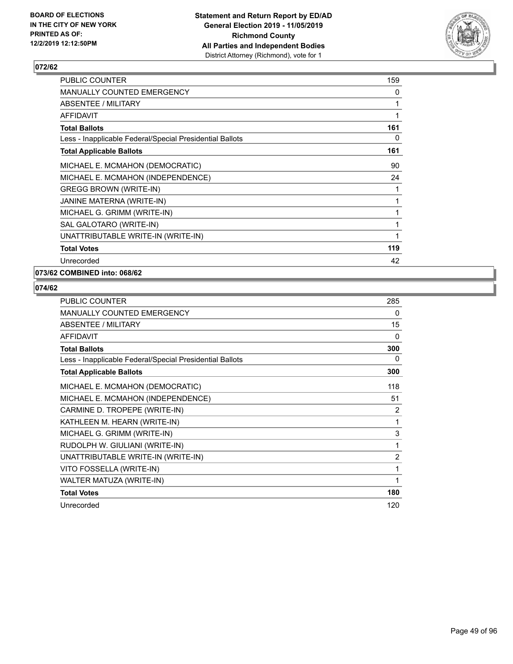

| PUBLIC COUNTER                                           | 159          |
|----------------------------------------------------------|--------------|
| <b>MANUALLY COUNTED EMERGENCY</b>                        | 0            |
| <b>ABSENTEE / MILITARY</b>                               | 1            |
| <b>AFFIDAVIT</b>                                         | 1            |
| <b>Total Ballots</b>                                     | 161          |
| Less - Inapplicable Federal/Special Presidential Ballots | 0            |
| <b>Total Applicable Ballots</b>                          | 161          |
| MICHAEL E. MCMAHON (DEMOCRATIC)                          | 90           |
| MICHAEL E. MCMAHON (INDEPENDENCE)                        | 24           |
| <b>GREGG BROWN (WRITE-IN)</b>                            | 1            |
| JANINE MATERNA (WRITE-IN)                                | 1            |
| MICHAEL G. GRIMM (WRITE-IN)                              | 1            |
| SAL GALOTARO (WRITE-IN)                                  | 1            |
| UNATTRIBUTABLE WRITE-IN (WRITE-IN)                       | $\mathbf{1}$ |
| <b>Total Votes</b>                                       | 119          |
| Unrecorded                                               | 42           |

# **073/62 COMBINED into: 068/62**

| <b>PUBLIC COUNTER</b>                                    | 285            |
|----------------------------------------------------------|----------------|
| <b>MANUALLY COUNTED EMERGENCY</b>                        | 0              |
| ABSENTEE / MILITARY                                      | 15             |
| AFFIDAVIT                                                | 0              |
| <b>Total Ballots</b>                                     | 300            |
| Less - Inapplicable Federal/Special Presidential Ballots | 0              |
| <b>Total Applicable Ballots</b>                          | 300            |
| MICHAEL E. MCMAHON (DEMOCRATIC)                          | 118            |
| MICHAEL E. MCMAHON (INDEPENDENCE)                        | 51             |
| CARMINE D. TROPEPE (WRITE-IN)                            | $\overline{2}$ |
| KATHLEEN M. HEARN (WRITE-IN)                             | 1              |
| MICHAEL G. GRIMM (WRITE-IN)                              | 3              |
| RUDOLPH W. GIULIANI (WRITE-IN)                           | 1              |
| UNATTRIBUTABLE WRITE-IN (WRITE-IN)                       | 2              |
| VITO FOSSELLA (WRITE-IN)                                 | 1              |
| WALTER MATUZA (WRITE-IN)                                 |                |
| <b>Total Votes</b>                                       | 180            |
| Unrecorded                                               | 120            |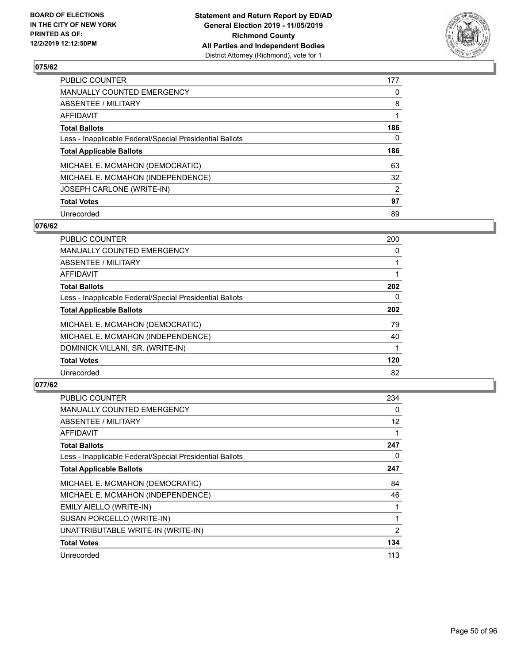

| PUBLIC COUNTER                                           | 177            |
|----------------------------------------------------------|----------------|
| <b>MANUALLY COUNTED EMERGENCY</b>                        | 0              |
| ABSENTEE / MILITARY                                      | 8              |
| <b>AFFIDAVIT</b>                                         |                |
| <b>Total Ballots</b>                                     | 186            |
| Less - Inapplicable Federal/Special Presidential Ballots | 0              |
| <b>Total Applicable Ballots</b>                          | 186            |
| MICHAEL E. MCMAHON (DEMOCRATIC)                          | 63             |
| MICHAEL E. MCMAHON (INDEPENDENCE)                        | 32             |
| <b>JOSEPH CARLONE (WRITE-IN)</b>                         | $\overline{2}$ |
| <b>Total Votes</b>                                       | 97             |
| Unrecorded                                               | 89             |

#### **076/62**

| <b>PUBLIC COUNTER</b>                                    | 200      |
|----------------------------------------------------------|----------|
| <b>MANUALLY COUNTED EMERGENCY</b>                        | 0        |
| ABSENTEE / MILITARY                                      |          |
| <b>AFFIDAVIT</b>                                         |          |
| <b>Total Ballots</b>                                     | 202      |
| Less - Inapplicable Federal/Special Presidential Ballots | $\Omega$ |
| <b>Total Applicable Ballots</b>                          | 202      |
| MICHAEL E. MCMAHON (DEMOCRATIC)                          | 79       |
| MICHAEL E. MCMAHON (INDEPENDENCE)                        | 40       |
| DOMINICK VILLANI, SR. (WRITE-IN)                         |          |
| <b>Total Votes</b>                                       | 120      |
| Unrecorded                                               | 82       |

| PUBLIC COUNTER                                           | 234               |
|----------------------------------------------------------|-------------------|
| <b>MANUALLY COUNTED EMERGENCY</b>                        | 0                 |
| ABSENTEE / MILITARY                                      | $12 \overline{ }$ |
| AFFIDAVIT                                                |                   |
| <b>Total Ballots</b>                                     | 247               |
| Less - Inapplicable Federal/Special Presidential Ballots | 0                 |
| <b>Total Applicable Ballots</b>                          | 247               |
| MICHAEL E. MCMAHON (DEMOCRATIC)                          | 84                |
| MICHAEL E. MCMAHON (INDEPENDENCE)                        | 46                |
| EMILY AIELLO (WRITE-IN)                                  |                   |
| SUSAN PORCELLO (WRITE-IN)                                | 1                 |
| UNATTRIBUTABLE WRITE-IN (WRITE-IN)                       | 2                 |
| <b>Total Votes</b>                                       | 134               |
| Unrecorded                                               | 113               |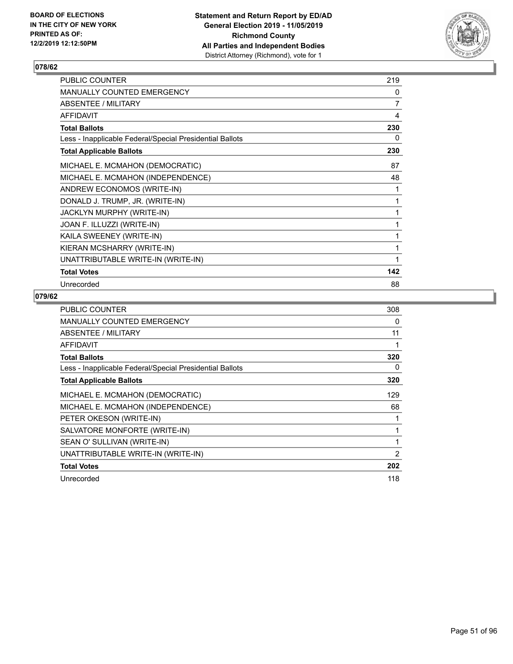

| PUBLIC COUNTER                                           | 219            |
|----------------------------------------------------------|----------------|
| <b>MANUALLY COUNTED EMERGENCY</b>                        | 0              |
| ABSENTEE / MILITARY                                      | $\overline{7}$ |
| <b>AFFIDAVIT</b>                                         | 4              |
| <b>Total Ballots</b>                                     | 230            |
| Less - Inapplicable Federal/Special Presidential Ballots | 0              |
| <b>Total Applicable Ballots</b>                          | 230            |
| MICHAEL E. MCMAHON (DEMOCRATIC)                          | 87             |
| MICHAEL E. MCMAHON (INDEPENDENCE)                        | 48             |
| ANDREW ECONOMOS (WRITE-IN)                               | 1              |
| DONALD J. TRUMP, JR. (WRITE-IN)                          | 1              |
| <b>JACKLYN MURPHY (WRITE-IN)</b>                         | 1              |
| JOAN F. ILLUZZI (WRITE-IN)                               | 1              |
| KAILA SWEENEY (WRITE-IN)                                 | 1              |
| KIERAN MCSHARRY (WRITE-IN)                               | 1              |
| UNATTRIBUTABLE WRITE-IN (WRITE-IN)                       | 1              |
| <b>Total Votes</b>                                       | 142            |
| Unrecorded                                               | 88             |

| <b>PUBLIC COUNTER</b>                                    | 308            |
|----------------------------------------------------------|----------------|
| MANUALLY COUNTED EMERGENCY                               | 0              |
| ABSENTEE / MILITARY                                      | 11             |
| <b>AFFIDAVIT</b>                                         | 1              |
| <b>Total Ballots</b>                                     | 320            |
| Less - Inapplicable Federal/Special Presidential Ballots | 0              |
| <b>Total Applicable Ballots</b>                          | 320            |
| MICHAEL E. MCMAHON (DEMOCRATIC)                          | 129            |
| MICHAEL E. MCMAHON (INDEPENDENCE)                        | 68             |
| PETER OKESON (WRITE-IN)                                  |                |
| SALVATORE MONFORTE (WRITE-IN)                            |                |
| SEAN O' SULLIVAN (WRITE-IN)                              |                |
| UNATTRIBUTABLE WRITE-IN (WRITE-IN)                       | $\overline{2}$ |
| <b>Total Votes</b>                                       | 202            |
| Unrecorded                                               | 118            |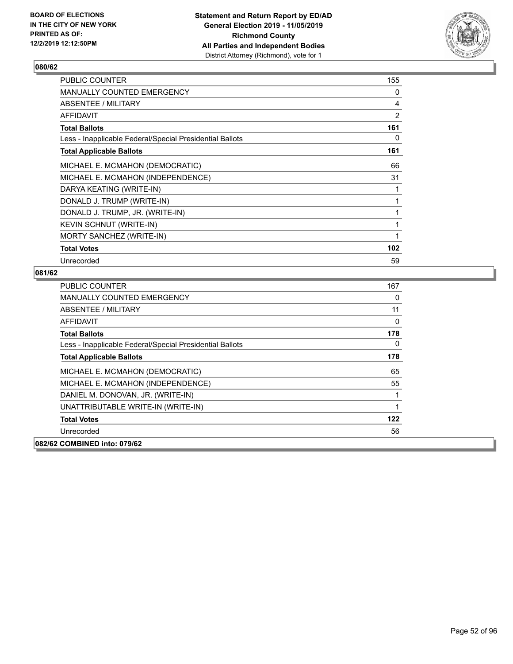

| PUBLIC COUNTER                                           | 155 |
|----------------------------------------------------------|-----|
| MANUALLY COUNTED EMERGENCY                               | 0   |
| ABSENTEE / MILITARY                                      | 4   |
| AFFIDAVIT                                                | 2   |
| <b>Total Ballots</b>                                     | 161 |
| Less - Inapplicable Federal/Special Presidential Ballots | 0   |
| <b>Total Applicable Ballots</b>                          | 161 |
| MICHAEL E. MCMAHON (DEMOCRATIC)                          | 66  |
| MICHAEL E. MCMAHON (INDEPENDENCE)                        | 31  |
| DARYA KEATING (WRITE-IN)                                 |     |
| DONALD J. TRUMP (WRITE-IN)                               |     |
| DONALD J. TRUMP, JR. (WRITE-IN)                          | 1   |
| KEVIN SCHNUT (WRITE-IN)                                  | 1   |
| MORTY SANCHEZ (WRITE-IN)                                 | 1   |
| <b>Total Votes</b>                                       | 102 |
| Unrecorded                                               | 59  |

| <b>PUBLIC COUNTER</b>                                    | 167 |
|----------------------------------------------------------|-----|
| <b>MANUALLY COUNTED EMERGENCY</b>                        | 0   |
| ABSENTEE / MILITARY                                      | 11  |
| <b>AFFIDAVIT</b>                                         | 0   |
| <b>Total Ballots</b>                                     | 178 |
| Less - Inapplicable Federal/Special Presidential Ballots | 0   |
| <b>Total Applicable Ballots</b>                          | 178 |
| MICHAEL E. MCMAHON (DEMOCRATIC)                          | 65  |
| MICHAEL E. MCMAHON (INDEPENDENCE)                        | 55  |
| DANIEL M. DONOVAN, JR. (WRITE-IN)                        |     |
| UNATTRIBUTABLE WRITE-IN (WRITE-IN)                       | 1   |
| <b>Total Votes</b>                                       | 122 |
| Unrecorded                                               | 56  |
| 082/62 COMBINED into: 079/62                             |     |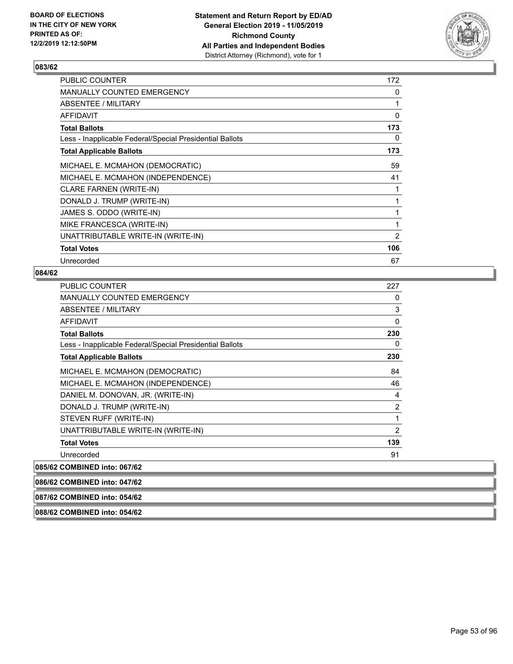

| <b>PUBLIC COUNTER</b>                                    | 172 |
|----------------------------------------------------------|-----|
| <b>MANUALLY COUNTED EMERGENCY</b>                        | 0   |
| ABSENTEE / MILITARY                                      | 1   |
| AFFIDAVIT                                                | 0   |
| Total Ballots                                            | 173 |
| Less - Inapplicable Federal/Special Presidential Ballots | 0   |
| <b>Total Applicable Ballots</b>                          | 173 |
| MICHAEL E. MCMAHON (DEMOCRATIC)                          | 59  |
| MICHAEL E. MCMAHON (INDEPENDENCE)                        | 41  |
| CLARE FARNEN (WRITE-IN)                                  | 1   |
| DONALD J. TRUMP (WRITE-IN)                               | 1   |
| JAMES S. ODDO (WRITE-IN)                                 | 1   |
| MIKE FRANCESCA (WRITE-IN)                                | 1   |
| UNATTRIBUTABLE WRITE-IN (WRITE-IN)                       | 2   |
| <b>Total Votes</b>                                       | 106 |
| Unrecorded                                               | 67  |

### **084/62**

| <b>PUBLIC COUNTER</b>                                    | 227            |
|----------------------------------------------------------|----------------|
| <b>MANUALLY COUNTED EMERGENCY</b>                        | 0              |
| ABSENTEE / MILITARY                                      | 3              |
| AFFIDAVIT                                                | $\Omega$       |
| <b>Total Ballots</b>                                     | 230            |
| Less - Inapplicable Federal/Special Presidential Ballots | 0              |
| <b>Total Applicable Ballots</b>                          | 230            |
| MICHAEL E. MCMAHON (DEMOCRATIC)                          | 84             |
| MICHAEL E. MCMAHON (INDEPENDENCE)                        | 46             |
| DANIEL M. DONOVAN, JR. (WRITE-IN)                        | 4              |
| DONALD J. TRUMP (WRITE-IN)                               | 2              |
| STEVEN RUFF (WRITE-IN)                                   | 1              |
| UNATTRIBUTABLE WRITE-IN (WRITE-IN)                       | $\overline{2}$ |
| <b>Total Votes</b>                                       | 139            |
| Unrecorded                                               | 91             |
| 085/62 COMBINED into: 067/62                             |                |
| 086/62 COMBINED into: 047/62                             |                |

**087/62 COMBINED into: 054/62**

**088/62 COMBINED into: 054/62**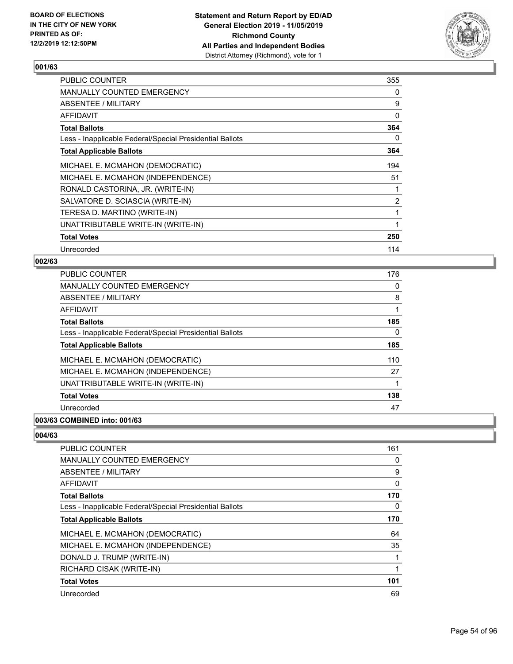

| <b>PUBLIC COUNTER</b>                                    | 355            |
|----------------------------------------------------------|----------------|
| <b>MANUALLY COUNTED EMERGENCY</b>                        | 0              |
| ABSENTEE / MILITARY                                      | 9              |
| <b>AFFIDAVIT</b>                                         | 0              |
| <b>Total Ballots</b>                                     | 364            |
| Less - Inapplicable Federal/Special Presidential Ballots | 0              |
| <b>Total Applicable Ballots</b>                          | 364            |
| MICHAEL E. MCMAHON (DEMOCRATIC)                          | 194            |
| MICHAEL E. MCMAHON (INDEPENDENCE)                        | 51             |
| RONALD CASTORINA, JR. (WRITE-IN)                         |                |
| SALVATORE D. SCIASCIA (WRITE-IN)                         | $\overline{2}$ |
| TERESA D. MARTINO (WRITE-IN)                             | 1              |
| UNATTRIBUTABLE WRITE-IN (WRITE-IN)                       | 1              |
| <b>Total Votes</b>                                       | 250            |
| Unrecorded                                               | 114            |

### **002/63**

| <b>PUBLIC COUNTER</b>                                    | 176 |
|----------------------------------------------------------|-----|
| <b>MANUALLY COUNTED EMERGENCY</b>                        | 0   |
| ABSENTEE / MILITARY                                      | 8   |
| AFFIDAVIT                                                | 1   |
| <b>Total Ballots</b>                                     | 185 |
| Less - Inapplicable Federal/Special Presidential Ballots | 0   |
| <b>Total Applicable Ballots</b>                          | 185 |
| MICHAEL E. MCMAHON (DEMOCRATIC)                          | 110 |
| MICHAEL E. MCMAHON (INDEPENDENCE)                        | 27  |
| UNATTRIBUTABLE WRITE-IN (WRITE-IN)                       |     |
| <b>Total Votes</b>                                       | 138 |
| Unrecorded                                               | 47  |
|                                                          |     |

# **003/63 COMBINED into: 001/63**

| <b>PUBLIC COUNTER</b>                                    | 161 |
|----------------------------------------------------------|-----|
| <b>MANUALLY COUNTED EMERGENCY</b>                        | 0   |
| ABSENTEE / MILITARY                                      | 9   |
| AFFIDAVIT                                                | 0   |
| <b>Total Ballots</b>                                     | 170 |
| Less - Inapplicable Federal/Special Presidential Ballots | 0   |
| <b>Total Applicable Ballots</b>                          | 170 |
| MICHAEL E. MCMAHON (DEMOCRATIC)                          | 64  |
| MICHAEL E. MCMAHON (INDEPENDENCE)                        | 35  |
| DONALD J. TRUMP (WRITE-IN)                               |     |
| RICHARD CISAK (WRITE-IN)                                 | 1   |
| <b>Total Votes</b>                                       | 101 |
| Unrecorded                                               | 69  |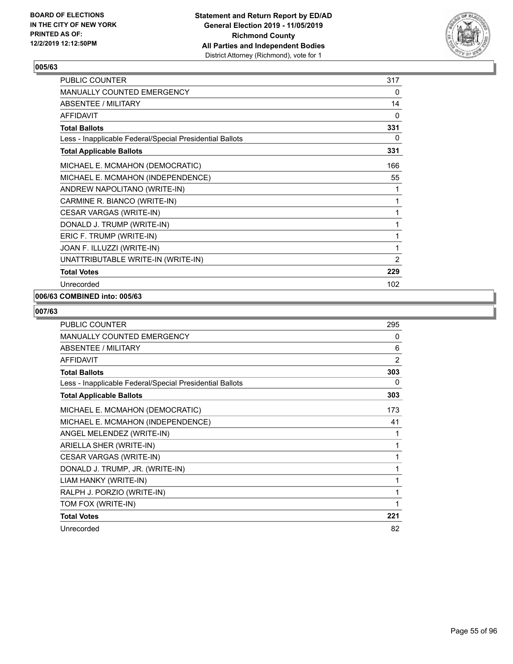

| <b>PUBLIC COUNTER</b>                                    | 317 |
|----------------------------------------------------------|-----|
| <b>MANUALLY COUNTED EMERGENCY</b>                        | 0   |
| <b>ABSENTEE / MILITARY</b>                               | 14  |
| <b>AFFIDAVIT</b>                                         | 0   |
| <b>Total Ballots</b>                                     | 331 |
| Less - Inapplicable Federal/Special Presidential Ballots | 0   |
| <b>Total Applicable Ballots</b>                          | 331 |
| MICHAEL E. MCMAHON (DEMOCRATIC)                          | 166 |
| MICHAEL E. MCMAHON (INDEPENDENCE)                        | 55  |
| ANDREW NAPOLITANO (WRITE-IN)                             | 1   |
| CARMINE R. BIANCO (WRITE-IN)                             | 1   |
| CESAR VARGAS (WRITE-IN)                                  | 1   |
| DONALD J. TRUMP (WRITE-IN)                               | 1   |
| ERIC F. TRUMP (WRITE-IN)                                 | 1   |
| JOAN F. ILLUZZI (WRITE-IN)                               | 1   |
| UNATTRIBUTABLE WRITE-IN (WRITE-IN)                       | 2   |
| <b>Total Votes</b>                                       | 229 |
| Unrecorded                                               | 102 |

## **006/63 COMBINED into: 005/63**

| <b>PUBLIC COUNTER</b>                                    | 295            |
|----------------------------------------------------------|----------------|
| <b>MANUALLY COUNTED EMERGENCY</b>                        | 0              |
| ABSENTEE / MILITARY                                      | 6              |
| <b>AFFIDAVIT</b>                                         | $\overline{2}$ |
| <b>Total Ballots</b>                                     | 303            |
| Less - Inapplicable Federal/Special Presidential Ballots | 0              |
| <b>Total Applicable Ballots</b>                          | 303            |
| MICHAEL E. MCMAHON (DEMOCRATIC)                          | 173            |
| MICHAEL E. MCMAHON (INDEPENDENCE)                        | 41             |
| ANGEL MELENDEZ (WRITE-IN)                                | 1              |
| ARIELLA SHER (WRITE-IN)                                  | 1              |
| CESAR VARGAS (WRITE-IN)                                  | 1              |
| DONALD J. TRUMP, JR. (WRITE-IN)                          | 1              |
| LIAM HANKY (WRITE-IN)                                    | 1              |
| RALPH J. PORZIO (WRITE-IN)                               | 1              |
| TOM FOX (WRITE-IN)                                       | 1              |
| <b>Total Votes</b>                                       | 221            |
| Unrecorded                                               | 82             |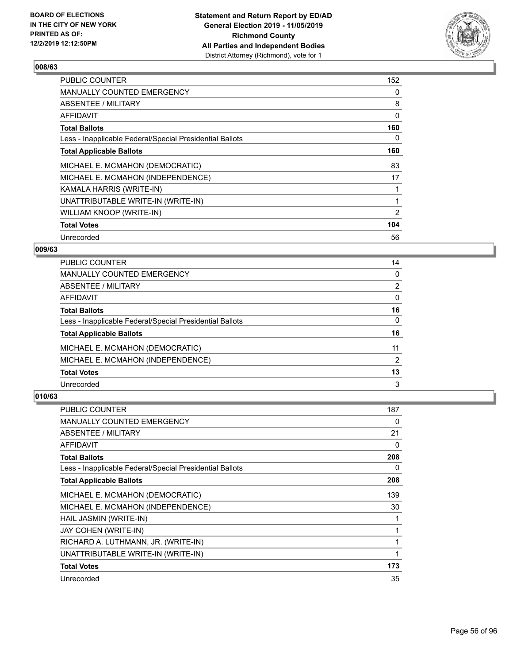

| <b>PUBLIC COUNTER</b>                                    | 152            |
|----------------------------------------------------------|----------------|
| MANUALLY COUNTED EMERGENCY                               | 0              |
| ABSENTEE / MILITARY                                      | 8              |
| AFFIDAVIT                                                | 0              |
| <b>Total Ballots</b>                                     | 160            |
| Less - Inapplicable Federal/Special Presidential Ballots | 0              |
| <b>Total Applicable Ballots</b>                          | 160            |
| MICHAEL E. MCMAHON (DEMOCRATIC)                          | 83             |
| MICHAEL E. MCMAHON (INDEPENDENCE)                        | 17             |
| KAMALA HARRIS (WRITE-IN)                                 |                |
| UNATTRIBUTABLE WRITE-IN (WRITE-IN)                       | 1              |
| WILLIAM KNOOP (WRITE-IN)                                 | $\overline{2}$ |
| <b>Total Votes</b>                                       | 104            |
| Unrecorded                                               | 56             |

### **009/63**

| PUBLIC COUNTER                                           | 14             |
|----------------------------------------------------------|----------------|
| <b>MANUALLY COUNTED EMERGENCY</b>                        | $\Omega$       |
| ABSENTEE / MILITARY                                      | $\overline{2}$ |
| AFFIDAVIT                                                | $\Omega$       |
| <b>Total Ballots</b>                                     | 16             |
| Less - Inapplicable Federal/Special Presidential Ballots | $\Omega$       |
| <b>Total Applicable Ballots</b>                          | 16             |
| MICHAEL E. MCMAHON (DEMOCRATIC)                          | 11             |
| MICHAEL E. MCMAHON (INDEPENDENCE)                        | 2              |
| <b>Total Votes</b>                                       | 13             |
| Unrecorded                                               | 3              |

| PUBLIC COUNTER                                           | 187 |
|----------------------------------------------------------|-----|
| <b>MANUALLY COUNTED EMERGENCY</b>                        | 0   |
| ABSENTEE / MILITARY                                      | 21  |
| AFFIDAVIT                                                | 0   |
| <b>Total Ballots</b>                                     | 208 |
| Less - Inapplicable Federal/Special Presidential Ballots | 0   |
| <b>Total Applicable Ballots</b>                          | 208 |
| MICHAEL E. MCMAHON (DEMOCRATIC)                          | 139 |
| MICHAEL E. MCMAHON (INDEPENDENCE)                        | 30  |
| HAIL JASMIN (WRITE-IN)                                   |     |
| JAY COHEN (WRITE-IN)                                     | 1   |
| RICHARD A. LUTHMANN, JR. (WRITE-IN)                      |     |
| UNATTRIBUTABLE WRITE-IN (WRITE-IN)                       | 1   |
| <b>Total Votes</b>                                       | 173 |
| Unrecorded                                               | 35  |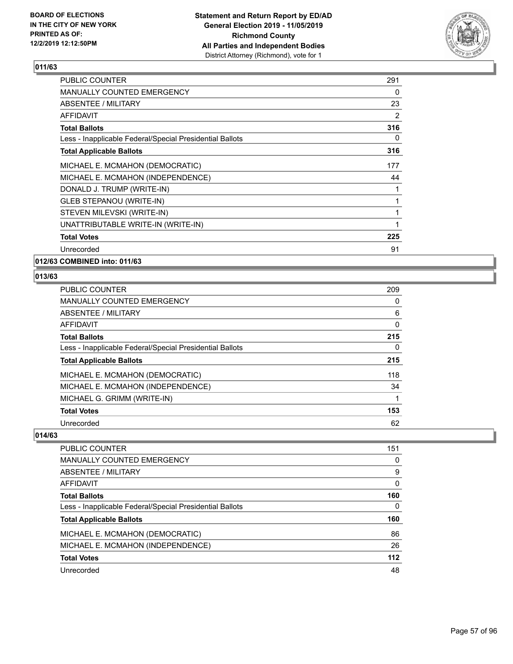

| MANUALLY COUNTED EMERGENCY<br>0<br>23<br>2<br><b>Total Ballots</b><br>0<br><b>Total Applicable Ballots</b><br>177<br>MICHAEL E. MCMAHON (INDEPENDENCE)<br>44<br>1<br>1<br>1<br>UNATTRIBUTABLE WRITE-IN (WRITE-IN)<br>1<br>225<br><b>Total Votes</b><br>91<br>Unrecorded | <b>PUBLIC COUNTER</b>                                    | 291 |
|-------------------------------------------------------------------------------------------------------------------------------------------------------------------------------------------------------------------------------------------------------------------------|----------------------------------------------------------|-----|
|                                                                                                                                                                                                                                                                         |                                                          |     |
|                                                                                                                                                                                                                                                                         | ABSENTEE / MILITARY                                      |     |
|                                                                                                                                                                                                                                                                         | AFFIDAVIT                                                |     |
|                                                                                                                                                                                                                                                                         |                                                          | 316 |
|                                                                                                                                                                                                                                                                         | Less - Inapplicable Federal/Special Presidential Ballots |     |
|                                                                                                                                                                                                                                                                         |                                                          | 316 |
|                                                                                                                                                                                                                                                                         | MICHAEL E. MCMAHON (DEMOCRATIC)                          |     |
|                                                                                                                                                                                                                                                                         |                                                          |     |
|                                                                                                                                                                                                                                                                         | DONALD J. TRUMP (WRITE-IN)                               |     |
|                                                                                                                                                                                                                                                                         | <b>GLEB STEPANOU (WRITE-IN)</b>                          |     |
|                                                                                                                                                                                                                                                                         | STEVEN MILEVSKI (WRITE-IN)                               |     |
|                                                                                                                                                                                                                                                                         |                                                          |     |
|                                                                                                                                                                                                                                                                         |                                                          |     |
|                                                                                                                                                                                                                                                                         |                                                          |     |

**012/63 COMBINED into: 011/63**

### **013/63**

| <b>PUBLIC COUNTER</b>                                    | 209 |
|----------------------------------------------------------|-----|
| MANUALLY COUNTED EMERGENCY                               | 0   |
| ABSENTEE / MILITARY                                      | 6   |
| <b>AFFIDAVIT</b>                                         | 0   |
| <b>Total Ballots</b>                                     | 215 |
| Less - Inapplicable Federal/Special Presidential Ballots | 0   |
| <b>Total Applicable Ballots</b>                          | 215 |
| MICHAEL E. MCMAHON (DEMOCRATIC)                          | 118 |
| MICHAEL E. MCMAHON (INDEPENDENCE)                        | 34  |
| MICHAEL G. GRIMM (WRITE-IN)                              | 1   |
| <b>Total Votes</b>                                       | 153 |
| Unrecorded                                               | 62  |

| PUBLIC COUNTER                                           | 151      |
|----------------------------------------------------------|----------|
| MANUALLY COUNTED EMERGENCY                               | 0        |
| ABSENTEE / MILITARY                                      | 9        |
| AFFIDAVIT                                                | $\Omega$ |
| <b>Total Ballots</b>                                     | 160      |
| Less - Inapplicable Federal/Special Presidential Ballots | 0        |
| <b>Total Applicable Ballots</b>                          | 160      |
| MICHAEL E. MCMAHON (DEMOCRATIC)                          | 86       |
| MICHAEL E. MCMAHON (INDEPENDENCE)                        | 26       |
| <b>Total Votes</b>                                       | 112      |
| Unrecorded                                               | 48       |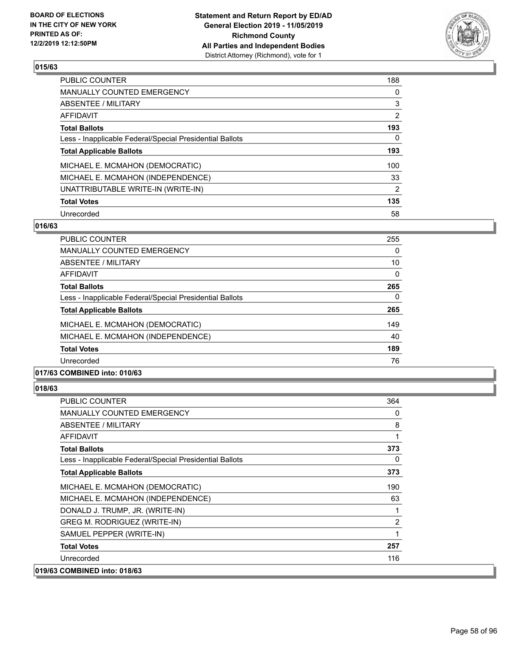

| <b>PUBLIC COUNTER</b>                                    | 188            |
|----------------------------------------------------------|----------------|
| <b>MANUALLY COUNTED EMERGENCY</b>                        | 0              |
| ABSENTEE / MILITARY                                      | 3              |
| <b>AFFIDAVIT</b>                                         | $\overline{2}$ |
| <b>Total Ballots</b>                                     | 193            |
| Less - Inapplicable Federal/Special Presidential Ballots | 0              |
| <b>Total Applicable Ballots</b>                          | 193            |
| MICHAEL E. MCMAHON (DEMOCRATIC)                          | 100            |
| MICHAEL E. MCMAHON (INDEPENDENCE)                        | 33             |
| UNATTRIBUTABLE WRITE-IN (WRITE-IN)                       | $\overline{2}$ |
| <b>Total Votes</b>                                       | 135            |
| Unrecorded                                               | 58             |

#### **016/63**

| <b>PUBLIC COUNTER</b>                                    | 255      |
|----------------------------------------------------------|----------|
| <b>MANUALLY COUNTED EMERGENCY</b>                        | $\Omega$ |
| ABSENTEE / MILITARY                                      | 10       |
| AFFIDAVIT                                                | 0        |
| <b>Total Ballots</b>                                     | 265      |
| Less - Inapplicable Federal/Special Presidential Ballots | 0        |
| <b>Total Applicable Ballots</b>                          | 265      |
| MICHAEL E. MCMAHON (DEMOCRATIC)                          | 149      |
| MICHAEL E. MCMAHON (INDEPENDENCE)                        | 40       |
| <b>Total Votes</b>                                       | 189      |
| Unrecorded                                               | 76       |
|                                                          |          |

# **017/63 COMBINED into: 010/63**

| <b>PUBLIC COUNTER</b>                                    | 364 |
|----------------------------------------------------------|-----|
| <b>MANUALLY COUNTED EMERGENCY</b>                        | 0   |
| ABSENTEE / MILITARY                                      | 8   |
| <b>AFFIDAVIT</b>                                         | 1   |
| <b>Total Ballots</b>                                     | 373 |
| Less - Inapplicable Federal/Special Presidential Ballots | 0   |
| <b>Total Applicable Ballots</b>                          | 373 |
| MICHAEL E. MCMAHON (DEMOCRATIC)                          | 190 |
| MICHAEL E. MCMAHON (INDEPENDENCE)                        | 63  |
| DONALD J. TRUMP, JR. (WRITE-IN)                          |     |
| GREG M. RODRIGUEZ (WRITE-IN)                             | 2   |
| SAMUEL PEPPER (WRITE-IN)                                 | 1   |
| <b>Total Votes</b>                                       | 257 |
| Unrecorded                                               | 116 |
| 019/63 COMBINED into: 018/63                             |     |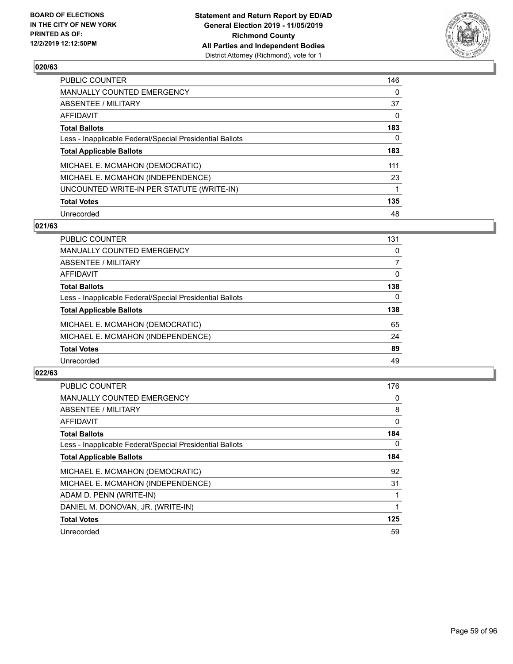

| <b>PUBLIC COUNTER</b>                                    | 146      |
|----------------------------------------------------------|----------|
| <b>MANUALLY COUNTED EMERGENCY</b>                        | 0        |
| ABSENTEE / MILITARY                                      | 37       |
| <b>AFFIDAVIT</b>                                         | 0        |
| <b>Total Ballots</b>                                     | 183      |
| Less - Inapplicable Federal/Special Presidential Ballots | $\Omega$ |
| <b>Total Applicable Ballots</b>                          | 183      |
| MICHAEL E. MCMAHON (DEMOCRATIC)                          | 111      |
| MICHAEL E. MCMAHON (INDEPENDENCE)                        | 23       |
| UNCOUNTED WRITE-IN PER STATUTE (WRITE-IN)                | 1        |
| <b>Total Votes</b>                                       | 135      |
| Unrecorded                                               | 48       |

#### **021/63**

| <b>PUBLIC COUNTER</b>                                    | 131 |
|----------------------------------------------------------|-----|
| <b>MANUALLY COUNTED EMERGENCY</b>                        | 0   |
| ABSENTEE / MILITARY                                      |     |
| AFFIDAVIT                                                | 0   |
| <b>Total Ballots</b>                                     | 138 |
| Less - Inapplicable Federal/Special Presidential Ballots | 0   |
| <b>Total Applicable Ballots</b>                          | 138 |
| MICHAEL E. MCMAHON (DEMOCRATIC)                          | 65  |
| MICHAEL E. MCMAHON (INDEPENDENCE)                        | 24  |
| <b>Total Votes</b>                                       | 89  |
| Unrecorded                                               | 49  |
|                                                          |     |

| <b>PUBLIC COUNTER</b>                                    | 176 |
|----------------------------------------------------------|-----|
| <b>MANUALLY COUNTED EMERGENCY</b>                        | 0   |
| ABSENTEE / MILITARY                                      | 8   |
| <b>AFFIDAVIT</b>                                         | 0   |
| <b>Total Ballots</b>                                     | 184 |
| Less - Inapplicable Federal/Special Presidential Ballots | 0   |
| <b>Total Applicable Ballots</b>                          | 184 |
| MICHAEL E. MCMAHON (DEMOCRATIC)                          | 92  |
| MICHAEL E. MCMAHON (INDEPENDENCE)                        | 31  |
| ADAM D. PENN (WRITE-IN)                                  |     |
| DANIEL M. DONOVAN, JR. (WRITE-IN)                        |     |
| <b>Total Votes</b>                                       | 125 |
| Unrecorded                                               | 59  |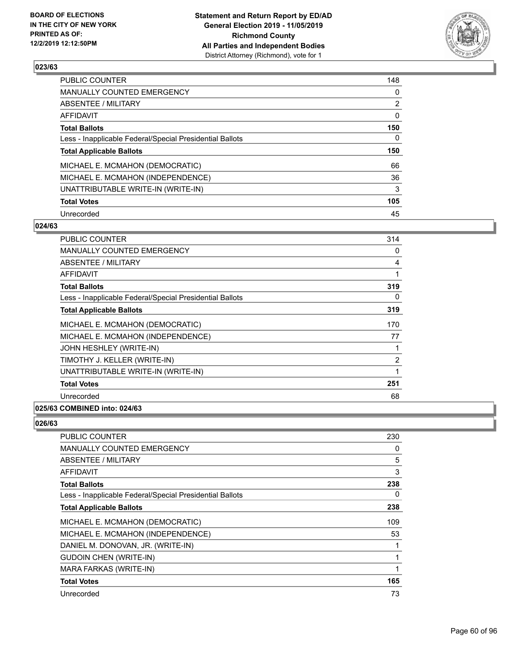

| PUBLIC COUNTER                                           | 148            |
|----------------------------------------------------------|----------------|
| <b>MANUALLY COUNTED EMERGENCY</b>                        | 0              |
| <b>ABSENTEE / MILITARY</b>                               | $\overline{2}$ |
| <b>AFFIDAVIT</b>                                         | 0              |
| <b>Total Ballots</b>                                     | 150            |
| Less - Inapplicable Federal/Special Presidential Ballots | 0              |
| <b>Total Applicable Ballots</b>                          | 150            |
| MICHAEL E. MCMAHON (DEMOCRATIC)                          | 66             |
| MICHAEL E. MCMAHON (INDEPENDENCE)                        | 36             |
|                                                          |                |
| UNATTRIBUTABLE WRITE-IN (WRITE-IN)                       | 3              |
| <b>Total Votes</b>                                       | 105            |

#### **024/63**

| <b>PUBLIC COUNTER</b>                                    | 314            |
|----------------------------------------------------------|----------------|
| <b>MANUALLY COUNTED EMERGENCY</b>                        | 0              |
| ABSENTEE / MILITARY                                      | 4              |
| <b>AFFIDAVIT</b>                                         | 1              |
| <b>Total Ballots</b>                                     | 319            |
| Less - Inapplicable Federal/Special Presidential Ballots | 0              |
| <b>Total Applicable Ballots</b>                          | 319            |
| MICHAEL E. MCMAHON (DEMOCRATIC)                          | 170            |
| MICHAEL E. MCMAHON (INDEPENDENCE)                        | 77             |
| JOHN HESHLEY (WRITE-IN)                                  | 1              |
| TIMOTHY J. KELLER (WRITE-IN)                             | $\overline{2}$ |
| UNATTRIBUTABLE WRITE-IN (WRITE-IN)                       | 1              |
| <b>Total Votes</b>                                       | 251            |
| Unrecorded                                               | 68             |
|                                                          |                |

## **025/63 COMBINED into: 024/63**

| PUBLIC COUNTER                                           | 230 |
|----------------------------------------------------------|-----|
| MANUALLY COUNTED EMERGENCY                               | 0   |
| ABSENTEE / MILITARY                                      | 5   |
| AFFIDAVIT                                                | 3   |
| <b>Total Ballots</b>                                     | 238 |
| Less - Inapplicable Federal/Special Presidential Ballots | 0   |
| <b>Total Applicable Ballots</b>                          | 238 |
| MICHAEL E. MCMAHON (DEMOCRATIC)                          | 109 |
| MICHAEL E. MCMAHON (INDEPENDENCE)                        | 53  |
| DANIEL M. DONOVAN, JR. (WRITE-IN)                        |     |
| <b>GUDOIN CHEN (WRITE-IN)</b>                            | 1   |
| MARA FARKAS (WRITE-IN)                                   | 1   |
| <b>Total Votes</b>                                       | 165 |
| Unrecorded                                               | 73  |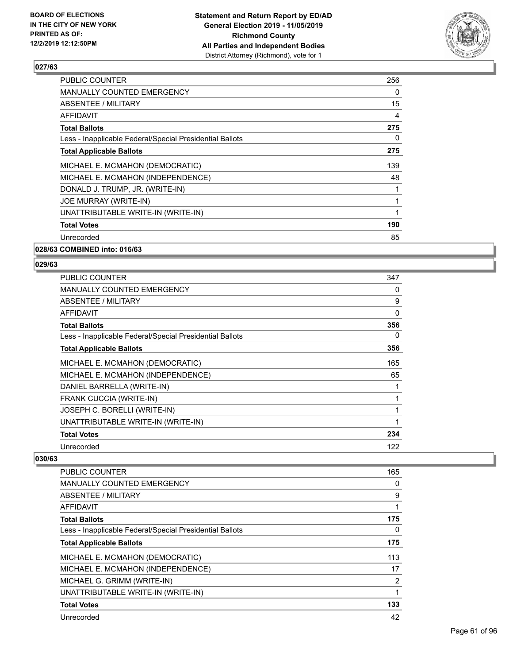

| <b>PUBLIC COUNTER</b>                                    | 256      |
|----------------------------------------------------------|----------|
| <b>MANUALLY COUNTED EMERGENCY</b>                        | $\Omega$ |
| <b>ABSENTEE / MILITARY</b>                               | 15       |
| AFFIDAVIT                                                | 4        |
| <b>Total Ballots</b>                                     | 275      |
| Less - Inapplicable Federal/Special Presidential Ballots | $\Omega$ |
| <b>Total Applicable Ballots</b>                          | 275      |
| MICHAEL E. MCMAHON (DEMOCRATIC)                          | 139      |
| MICHAEL E. MCMAHON (INDEPENDENCE)                        | 48       |
| DONALD J. TRUMP, JR. (WRITE-IN)                          |          |
| JOE MURRAY (WRITE-IN)                                    |          |
| UNATTRIBUTABLE WRITE-IN (WRITE-IN)                       |          |
| <b>Total Votes</b>                                       | 190      |
| Unrecorded                                               | 85       |
| 028/63 COMBINED into: 016/63                             |          |

**029/63** 

| <b>PUBLIC COUNTER</b>                                    | 347      |
|----------------------------------------------------------|----------|
| <b>MANUALLY COUNTED EMERGENCY</b>                        | $\Omega$ |
| ABSENTEE / MILITARY                                      | 9        |
| <b>AFFIDAVIT</b>                                         | 0        |
| <b>Total Ballots</b>                                     | 356      |
| Less - Inapplicable Federal/Special Presidential Ballots | 0        |
| <b>Total Applicable Ballots</b>                          | 356      |
| MICHAEL E. MCMAHON (DEMOCRATIC)                          | 165      |
| MICHAEL E. MCMAHON (INDEPENDENCE)                        | 65       |
| DANIEL BARRELLA (WRITE-IN)                               | 1        |
| FRANK CUCCIA (WRITE-IN)                                  |          |
| JOSEPH C. BORELLI (WRITE-IN)                             | 1        |
| UNATTRIBUTABLE WRITE-IN (WRITE-IN)                       | 1        |
| <b>Total Votes</b>                                       | 234      |
| Unrecorded                                               | 122      |

| <b>PUBLIC COUNTER</b>                                    | 165            |
|----------------------------------------------------------|----------------|
| <b>MANUALLY COUNTED EMERGENCY</b>                        | 0              |
| ABSENTEE / MILITARY                                      | 9              |
| AFFIDAVIT                                                | 1              |
| <b>Total Ballots</b>                                     | 175            |
| Less - Inapplicable Federal/Special Presidential Ballots | 0              |
| <b>Total Applicable Ballots</b>                          | 175            |
| MICHAEL E. MCMAHON (DEMOCRATIC)                          | 113            |
| MICHAEL E. MCMAHON (INDEPENDENCE)                        | 17             |
| MICHAEL G. GRIMM (WRITE-IN)                              | $\overline{2}$ |
| UNATTRIBUTABLE WRITE-IN (WRITE-IN)                       | 1              |
| <b>Total Votes</b>                                       | 133            |
| Unrecorded                                               | 42             |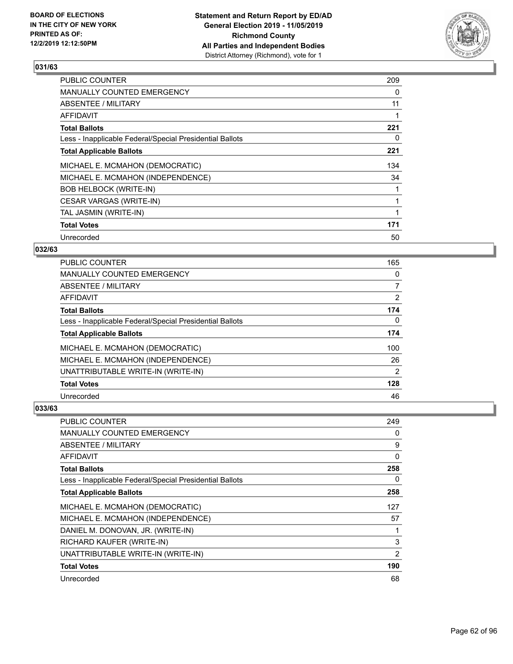

| <b>PUBLIC COUNTER</b>                                    | 209 |
|----------------------------------------------------------|-----|
| MANUALLY COUNTED EMERGENCY                               | 0   |
| ABSENTEE / MILITARY                                      | 11  |
| <b>AFFIDAVIT</b>                                         |     |
| <b>Total Ballots</b>                                     | 221 |
| Less - Inapplicable Federal/Special Presidential Ballots | 0   |
| <b>Total Applicable Ballots</b>                          | 221 |
| MICHAEL E. MCMAHON (DEMOCRATIC)                          | 134 |
| MICHAEL E. MCMAHON (INDEPENDENCE)                        | 34  |
| <b>BOB HELBOCK (WRITE-IN)</b>                            |     |
| CESAR VARGAS (WRITE-IN)                                  |     |
| TAL JASMIN (WRITE-IN)                                    |     |
| <b>Total Votes</b>                                       | 171 |
| Unrecorded                                               | 50  |

### **032/63**

| PUBLIC COUNTER                                           | 165            |
|----------------------------------------------------------|----------------|
| MANUALLY COUNTED EMERGENCY                               | $\Omega$       |
| ABSENTEE / MILITARY                                      | 7              |
| AFFIDAVIT                                                | $\overline{2}$ |
| <b>Total Ballots</b>                                     | 174            |
| Less - Inapplicable Federal/Special Presidential Ballots | $\Omega$       |
| <b>Total Applicable Ballots</b>                          | 174            |
| MICHAEL E. MCMAHON (DEMOCRATIC)                          | 100            |
| MICHAEL E. MCMAHON (INDEPENDENCE)                        | 26             |
| UNATTRIBUTABLE WRITE-IN (WRITE-IN)                       | $\overline{2}$ |
| <b>Total Votes</b>                                       | 128            |
| Unrecorded                                               | 46             |

| PUBLIC COUNTER                                           | 249      |
|----------------------------------------------------------|----------|
| <b>MANUALLY COUNTED EMERGENCY</b>                        | 0        |
| ABSENTEE / MILITARY                                      | 9        |
| AFFIDAVIT                                                | $\Omega$ |
| <b>Total Ballots</b>                                     | 258      |
| Less - Inapplicable Federal/Special Presidential Ballots | 0        |
| <b>Total Applicable Ballots</b>                          | 258      |
| MICHAEL E. MCMAHON (DEMOCRATIC)                          | 127      |
| MICHAEL E. MCMAHON (INDEPENDENCE)                        | 57       |
| DANIEL M. DONOVAN, JR. (WRITE-IN)                        |          |
| RICHARD KAUFER (WRITE-IN)                                | 3        |
| UNATTRIBUTABLE WRITE-IN (WRITE-IN)                       | 2        |
| <b>Total Votes</b>                                       | 190      |
| Unrecorded                                               | 68       |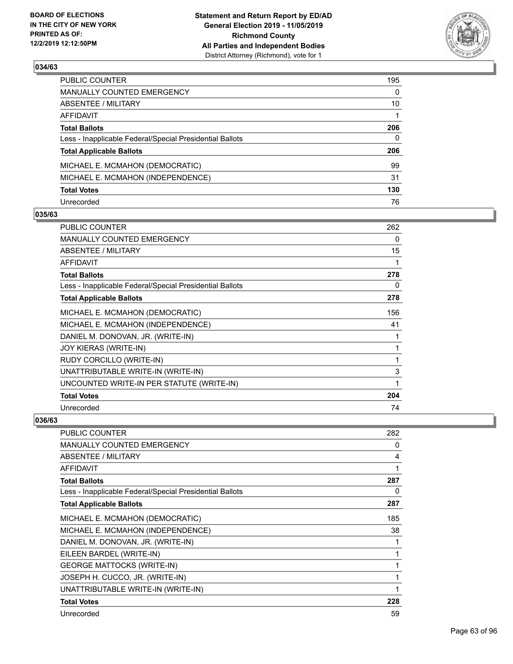

| PUBLIC COUNTER                                           | 195          |
|----------------------------------------------------------|--------------|
| MANUALLY COUNTED EMERGENCY                               | $\mathbf{0}$ |
| ABSENTEE / MILITARY                                      | 10           |
| AFFIDAVIT                                                |              |
| <b>Total Ballots</b>                                     | 206          |
| Less - Inapplicable Federal/Special Presidential Ballots | $\Omega$     |
| <b>Total Applicable Ballots</b>                          | 206          |
| MICHAEL E. MCMAHON (DEMOCRATIC)                          | 99           |
| MICHAEL E. MCMAHON (INDEPENDENCE)                        | 31           |
| <b>Total Votes</b>                                       | 130          |
| Unrecorded                                               | 76           |

#### **035/63**

| <b>PUBLIC COUNTER</b>                                    | 262 |
|----------------------------------------------------------|-----|
| <b>MANUALLY COUNTED EMERGENCY</b>                        | 0   |
| ABSENTEE / MILITARY                                      | 15  |
| <b>AFFIDAVIT</b>                                         | 1   |
| <b>Total Ballots</b>                                     | 278 |
| Less - Inapplicable Federal/Special Presidential Ballots | 0   |
| <b>Total Applicable Ballots</b>                          | 278 |
| MICHAEL E. MCMAHON (DEMOCRATIC)                          | 156 |
| MICHAEL E. MCMAHON (INDEPENDENCE)                        | 41  |
| DANIEL M. DONOVAN, JR. (WRITE-IN)                        | 1   |
| <b>JOY KIERAS (WRITE-IN)</b>                             | 1   |
| RUDY CORCILLO (WRITE-IN)                                 | 1   |
| UNATTRIBUTABLE WRITE-IN (WRITE-IN)                       | 3   |
| UNCOUNTED WRITE-IN PER STATUTE (WRITE-IN)                | 1   |
| <b>Total Votes</b>                                       | 204 |
| Unrecorded                                               | 74  |

| <b>PUBLIC COUNTER</b>                                    | 282          |
|----------------------------------------------------------|--------------|
| MANUALLY COUNTED EMERGENCY                               | 0            |
| ABSENTEE / MILITARY                                      | 4            |
| <b>AFFIDAVIT</b>                                         | 1            |
| <b>Total Ballots</b>                                     | 287          |
| Less - Inapplicable Federal/Special Presidential Ballots | 0            |
| <b>Total Applicable Ballots</b>                          | 287          |
| MICHAEL E. MCMAHON (DEMOCRATIC)                          | 185          |
| MICHAEL E. MCMAHON (INDEPENDENCE)                        | 38           |
| DANIEL M. DONOVAN, JR. (WRITE-IN)                        | 1            |
| EILEEN BARDEL (WRITE-IN)                                 | 1            |
| <b>GEORGE MATTOCKS (WRITE-IN)</b>                        | $\mathbf{1}$ |
| JOSEPH H. CUCCO, JR. (WRITE-IN)                          | 1            |
| UNATTRIBUTABLE WRITE-IN (WRITE-IN)                       | 1            |
| <b>Total Votes</b>                                       | 228          |
| Unrecorded                                               | 59           |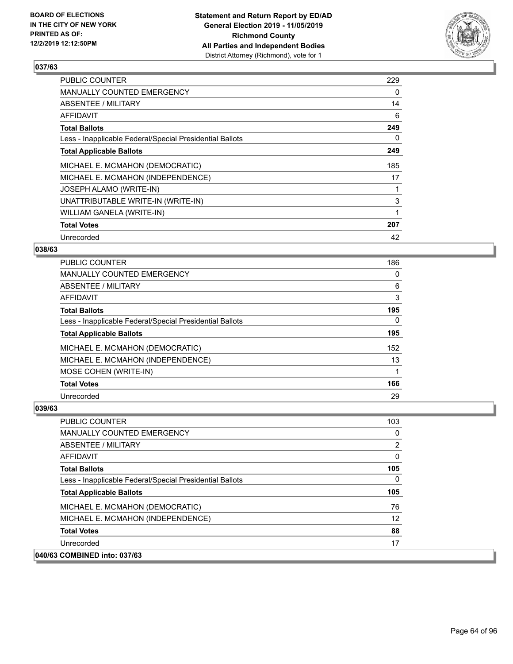

| <b>PUBLIC COUNTER</b>                                    | 229 |
|----------------------------------------------------------|-----|
| MANUALLY COUNTED EMERGENCY                               | 0   |
| ABSENTEE / MILITARY                                      | 14  |
| AFFIDAVIT                                                | 6   |
| <b>Total Ballots</b>                                     | 249 |
| Less - Inapplicable Federal/Special Presidential Ballots | 0   |
| <b>Total Applicable Ballots</b>                          | 249 |
| MICHAEL E. MCMAHON (DEMOCRATIC)                          | 185 |
| MICHAEL E. MCMAHON (INDEPENDENCE)                        | 17  |
| JOSEPH ALAMO (WRITE-IN)                                  |     |
| UNATTRIBUTABLE WRITE-IN (WRITE-IN)                       | 3   |
| WILLIAM GANELA (WRITE-IN)                                |     |
| <b>Total Votes</b>                                       | 207 |
| Unrecorded                                               | 42  |

### **038/63**

| PUBLIC COUNTER                                           | 186 |
|----------------------------------------------------------|-----|
| MANUALLY COUNTED EMERGENCY                               | 0   |
| ABSENTEE / MILITARY                                      | 6   |
| AFFIDAVIT                                                | 3   |
| <b>Total Ballots</b>                                     | 195 |
| Less - Inapplicable Federal/Special Presidential Ballots | 0   |
| <b>Total Applicable Ballots</b>                          | 195 |
| MICHAEL E. MCMAHON (DEMOCRATIC)                          | 152 |
| MICHAEL E. MCMAHON (INDEPENDENCE)                        | 13  |
| MOSE COHEN (WRITE-IN)                                    |     |
| <b>Total Votes</b>                                       | 166 |
| Unrecorded                                               | 29  |

| <b>PUBLIC COUNTER</b>                                    | 103 |
|----------------------------------------------------------|-----|
| <b>MANUALLY COUNTED EMERGENCY</b>                        | 0   |
| ABSENTEE / MILITARY                                      | 2   |
| AFFIDAVIT                                                | 0   |
| <b>Total Ballots</b>                                     | 105 |
| Less - Inapplicable Federal/Special Presidential Ballots | 0   |
| <b>Total Applicable Ballots</b>                          | 105 |
| MICHAEL E. MCMAHON (DEMOCRATIC)                          | 76  |
| MICHAEL E. MCMAHON (INDEPENDENCE)                        | 12  |
| <b>Total Votes</b>                                       | 88  |
| Unrecorded                                               | 17  |
| 040/63 COMBINED into: 037/63                             |     |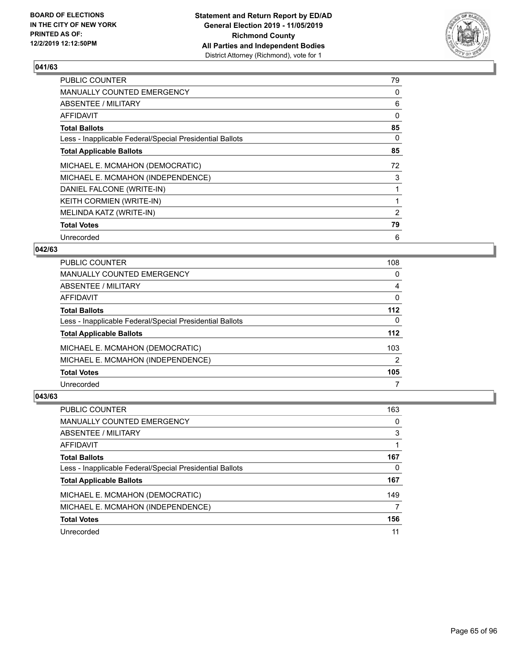

| PUBLIC COUNTER                                           | 79       |
|----------------------------------------------------------|----------|
| MANUALLY COUNTED EMERGENCY                               | 0        |
| ABSENTEE / MILITARY                                      | 6        |
| AFFIDAVIT                                                | $\Omega$ |
| <b>Total Ballots</b>                                     | 85       |
| Less - Inapplicable Federal/Special Presidential Ballots | 0        |
| <b>Total Applicable Ballots</b>                          | 85       |
| MICHAEL E. MCMAHON (DEMOCRATIC)                          | 72       |
| MICHAEL E. MCMAHON (INDEPENDENCE)                        | 3        |
| DANIEL FALCONE (WRITE-IN)                                |          |
| KEITH CORMIEN (WRITE-IN)                                 |          |
| MELINDA KATZ (WRITE-IN)                                  | 2        |
| <b>Total Votes</b>                                       | 79       |
| Unrecorded                                               | 6        |

### **042/63**

| <b>PUBLIC COUNTER</b>                                    | 108           |
|----------------------------------------------------------|---------------|
| <b>MANUALLY COUNTED EMERGENCY</b>                        | 0             |
| ABSENTEE / MILITARY                                      | 4             |
| AFFIDAVIT                                                | $\Omega$      |
| <b>Total Ballots</b>                                     | $112$         |
| Less - Inapplicable Federal/Special Presidential Ballots | $\Omega$      |
| <b>Total Applicable Ballots</b>                          | $112$         |
| MICHAEL E. MCMAHON (DEMOCRATIC)                          | 103           |
| MICHAEL E. MCMAHON (INDEPENDENCE)                        | $\mathcal{P}$ |
| <b>Total Votes</b>                                       | 105           |
| Unrecorded                                               |               |

| PUBLIC COUNTER                                           | 163 |
|----------------------------------------------------------|-----|
| MANUALLY COUNTED EMERGENCY                               | 0   |
| ABSENTEE / MILITARY                                      | 3   |
| <b>AFFIDAVIT</b>                                         |     |
| <b>Total Ballots</b>                                     | 167 |
| Less - Inapplicable Federal/Special Presidential Ballots | 0   |
| <b>Total Applicable Ballots</b>                          | 167 |
| MICHAEL E. MCMAHON (DEMOCRATIC)                          | 149 |
| MICHAEL E. MCMAHON (INDEPENDENCE)                        |     |
| <b>Total Votes</b>                                       | 156 |
| Unrecorded                                               | 11  |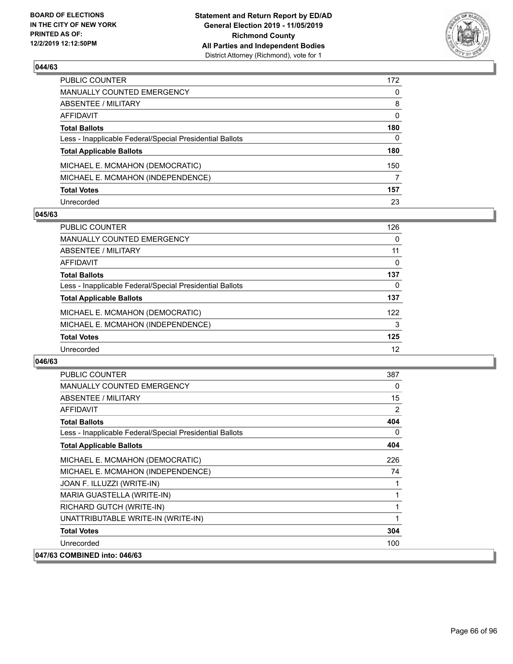

| PUBLIC COUNTER                                           | 172 |
|----------------------------------------------------------|-----|
| MANUALLY COUNTED EMERGENCY                               | 0   |
| ABSENTEE / MILITARY                                      | 8   |
| AFFIDAVIT                                                | 0   |
| <b>Total Ballots</b>                                     | 180 |
| Less - Inapplicable Federal/Special Presidential Ballots | 0   |
| <b>Total Applicable Ballots</b>                          | 180 |
| MICHAEL E. MCMAHON (DEMOCRATIC)                          | 150 |
| MICHAEL E. MCMAHON (INDEPENDENCE)                        | 7   |
| <b>Total Votes</b>                                       | 157 |
| Unrecorded                                               | 23  |

#### **045/63**

| <b>PUBLIC COUNTER</b>                                    | 126      |
|----------------------------------------------------------|----------|
| <b>MANUALLY COUNTED EMERGENCY</b>                        | 0        |
| ABSENTEE / MILITARY                                      | 11       |
| AFFIDAVIT                                                | $\Omega$ |
| <b>Total Ballots</b>                                     | 137      |
| Less - Inapplicable Federal/Special Presidential Ballots | $\Omega$ |
| <b>Total Applicable Ballots</b>                          | 137      |
| MICHAEL E. MCMAHON (DEMOCRATIC)                          | 122      |
| MICHAEL E. MCMAHON (INDEPENDENCE)                        | 3        |
| <b>Total Votes</b>                                       | 125      |
| Unrecorded                                               | 12       |

| <b>PUBLIC COUNTER</b>                                    | 387            |
|----------------------------------------------------------|----------------|
| <b>MANUALLY COUNTED EMERGENCY</b>                        | 0              |
| ABSENTEE / MILITARY                                      | 15             |
| <b>AFFIDAVIT</b>                                         | $\overline{2}$ |
| <b>Total Ballots</b>                                     | 404            |
| Less - Inapplicable Federal/Special Presidential Ballots | 0              |
| <b>Total Applicable Ballots</b>                          | 404            |
| MICHAEL E. MCMAHON (DEMOCRATIC)                          | 226            |
| MICHAEL E. MCMAHON (INDEPENDENCE)                        | 74             |
| JOAN F. ILLUZZI (WRITE-IN)                               | 1              |
| MARIA GUASTELLA (WRITE-IN)                               | 1              |
| RICHARD GUTCH (WRITE-IN)                                 | 1              |
| UNATTRIBUTABLE WRITE-IN (WRITE-IN)                       | 1              |
| <b>Total Votes</b>                                       | 304            |
| Unrecorded                                               | 100            |
| 047/63 COMBINED into: 046/63                             |                |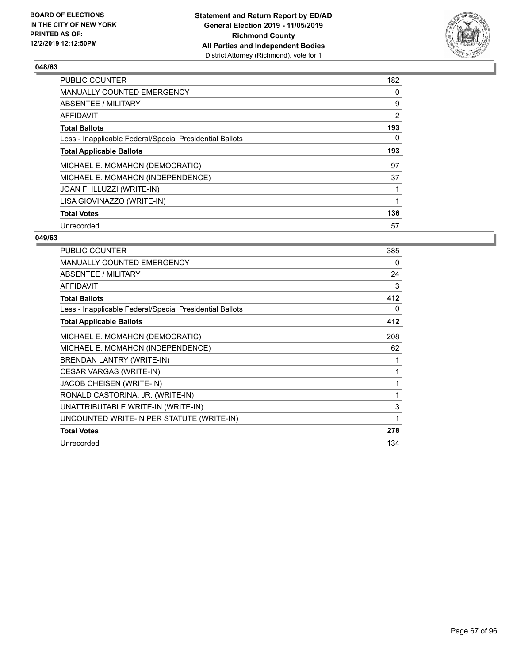

| PUBLIC COUNTER                                           | 182 |
|----------------------------------------------------------|-----|
| <b>MANUALLY COUNTED EMERGENCY</b>                        | 0   |
| ABSENTEE / MILITARY                                      | 9   |
| <b>AFFIDAVIT</b>                                         | 2   |
| <b>Total Ballots</b>                                     | 193 |
| Less - Inapplicable Federal/Special Presidential Ballots | 0   |
| <b>Total Applicable Ballots</b>                          | 193 |
| MICHAEL E. MCMAHON (DEMOCRATIC)                          | 97  |
| MICHAEL E. MCMAHON (INDEPENDENCE)                        | 37  |
| JOAN F. ILLUZZI (WRITE-IN)                               |     |
| LISA GIOVINAZZO (WRITE-IN)                               | 1   |
| <b>Total Votes</b>                                       | 136 |
| Unrecorded                                               | 57  |

| PUBLIC COUNTER                                           | 385 |
|----------------------------------------------------------|-----|
| <b>MANUALLY COUNTED EMERGENCY</b>                        | 0   |
| <b>ABSENTEE / MILITARY</b>                               | 24  |
| <b>AFFIDAVIT</b>                                         | 3   |
| <b>Total Ballots</b>                                     | 412 |
| Less - Inapplicable Federal/Special Presidential Ballots | 0   |
| <b>Total Applicable Ballots</b>                          | 412 |
| MICHAEL E. MCMAHON (DEMOCRATIC)                          | 208 |
| MICHAEL E. MCMAHON (INDEPENDENCE)                        | 62  |
| BRENDAN LANTRY (WRITE-IN)                                | 1   |
| CESAR VARGAS (WRITE-IN)                                  | 1   |
| JACOB CHEISEN (WRITE-IN)                                 | 1   |
| RONALD CASTORINA, JR. (WRITE-IN)                         | 1   |
| UNATTRIBUTABLE WRITE-IN (WRITE-IN)                       | 3   |
| UNCOUNTED WRITE-IN PER STATUTE (WRITE-IN)                | 1   |
| <b>Total Votes</b>                                       | 278 |
| Unrecorded                                               | 134 |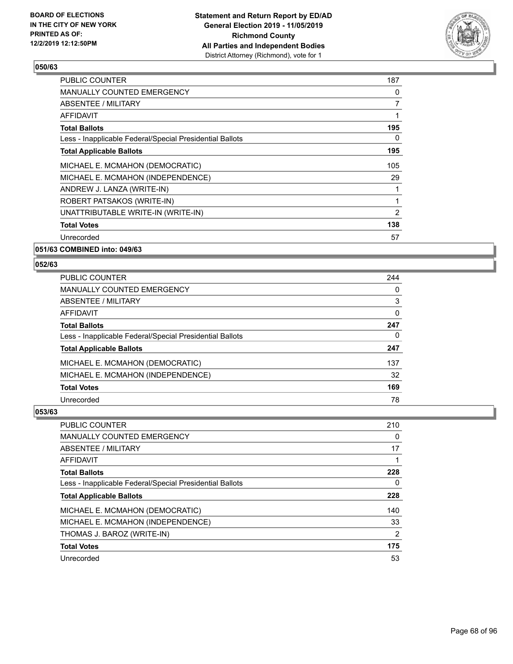

| <b>PUBLIC COUNTER</b>                                    | 187 |
|----------------------------------------------------------|-----|
| <b>MANUALLY COUNTED EMERGENCY</b>                        | 0   |
| ABSENTEE / MILITARY                                      | 7   |
| AFFIDAVIT                                                | 1   |
| <b>Total Ballots</b>                                     | 195 |
| Less - Inapplicable Federal/Special Presidential Ballots | 0   |
| <b>Total Applicable Ballots</b>                          | 195 |
| MICHAEL E. MCMAHON (DEMOCRATIC)                          | 105 |
| MICHAEL E. MCMAHON (INDEPENDENCE)                        | 29  |
| ANDREW J. LANZA (WRITE-IN)                               | 1   |
| ROBERT PATSAKOS (WRITE-IN)                               | 1   |
| UNATTRIBUTABLE WRITE-IN (WRITE-IN)                       | 2   |
| <b>Total Votes</b>                                       | 138 |
| Unrecorded                                               | 57  |
|                                                          |     |

**051/63 COMBINED into: 049/63**

#### **052/63**

| <b>PUBLIC COUNTER</b>                                    | 244      |
|----------------------------------------------------------|----------|
| <b>MANUALLY COUNTED EMERGENCY</b>                        | 0        |
| ABSENTEE / MILITARY                                      | 3        |
| AFFIDAVIT                                                | $\Omega$ |
| <b>Total Ballots</b>                                     | 247      |
| Less - Inapplicable Federal/Special Presidential Ballots | 0        |
| <b>Total Applicable Ballots</b>                          | 247      |
| MICHAEL E. MCMAHON (DEMOCRATIC)                          | 137      |
| MICHAEL E. MCMAHON (INDEPENDENCE)                        | 32       |
| <b>Total Votes</b>                                       | 169      |
| Unrecorded                                               | 78       |

| PUBLIC COUNTER                                           | 210 |
|----------------------------------------------------------|-----|
| <b>MANUALLY COUNTED EMERGENCY</b>                        | 0   |
| ABSENTEE / MILITARY                                      | 17  |
| AFFIDAVIT                                                |     |
| <b>Total Ballots</b>                                     | 228 |
| Less - Inapplicable Federal/Special Presidential Ballots | 0   |
| <b>Total Applicable Ballots</b>                          | 228 |
| MICHAEL E. MCMAHON (DEMOCRATIC)                          | 140 |
| MICHAEL E. MCMAHON (INDEPENDENCE)                        | 33  |
| THOMAS J. BAROZ (WRITE-IN)                               | 2   |
| <b>Total Votes</b>                                       | 175 |
| Unrecorded                                               | 53  |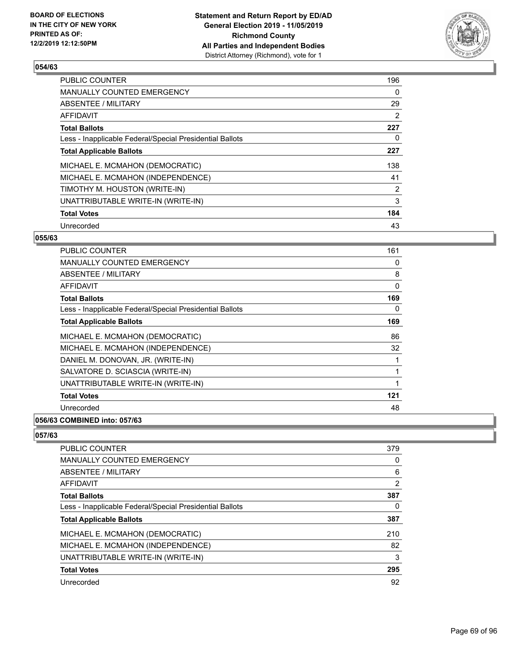

| <b>PUBLIC COUNTER</b>                                    | 196            |
|----------------------------------------------------------|----------------|
| <b>MANUALLY COUNTED EMERGENCY</b>                        | 0              |
| ABSENTEE / MILITARY                                      | 29             |
| AFFIDAVIT                                                | 2              |
| <b>Total Ballots</b>                                     | 227            |
| Less - Inapplicable Federal/Special Presidential Ballots | 0              |
| <b>Total Applicable Ballots</b>                          | 227            |
| MICHAEL E. MCMAHON (DEMOCRATIC)                          | 138            |
| MICHAEL E. MCMAHON (INDEPENDENCE)                        | 41             |
| TIMOTHY M. HOUSTON (WRITE-IN)                            | $\overline{2}$ |
| UNATTRIBUTABLE WRITE-IN (WRITE-IN)                       | 3              |
| <b>Total Votes</b>                                       | 184            |
| Unrecorded                                               | 43             |

#### **055/63**

| PUBLIC COUNTER                                           | 161 |
|----------------------------------------------------------|-----|
| <b>MANUALLY COUNTED EMERGENCY</b>                        | 0   |
| <b>ABSENTEE / MILITARY</b>                               | 8   |
| <b>AFFIDAVIT</b>                                         | 0   |
| <b>Total Ballots</b>                                     | 169 |
| Less - Inapplicable Federal/Special Presidential Ballots | 0   |
| <b>Total Applicable Ballots</b>                          | 169 |
| MICHAEL E. MCMAHON (DEMOCRATIC)                          | 86  |
| MICHAEL E. MCMAHON (INDEPENDENCE)                        | 32  |
| DANIEL M. DONOVAN, JR. (WRITE-IN)                        |     |
| SALVATORE D. SCIASCIA (WRITE-IN)                         | 1   |
| UNATTRIBUTABLE WRITE-IN (WRITE-IN)                       | 1   |
| <b>Total Votes</b>                                       | 121 |
| Unrecorded                                               | 48  |
|                                                          |     |

# **056/63 COMBINED into: 057/63**

| <b>PUBLIC COUNTER</b>                                    | 379            |
|----------------------------------------------------------|----------------|
| <b>MANUALLY COUNTED EMERGENCY</b>                        | 0              |
| ABSENTEE / MILITARY                                      | 6              |
| AFFIDAVIT                                                | $\overline{2}$ |
| <b>Total Ballots</b>                                     | 387            |
| Less - Inapplicable Federal/Special Presidential Ballots | 0              |
| <b>Total Applicable Ballots</b>                          | 387            |
| MICHAEL E. MCMAHON (DEMOCRATIC)                          | 210            |
| MICHAEL E. MCMAHON (INDEPENDENCE)                        | 82             |
| UNATTRIBUTABLE WRITE-IN (WRITE-IN)                       | 3              |
| <b>Total Votes</b>                                       | 295            |
| Unrecorded                                               | 92             |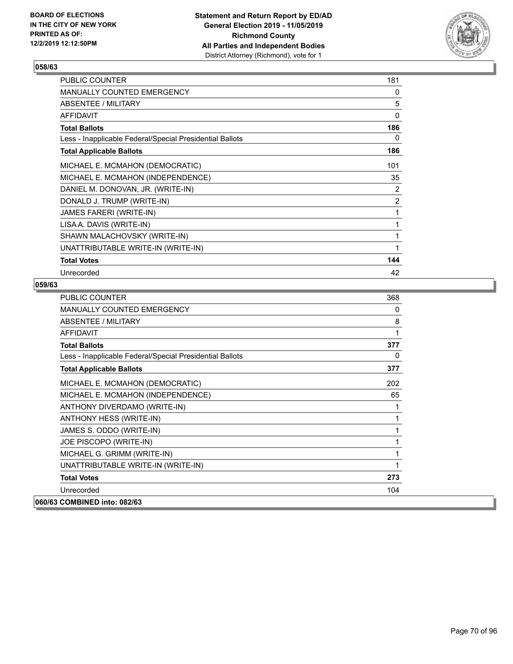

| PUBLIC COUNTER                                           | 181 |
|----------------------------------------------------------|-----|
| <b>MANUALLY COUNTED EMERGENCY</b>                        | 0   |
| ABSENTEE / MILITARY                                      | 5   |
| <b>AFFIDAVIT</b>                                         | 0   |
| <b>Total Ballots</b>                                     | 186 |
| Less - Inapplicable Federal/Special Presidential Ballots | 0   |
| <b>Total Applicable Ballots</b>                          | 186 |
| MICHAEL E. MCMAHON (DEMOCRATIC)                          | 101 |
| MICHAEL E. MCMAHON (INDEPENDENCE)                        | 35  |
| DANIEL M. DONOVAN, JR. (WRITE-IN)                        | 2   |
| DONALD J. TRUMP (WRITE-IN)                               | 2   |
| JAMES FARERI (WRITE-IN)                                  | 1   |
| LISA A. DAVIS (WRITE-IN)                                 | 1   |
| SHAWN MALACHOVSKY (WRITE-IN)                             | 1   |
| UNATTRIBUTABLE WRITE-IN (WRITE-IN)                       | 1   |
| <b>Total Votes</b>                                       | 144 |
| Unrecorded                                               | 42  |

| PUBLIC COUNTER                                           | 368 |
|----------------------------------------------------------|-----|
| MANUALLY COUNTED EMERGENCY                               | 0   |
| ABSENTEE / MILITARY                                      | 8   |
| <b>AFFIDAVIT</b>                                         | 1   |
| <b>Total Ballots</b>                                     | 377 |
| Less - Inapplicable Federal/Special Presidential Ballots | 0   |
| <b>Total Applicable Ballots</b>                          | 377 |
| MICHAEL E. MCMAHON (DEMOCRATIC)                          | 202 |
| MICHAEL E. MCMAHON (INDEPENDENCE)                        | 65  |
| ANTHONY DIVERDAMO (WRITE-IN)                             | 1   |
| ANTHONY HESS (WRITE-IN)                                  | 1   |
| JAMES S. ODDO (WRITE-IN)                                 | 1   |
| JOE PISCOPO (WRITE-IN)                                   | 1   |
| MICHAEL G. GRIMM (WRITE-IN)                              | 1   |
| UNATTRIBUTABLE WRITE-IN (WRITE-IN)                       | 1   |
| <b>Total Votes</b>                                       | 273 |
| Unrecorded                                               | 104 |
| 060/63 COMBINED into: 082/63                             |     |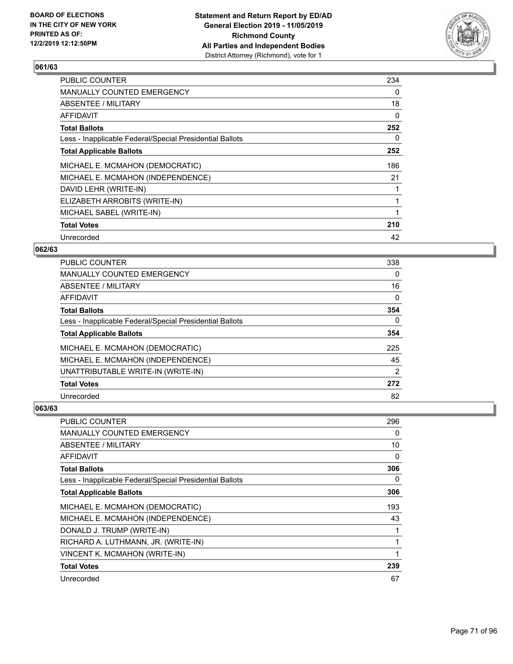

| <b>PUBLIC COUNTER</b>                                    | 234 |
|----------------------------------------------------------|-----|
| <b>MANUALLY COUNTED EMERGENCY</b>                        | 0   |
| ABSENTEE / MILITARY                                      | 18  |
| AFFIDAVIT                                                | 0   |
| <b>Total Ballots</b>                                     | 252 |
| Less - Inapplicable Federal/Special Presidential Ballots | 0   |
| <b>Total Applicable Ballots</b>                          | 252 |
| MICHAEL E. MCMAHON (DEMOCRATIC)                          | 186 |
| MICHAEL E. MCMAHON (INDEPENDENCE)                        | 21  |
| DAVID LEHR (WRITE-IN)                                    |     |
| ELIZABETH ARROBITS (WRITE-IN)                            |     |
| MICHAEL SABEL (WRITE-IN)                                 |     |
| <b>Total Votes</b>                                       | 210 |
| Unrecorded                                               | 42  |

### **062/63**

| <b>PUBLIC COUNTER</b>                                    | 338            |
|----------------------------------------------------------|----------------|
| MANUALLY COUNTED EMERGENCY                               | $\Omega$       |
| ABSENTEE / MILITARY                                      | 16             |
| AFFIDAVIT                                                | $\mathbf{0}$   |
| <b>Total Ballots</b>                                     | 354            |
| Less - Inapplicable Federal/Special Presidential Ballots | $\Omega$       |
| <b>Total Applicable Ballots</b>                          | 354            |
| MICHAEL E. MCMAHON (DEMOCRATIC)                          | 225            |
| MICHAEL E. MCMAHON (INDEPENDENCE)                        | 45             |
| UNATTRIBUTABLE WRITE-IN (WRITE-IN)                       | $\overline{2}$ |
| <b>Total Votes</b>                                       | 272            |
| Unrecorded                                               | 82             |

| <b>PUBLIC COUNTER</b>                                    | 296 |
|----------------------------------------------------------|-----|
| MANUALLY COUNTED EMERGENCY                               | 0   |
| ABSENTEE / MILITARY                                      | 10  |
| AFFIDAVIT                                                | 0   |
| <b>Total Ballots</b>                                     | 306 |
| Less - Inapplicable Federal/Special Presidential Ballots | 0   |
| <b>Total Applicable Ballots</b>                          | 306 |
| MICHAEL E. MCMAHON (DEMOCRATIC)                          | 193 |
| MICHAEL E. MCMAHON (INDEPENDENCE)                        | 43  |
| DONALD J. TRUMP (WRITE-IN)                               | 1   |
| RICHARD A. LUTHMANN, JR. (WRITE-IN)                      | 1   |
| VINCENT K. MCMAHON (WRITE-IN)                            | 1   |
| <b>Total Votes</b>                                       | 239 |
| Unrecorded                                               | 67  |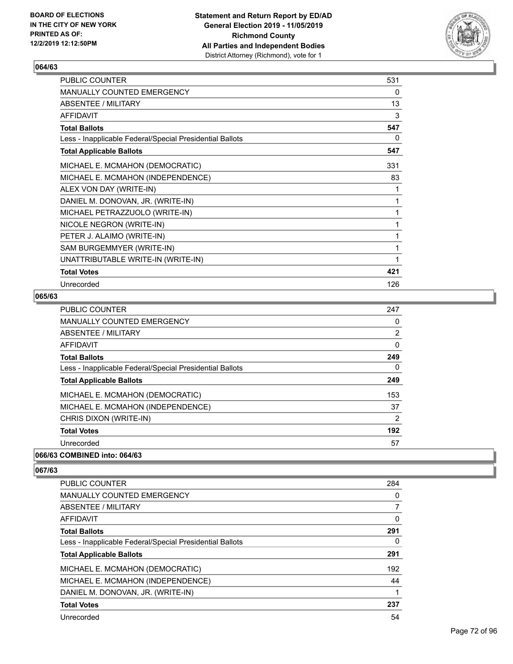

| PUBLIC COUNTER                                           | 531 |
|----------------------------------------------------------|-----|
| MANUALLY COUNTED EMERGENCY                               | 0   |
| ABSENTEE / MILITARY                                      | 13  |
| <b>AFFIDAVIT</b>                                         | 3   |
| <b>Total Ballots</b>                                     | 547 |
| Less - Inapplicable Federal/Special Presidential Ballots | 0   |
| <b>Total Applicable Ballots</b>                          | 547 |
| MICHAEL E. MCMAHON (DEMOCRATIC)                          | 331 |
| MICHAEL E. MCMAHON (INDEPENDENCE)                        | 83  |
| ALEX VON DAY (WRITE-IN)                                  | 1   |
| DANIEL M. DONOVAN, JR. (WRITE-IN)                        | 1   |
| MICHAEL PETRAZZUOLO (WRITE-IN)                           | 1   |
| NICOLE NEGRON (WRITE-IN)                                 | 1   |
| PETER J. ALAIMO (WRITE-IN)                               | 1   |
| SAM BURGEMMYER (WRITE-IN)                                | 1   |
| UNATTRIBUTABLE WRITE-IN (WRITE-IN)                       | 1   |
| <b>Total Votes</b>                                       | 421 |
| Unrecorded                                               | 126 |

## **065/63**

| PUBLIC COUNTER                                           | 247            |
|----------------------------------------------------------|----------------|
| MANUALLY COUNTED EMERGENCY                               | 0              |
| ABSENTEE / MILITARY                                      | 2              |
| <b>AFFIDAVIT</b>                                         | 0              |
| <b>Total Ballots</b>                                     | 249            |
| Less - Inapplicable Federal/Special Presidential Ballots | 0              |
| <b>Total Applicable Ballots</b>                          | 249            |
| MICHAEL E. MCMAHON (DEMOCRATIC)                          | 153            |
| MICHAEL E. MCMAHON (INDEPENDENCE)                        | 37             |
| CHRIS DIXON (WRITE-IN)                                   | $\overline{2}$ |
| <b>Total Votes</b>                                       | 192            |
| Unrecorded                                               | 57             |

## **066/63 COMBINED into: 064/63**

| PUBLIC COUNTER                                           | 284 |
|----------------------------------------------------------|-----|
| <b>MANUALLY COUNTED EMERGENCY</b>                        | 0   |
| ABSENTEE / MILITARY                                      | 7   |
| AFFIDAVIT                                                | 0   |
| <b>Total Ballots</b>                                     | 291 |
| Less - Inapplicable Federal/Special Presidential Ballots | 0   |
| <b>Total Applicable Ballots</b>                          | 291 |
| MICHAEL E. MCMAHON (DEMOCRATIC)                          | 192 |
| MICHAEL E. MCMAHON (INDEPENDENCE)                        | 44  |
| DANIEL M. DONOVAN, JR. (WRITE-IN)                        |     |
| <b>Total Votes</b>                                       | 237 |
| Unrecorded                                               | 54  |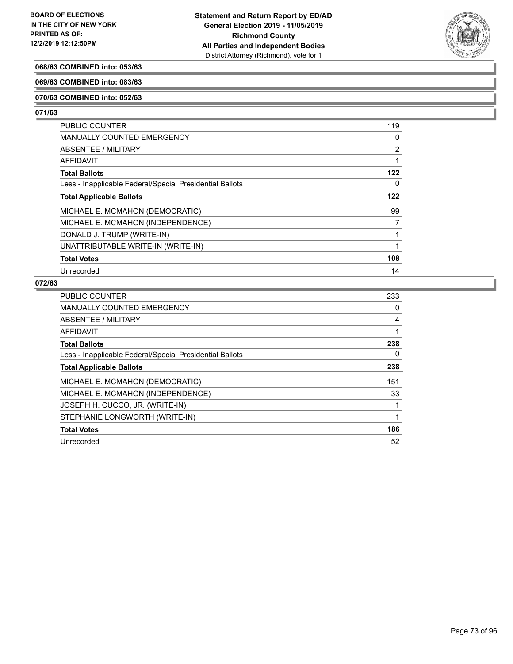

### **068/63 COMBINED into: 053/63**

#### **069/63 COMBINED into: 083/63**

#### **070/63 COMBINED into: 052/63**

# **071/63**

| PUBLIC COUNTER                                           | 119      |
|----------------------------------------------------------|----------|
| <b>MANUALLY COUNTED EMERGENCY</b>                        | $\Omega$ |
| <b>ABSENTEE / MILITARY</b>                               | 2        |
| <b>AFFIDAVIT</b>                                         | 1        |
| <b>Total Ballots</b>                                     | 122      |
| Less - Inapplicable Federal/Special Presidential Ballots | $\Omega$ |
| <b>Total Applicable Ballots</b>                          | 122      |
| MICHAEL E. MCMAHON (DEMOCRATIC)                          | 99       |
| MICHAEL E. MCMAHON (INDEPENDENCE)                        | 7        |
| DONALD J. TRUMP (WRITE-IN)                               | 1        |
| UNATTRIBUTABLE WRITE-IN (WRITE-IN)                       | 1        |
| <b>Total Votes</b>                                       | 108      |
| Unrecorded                                               | 14       |

| PUBLIC COUNTER                                           | 233 |
|----------------------------------------------------------|-----|
| <b>MANUALLY COUNTED EMERGENCY</b>                        | 0   |
| ABSENTEE / MILITARY                                      | 4   |
| AFFIDAVIT                                                |     |
| <b>Total Ballots</b>                                     | 238 |
| Less - Inapplicable Federal/Special Presidential Ballots | 0   |
| <b>Total Applicable Ballots</b>                          | 238 |
| MICHAEL E. MCMAHON (DEMOCRATIC)                          | 151 |
| MICHAEL E. MCMAHON (INDEPENDENCE)                        | 33  |
| JOSEPH H. CUCCO, JR. (WRITE-IN)                          |     |
| STEPHANIE LONGWORTH (WRITE-IN)                           |     |
| <b>Total Votes</b>                                       | 186 |
| Unrecorded                                               | 52  |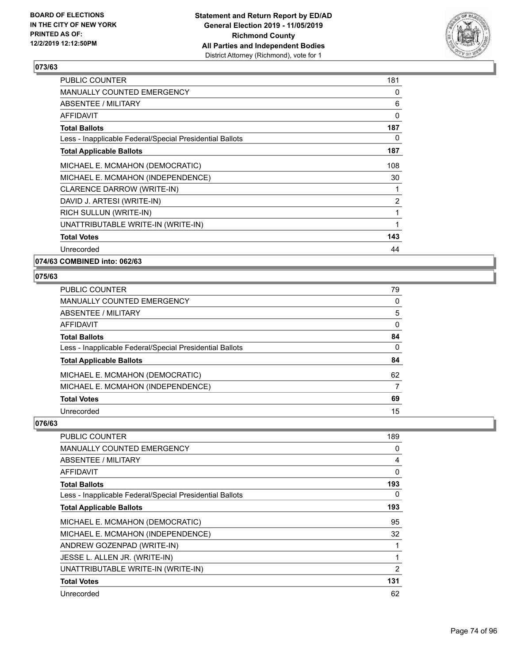

| PUBLIC COUNTER                                           | 181            |
|----------------------------------------------------------|----------------|
| <b>MANUALLY COUNTED EMERGENCY</b>                        | 0              |
| ABSENTEE / MILITARY                                      | 6              |
| <b>AFFIDAVIT</b>                                         | 0              |
| <b>Total Ballots</b>                                     | 187            |
| Less - Inapplicable Federal/Special Presidential Ballots | 0              |
| <b>Total Applicable Ballots</b>                          | 187            |
| MICHAEL E. MCMAHON (DEMOCRATIC)                          | 108            |
| MICHAEL E. MCMAHON (INDEPENDENCE)                        | 30             |
| <b>CLARENCE DARROW (WRITE-IN)</b>                        |                |
| DAVID J. ARTESI (WRITE-IN)                               | $\overline{2}$ |
| RICH SULLUN (WRITE-IN)                                   | 1              |
| UNATTRIBUTABLE WRITE-IN (WRITE-IN)                       | 1              |
| <b>Total Votes</b>                                       | 143            |
| Unrecorded                                               | 44             |
|                                                          |                |

**074/63 COMBINED into: 062/63**

#### **075/63**

| <b>PUBLIC COUNTER</b>                                    | 79       |
|----------------------------------------------------------|----------|
| MANUALLY COUNTED EMERGENCY                               | 0        |
| <b>ABSENTEE / MILITARY</b>                               | 5        |
| AFFIDAVIT                                                | $\Omega$ |
| <b>Total Ballots</b>                                     | 84       |
| Less - Inapplicable Federal/Special Presidential Ballots | 0        |
| <b>Total Applicable Ballots</b>                          | 84       |
| MICHAEL E. MCMAHON (DEMOCRATIC)                          | 62       |
| MICHAEL E. MCMAHON (INDEPENDENCE)                        |          |
| <b>Total Votes</b>                                       | 69       |
| Unrecorded                                               | 15       |

| <b>PUBLIC COUNTER</b>                                    | 189 |
|----------------------------------------------------------|-----|
| MANUALLY COUNTED EMERGENCY                               | 0   |
| ABSENTEE / MILITARY                                      | 4   |
| AFFIDAVIT                                                | 0   |
| <b>Total Ballots</b>                                     | 193 |
| Less - Inapplicable Federal/Special Presidential Ballots | 0   |
| <b>Total Applicable Ballots</b>                          | 193 |
| MICHAEL E. MCMAHON (DEMOCRATIC)                          | 95  |
| MICHAEL E. MCMAHON (INDEPENDENCE)                        | 32  |
| ANDREW GOZENPAD (WRITE-IN)                               |     |
| JESSE L. ALLEN JR. (WRITE-IN)                            | 1   |
| UNATTRIBUTABLE WRITE-IN (WRITE-IN)                       | 2   |
| <b>Total Votes</b>                                       | 131 |
| Unrecorded                                               | 62  |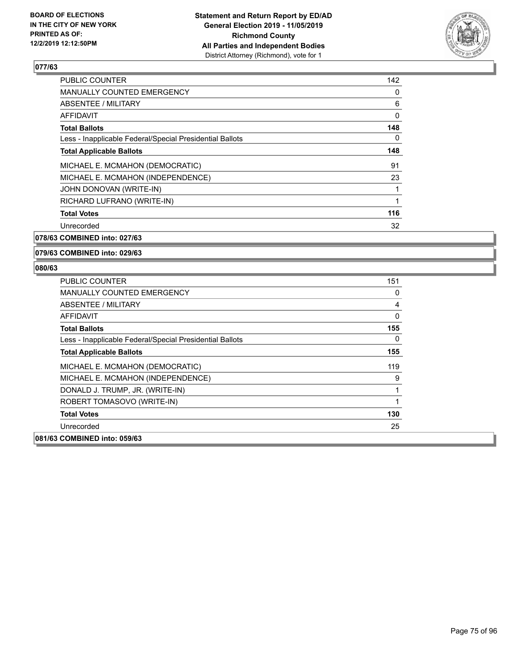

| <b>PUBLIC COUNTER</b>                                    | 142 |
|----------------------------------------------------------|-----|
| <b>MANUALLY COUNTED EMERGENCY</b>                        | 0   |
| ABSENTEE / MILITARY                                      | 6   |
| AFFIDAVIT                                                | 0   |
| <b>Total Ballots</b>                                     | 148 |
| Less - Inapplicable Federal/Special Presidential Ballots | 0   |
| <b>Total Applicable Ballots</b>                          | 148 |
| MICHAEL E. MCMAHON (DEMOCRATIC)                          | 91  |
| MICHAEL E. MCMAHON (INDEPENDENCE)                        | 23  |
| JOHN DONOVAN (WRITE-IN)                                  | 1   |
| RICHARD LUFRANO (WRITE-IN)                               | 1   |
| <b>Total Votes</b>                                       | 116 |
| Unrecorded                                               | 32  |
|                                                          |     |

**078/63 COMBINED into: 027/63**

**079/63 COMBINED into: 029/63**

| <b>PUBLIC COUNTER</b>                                    | 151 |
|----------------------------------------------------------|-----|
| <b>MANUALLY COUNTED EMERGENCY</b>                        | 0   |
| ABSENTEE / MILITARY                                      | 4   |
| AFFIDAVIT                                                | 0   |
| <b>Total Ballots</b>                                     | 155 |
| Less - Inapplicable Federal/Special Presidential Ballots | 0   |
| <b>Total Applicable Ballots</b>                          | 155 |
| MICHAEL E. MCMAHON (DEMOCRATIC)                          | 119 |
| MICHAEL E. MCMAHON (INDEPENDENCE)                        | 9   |
| DONALD J. TRUMP, JR. (WRITE-IN)                          | 1   |
| ROBERT TOMASOVO (WRITE-IN)                               | 1   |
| <b>Total Votes</b>                                       | 130 |
| Unrecorded                                               | 25  |
| 081/63 COMBINED into: 059/63                             |     |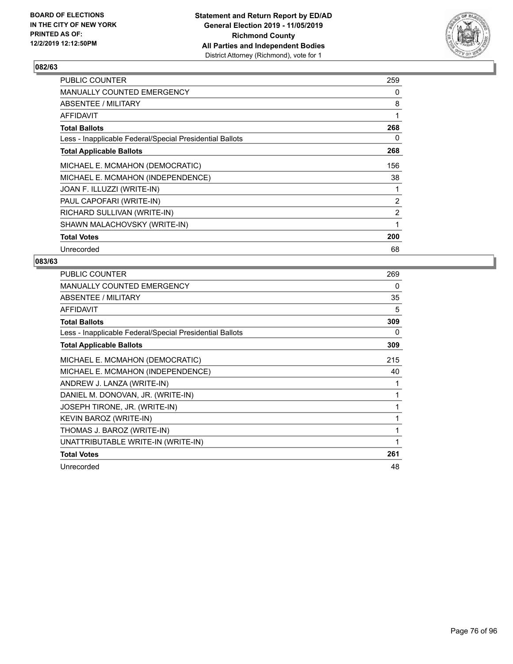

| <b>PUBLIC COUNTER</b>                                    | 259            |
|----------------------------------------------------------|----------------|
| <b>MANUALLY COUNTED EMERGENCY</b>                        | 0              |
| ABSENTEE / MILITARY                                      | 8              |
| AFFIDAVIT                                                | 1              |
| <b>Total Ballots</b>                                     | 268            |
| Less - Inapplicable Federal/Special Presidential Ballots | 0              |
| <b>Total Applicable Ballots</b>                          | 268            |
| MICHAEL E. MCMAHON (DEMOCRATIC)                          | 156            |
| MICHAEL E. MCMAHON (INDEPENDENCE)                        | 38             |
| JOAN F. ILLUZZI (WRITE-IN)                               |                |
| PAUL CAPOFARI (WRITE-IN)                                 | $\overline{2}$ |
| RICHARD SULLIVAN (WRITE-IN)                              | $\overline{2}$ |
| SHAWN MALACHOVSKY (WRITE-IN)                             | 1              |
| <b>Total Votes</b>                                       | 200            |
| Unrecorded                                               | 68             |

| PUBLIC COUNTER                                           | 269 |
|----------------------------------------------------------|-----|
| <b>MANUALLY COUNTED EMERGENCY</b>                        | 0   |
| ABSENTEE / MILITARY                                      | 35  |
| AFFIDAVIT                                                | 5   |
| <b>Total Ballots</b>                                     | 309 |
| Less - Inapplicable Federal/Special Presidential Ballots | 0   |
| <b>Total Applicable Ballots</b>                          | 309 |
| MICHAEL E. MCMAHON (DEMOCRATIC)                          | 215 |
| MICHAEL E. MCMAHON (INDEPENDENCE)                        | 40  |
| ANDREW J. LANZA (WRITE-IN)                               |     |
| DANIEL M. DONOVAN, JR. (WRITE-IN)                        | 1   |
| JOSEPH TIRONE, JR. (WRITE-IN)                            | 1   |
| KEVIN BAROZ (WRITE-IN)                                   | 1   |
| THOMAS J. BAROZ (WRITE-IN)                               | 1   |
| UNATTRIBUTABLE WRITE-IN (WRITE-IN)                       |     |
| <b>Total Votes</b>                                       | 261 |
| Unrecorded                                               | 48  |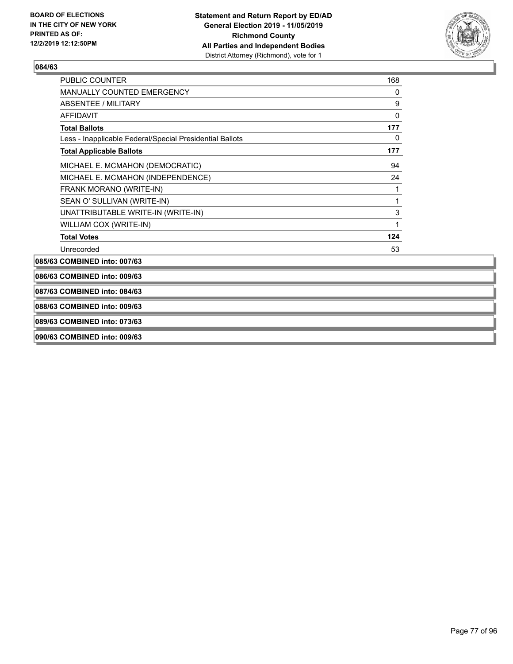

| <b>PUBLIC COUNTER</b>                                    | 168 |
|----------------------------------------------------------|-----|
| <b>MANUALLY COUNTED EMERGENCY</b>                        | 0   |
| <b>ABSENTEE / MILITARY</b>                               | 9   |
| <b>AFFIDAVIT</b>                                         | 0   |
| <b>Total Ballots</b>                                     | 177 |
| Less - Inapplicable Federal/Special Presidential Ballots | 0   |
| <b>Total Applicable Ballots</b>                          | 177 |
| MICHAEL E. MCMAHON (DEMOCRATIC)                          | 94  |
| MICHAEL E. MCMAHON (INDEPENDENCE)                        | 24  |
| FRANK MORANO (WRITE-IN)                                  | 1   |
| SEAN O' SULLIVAN (WRITE-IN)                              | 1   |
| UNATTRIBUTABLE WRITE-IN (WRITE-IN)                       | 3   |
| WILLIAM COX (WRITE-IN)                                   | 1   |
| <b>Total Votes</b>                                       | 124 |
| Unrecorded                                               | 53  |
|                                                          |     |

**085/63 COMBINED into: 007/63**

**086/63 COMBINED into: 009/63**

**087/63 COMBINED into: 084/63**

**088/63 COMBINED into: 009/63**

**089/63 COMBINED into: 073/63**

**090/63 COMBINED into: 009/63**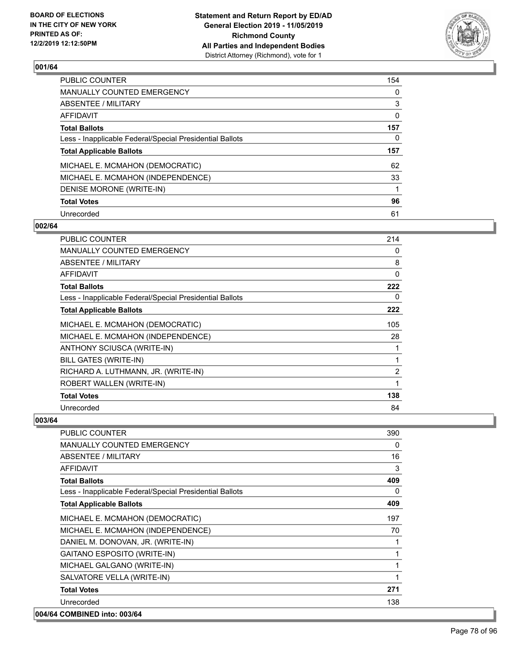

| <b>PUBLIC COUNTER</b>                                    | 154 |
|----------------------------------------------------------|-----|
| <b>MANUALLY COUNTED EMERGENCY</b>                        | 0   |
| ABSENTEE / MILITARY                                      | 3   |
| AFFIDAVIT                                                | 0   |
| <b>Total Ballots</b>                                     | 157 |
| Less - Inapplicable Federal/Special Presidential Ballots | 0   |
| <b>Total Applicable Ballots</b>                          | 157 |
| MICHAEL E. MCMAHON (DEMOCRATIC)                          | 62  |
| MICHAEL E. MCMAHON (INDEPENDENCE)                        | 33  |
| DENISE MORONE (WRITE-IN)                                 | 1   |
| <b>Total Votes</b>                                       | 96  |
| Unrecorded                                               | 61  |

#### **002/64**

| <b>PUBLIC COUNTER</b>                                    | 214            |
|----------------------------------------------------------|----------------|
| <b>MANUALLY COUNTED EMERGENCY</b>                        | 0              |
| ABSENTEE / MILITARY                                      | 8              |
| AFFIDAVIT                                                | 0              |
| <b>Total Ballots</b>                                     | 222            |
| Less - Inapplicable Federal/Special Presidential Ballots | 0              |
| <b>Total Applicable Ballots</b>                          | 222            |
| MICHAEL E. MCMAHON (DEMOCRATIC)                          | 105            |
| MICHAEL E. MCMAHON (INDEPENDENCE)                        | 28             |
| ANTHONY SCIUSCA (WRITE-IN)                               |                |
| <b>BILL GATES (WRITE-IN)</b>                             | 1              |
| RICHARD A. LUTHMANN, JR. (WRITE-IN)                      | $\overline{2}$ |
| ROBERT WALLEN (WRITE-IN)                                 | 1              |
| <b>Total Votes</b>                                       | 138            |
| Unrecorded                                               | 84             |

| <b>PUBLIC COUNTER</b>                                    | 390      |
|----------------------------------------------------------|----------|
| <b>MANUALLY COUNTED EMERGENCY</b>                        | $\Omega$ |
| ABSENTEE / MILITARY                                      | 16       |
| <b>AFFIDAVIT</b>                                         | 3        |
| <b>Total Ballots</b>                                     | 409      |
| Less - Inapplicable Federal/Special Presidential Ballots | $\Omega$ |
| <b>Total Applicable Ballots</b>                          | 409      |
| MICHAEL E. MCMAHON (DEMOCRATIC)                          | 197      |
| MICHAEL E. MCMAHON (INDEPENDENCE)                        | 70       |
| DANIEL M. DONOVAN, JR. (WRITE-IN)                        |          |
| <b>GAITANO ESPOSITO (WRITE-IN)</b>                       | 1        |
| MICHAEL GALGANO (WRITE-IN)                               | 1        |
| SALVATORE VELLA (WRITE-IN)                               | 1        |
| <b>Total Votes</b>                                       | 271      |
| Unrecorded                                               | 138      |
| 004/64 COMBINED into: 003/64                             |          |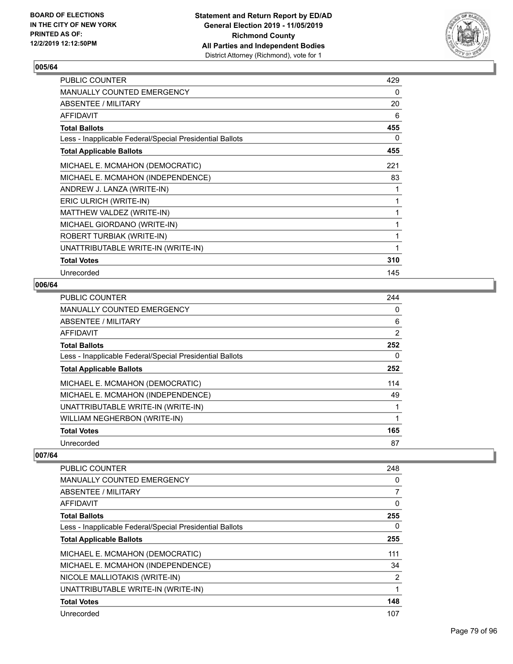

| PUBLIC COUNTER                                           | 429 |
|----------------------------------------------------------|-----|
| <b>MANUALLY COUNTED EMERGENCY</b>                        | 0   |
| ABSENTEE / MILITARY                                      | 20  |
| AFFIDAVIT                                                | 6   |
| <b>Total Ballots</b>                                     | 455 |
| Less - Inapplicable Federal/Special Presidential Ballots | 0   |
| <b>Total Applicable Ballots</b>                          | 455 |
| MICHAEL E. MCMAHON (DEMOCRATIC)                          | 221 |
| MICHAEL E. MCMAHON (INDEPENDENCE)                        | 83  |
| ANDREW J. LANZA (WRITE-IN)                               | 1   |
| ERIC ULRICH (WRITE-IN)                                   | 1   |
| MATTHEW VALDEZ (WRITE-IN)                                | 1   |
| MICHAEL GIORDANO (WRITE-IN)                              | 1   |
| ROBERT TURBIAK (WRITE-IN)                                | 1   |
| UNATTRIBUTABLE WRITE-IN (WRITE-IN)                       | 1   |
| <b>Total Votes</b>                                       | 310 |
| Unrecorded                                               | 145 |

#### **006/64**

| <b>PUBLIC COUNTER</b>                                    | 244 |
|----------------------------------------------------------|-----|
| MANUALLY COUNTED EMERGENCY                               | 0   |
| ABSENTEE / MILITARY                                      | 6   |
| <b>AFFIDAVIT</b>                                         | 2   |
| <b>Total Ballots</b>                                     | 252 |
| Less - Inapplicable Federal/Special Presidential Ballots | 0   |
| <b>Total Applicable Ballots</b>                          | 252 |
| MICHAEL E. MCMAHON (DEMOCRATIC)                          | 114 |
| MICHAEL E. MCMAHON (INDEPENDENCE)                        | 49  |
| UNATTRIBUTABLE WRITE-IN (WRITE-IN)                       |     |
| WILLIAM NEGHERBON (WRITE-IN)                             | 1   |
| <b>Total Votes</b>                                       | 165 |
| Unrecorded                                               | 87  |

| PUBLIC COUNTER                                           | 248 |
|----------------------------------------------------------|-----|
| <b>MANUALLY COUNTED EMERGENCY</b>                        | 0   |
| ABSENTEE / MILITARY                                      | 7   |
| AFFIDAVIT                                                | 0   |
| <b>Total Ballots</b>                                     | 255 |
| Less - Inapplicable Federal/Special Presidential Ballots | 0   |
| <b>Total Applicable Ballots</b>                          | 255 |
| MICHAEL E. MCMAHON (DEMOCRATIC)                          | 111 |
| MICHAEL E. MCMAHON (INDEPENDENCE)                        | 34  |
| NICOLE MALLIOTAKIS (WRITE-IN)                            | 2   |
| UNATTRIBUTABLE WRITE-IN (WRITE-IN)                       | 1   |
| <b>Total Votes</b>                                       | 148 |
| Unrecorded                                               | 107 |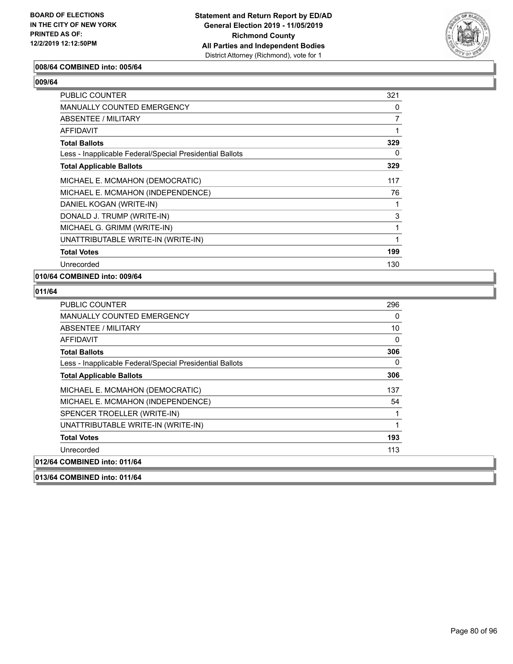

#### **008/64 COMBINED into: 005/64**

| ı<br>- 4 |
|----------|
|----------|

| PUBLIC COUNTER                                           | 321 |
|----------------------------------------------------------|-----|
| <b>MANUALLY COUNTED EMERGENCY</b>                        | 0   |
| ABSENTEE / MILITARY                                      | 7   |
| AFFIDAVIT                                                |     |
| <b>Total Ballots</b>                                     | 329 |
| Less - Inapplicable Federal/Special Presidential Ballots | 0   |
| <b>Total Applicable Ballots</b>                          | 329 |
| MICHAEL E. MCMAHON (DEMOCRATIC)                          | 117 |
| MICHAEL E. MCMAHON (INDEPENDENCE)                        | 76  |
| DANIEL KOGAN (WRITE-IN)                                  |     |
| DONALD J. TRUMP (WRITE-IN)                               | 3   |
| MICHAEL G. GRIMM (WRITE-IN)                              | 1   |
| UNATTRIBUTABLE WRITE-IN (WRITE-IN)                       | 1   |
| <b>Total Votes</b>                                       | 199 |
| Unrecorded                                               | 130 |

#### **010/64 COMBINED into: 009/64**

| <b>PUBLIC COUNTER</b>                                    | 296      |
|----------------------------------------------------------|----------|
| <b>MANUALLY COUNTED EMERGENCY</b>                        | 0        |
| <b>ABSENTEE / MILITARY</b>                               | 10       |
| <b>AFFIDAVIT</b>                                         | $\Omega$ |
| <b>Total Ballots</b>                                     | 306      |
| Less - Inapplicable Federal/Special Presidential Ballots | 0        |
| <b>Total Applicable Ballots</b>                          | 306      |
| MICHAEL E. MCMAHON (DEMOCRATIC)                          | 137      |
| MICHAEL E. MCMAHON (INDEPENDENCE)                        | 54       |
| SPENCER TROELLER (WRITE-IN)                              | 1        |
| UNATTRIBUTABLE WRITE-IN (WRITE-IN)                       | 1        |
| <b>Total Votes</b>                                       | 193      |
| Unrecorded                                               | 113      |
| 012/64 COMBINED into: 011/64                             |          |
| 013/64 COMBINED into: 011/64                             |          |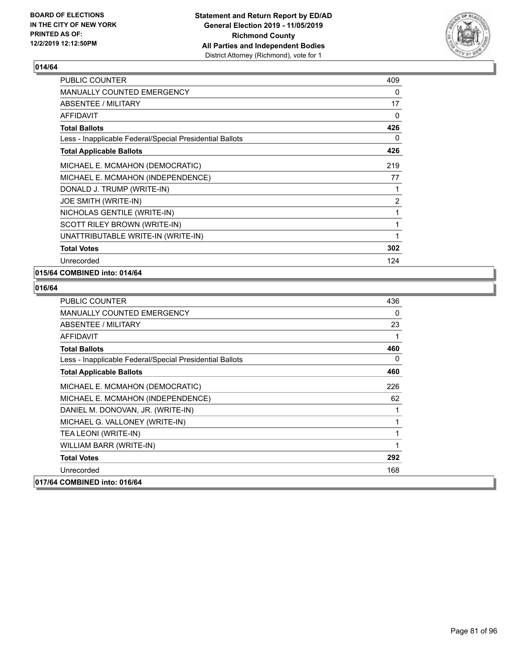

| <b>PUBLIC COUNTER</b>                                    | 409 |
|----------------------------------------------------------|-----|
| <b>MANUALLY COUNTED EMERGENCY</b>                        | 0   |
| <b>ABSENTEE / MILITARY</b>                               | 17  |
| <b>AFFIDAVIT</b>                                         | 0   |
| <b>Total Ballots</b>                                     | 426 |
| Less - Inapplicable Federal/Special Presidential Ballots | 0   |
| <b>Total Applicable Ballots</b>                          | 426 |
| MICHAEL E. MCMAHON (DEMOCRATIC)                          | 219 |
| MICHAEL E. MCMAHON (INDEPENDENCE)                        | 77  |
| DONALD J. TRUMP (WRITE-IN)                               | 1   |
| JOE SMITH (WRITE-IN)                                     | 2   |
| NICHOLAS GENTILE (WRITE-IN)                              | 1   |
| SCOTT RILEY BROWN (WRITE-IN)                             | 1   |
| UNATTRIBUTABLE WRITE-IN (WRITE-IN)                       | 1   |
| <b>Total Votes</b>                                       | 302 |
| Unrecorded                                               | 124 |

# **015/64 COMBINED into: 014/64**

| <b>PUBLIC COUNTER</b>                                    | 436      |
|----------------------------------------------------------|----------|
| MANUALLY COUNTED EMERGENCY                               | $\Omega$ |
| <b>ABSENTEE / MILITARY</b>                               | 23       |
| <b>AFFIDAVIT</b>                                         | 1        |
| <b>Total Ballots</b>                                     | 460      |
| Less - Inapplicable Federal/Special Presidential Ballots | 0        |
| <b>Total Applicable Ballots</b>                          | 460      |
| MICHAEL E. MCMAHON (DEMOCRATIC)                          | 226      |
| MICHAEL E. MCMAHON (INDEPENDENCE)                        | 62       |
| DANIEL M. DONOVAN, JR. (WRITE-IN)                        |          |
| MICHAEL G. VALLONEY (WRITE-IN)                           | 1        |
| TEA LEONI (WRITE-IN)                                     | 1        |
| WILLIAM BARR (WRITE-IN)                                  | 1        |
| <b>Total Votes</b>                                       | 292      |
| Unrecorded                                               | 168      |
| 017/64 COMBINED into: 016/64                             |          |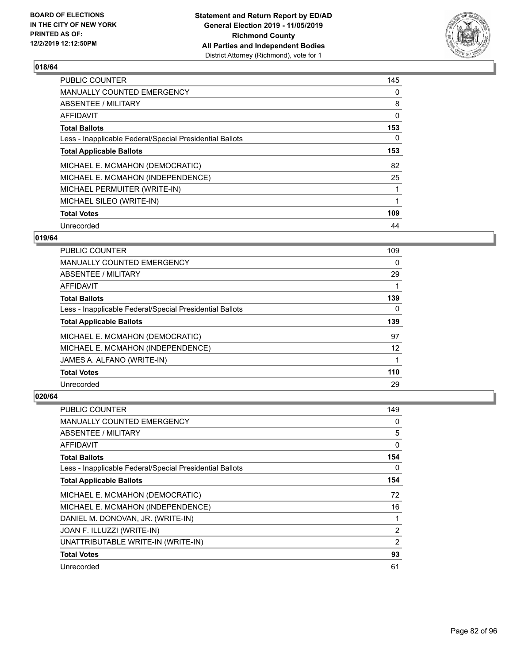

| <b>PUBLIC COUNTER</b>                                    | 145 |
|----------------------------------------------------------|-----|
| <b>MANUALLY COUNTED EMERGENCY</b>                        | 0   |
| ABSENTEE / MILITARY                                      | 8   |
| <b>AFFIDAVIT</b>                                         | 0   |
| <b>Total Ballots</b>                                     | 153 |
| Less - Inapplicable Federal/Special Presidential Ballots | 0   |
| <b>Total Applicable Ballots</b>                          | 153 |
| MICHAEL E. MCMAHON (DEMOCRATIC)                          | 82  |
| MICHAEL E. MCMAHON (INDEPENDENCE)                        | 25  |
| MICHAEL PERMUITER (WRITE-IN)                             |     |
| MICHAEL SILEO (WRITE-IN)                                 |     |
| <b>Total Votes</b>                                       | 109 |
| Unrecorded                                               | 44  |

#### **019/64**

| <b>PUBLIC COUNTER</b>                                    | 109 |
|----------------------------------------------------------|-----|
| <b>MANUALLY COUNTED EMERGENCY</b>                        | 0   |
| <b>ABSENTEE / MILITARY</b>                               | 29  |
| AFFIDAVIT                                                |     |
| <b>Total Ballots</b>                                     | 139 |
| Less - Inapplicable Federal/Special Presidential Ballots | 0   |
| <b>Total Applicable Ballots</b>                          | 139 |
| MICHAEL E. MCMAHON (DEMOCRATIC)                          | 97  |
| MICHAEL E. MCMAHON (INDEPENDENCE)                        | 12  |
| JAMES A. ALFANO (WRITE-IN)                               |     |
| <b>Total Votes</b>                                       | 110 |
| Unrecorded                                               | 29  |

| PUBLIC COUNTER                                           | 149 |
|----------------------------------------------------------|-----|
| <b>MANUALLY COUNTED EMERGENCY</b>                        | 0   |
| ABSENTEE / MILITARY                                      | 5   |
| AFFIDAVIT                                                | 0   |
| <b>Total Ballots</b>                                     | 154 |
| Less - Inapplicable Federal/Special Presidential Ballots | 0   |
| <b>Total Applicable Ballots</b>                          | 154 |
| MICHAEL E. MCMAHON (DEMOCRATIC)                          | 72  |
| MICHAEL E. MCMAHON (INDEPENDENCE)                        | 16  |
| DANIEL M. DONOVAN, JR. (WRITE-IN)                        | 1   |
| JOAN F. ILLUZZI (WRITE-IN)                               | 2   |
| UNATTRIBUTABLE WRITE-IN (WRITE-IN)                       | 2   |
| <b>Total Votes</b>                                       | 93  |
| Unrecorded                                               | 61  |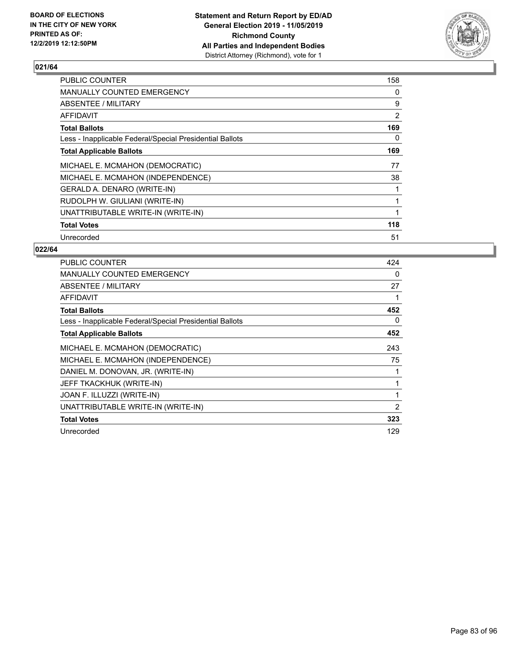

| <b>PUBLIC COUNTER</b>                                    | 158            |
|----------------------------------------------------------|----------------|
| <b>MANUALLY COUNTED EMERGENCY</b>                        | 0              |
| ABSENTEE / MILITARY                                      | 9              |
| <b>AFFIDAVIT</b>                                         | $\overline{2}$ |
| <b>Total Ballots</b>                                     | 169            |
| Less - Inapplicable Federal/Special Presidential Ballots | 0              |
| <b>Total Applicable Ballots</b>                          | 169            |
| MICHAEL E. MCMAHON (DEMOCRATIC)                          | 77             |
| MICHAEL E. MCMAHON (INDEPENDENCE)                        | 38             |
| GERALD A. DENARO (WRITE-IN)                              |                |
| RUDOLPH W. GIULIANI (WRITE-IN)                           |                |
| UNATTRIBUTABLE WRITE-IN (WRITE-IN)                       |                |
| <b>Total Votes</b>                                       | 118            |
| Unrecorded                                               | 51             |

| <b>PUBLIC COUNTER</b>                                    | 424 |
|----------------------------------------------------------|-----|
| <b>MANUALLY COUNTED EMERGENCY</b>                        | 0   |
| <b>ABSENTEE / MILITARY</b>                               | 27  |
| AFFIDAVIT                                                |     |
| <b>Total Ballots</b>                                     | 452 |
| Less - Inapplicable Federal/Special Presidential Ballots | 0   |
| <b>Total Applicable Ballots</b>                          | 452 |
| MICHAEL E. MCMAHON (DEMOCRATIC)                          | 243 |
| MICHAEL E. MCMAHON (INDEPENDENCE)                        | 75  |
| DANIEL M. DONOVAN, JR. (WRITE-IN)                        |     |
| JEFF TKACKHUK (WRITE-IN)                                 |     |
| JOAN F. ILLUZZI (WRITE-IN)                               |     |
| UNATTRIBUTABLE WRITE-IN (WRITE-IN)                       | 2   |
| <b>Total Votes</b>                                       | 323 |
| Unrecorded                                               | 129 |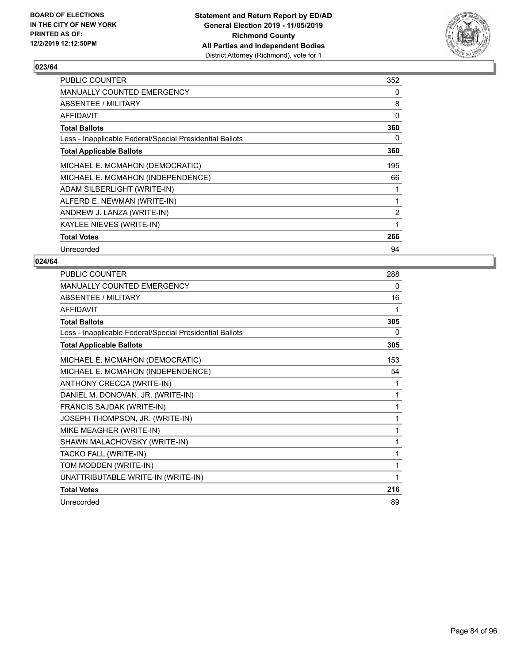

| PUBLIC COUNTER                                           | 352            |
|----------------------------------------------------------|----------------|
| MANUALLY COUNTED EMERGENCY                               | 0              |
| ABSENTEE / MILITARY                                      | 8              |
| AFFIDAVIT                                                | 0              |
| <b>Total Ballots</b>                                     | 360            |
| Less - Inapplicable Federal/Special Presidential Ballots | 0              |
| <b>Total Applicable Ballots</b>                          | 360            |
| MICHAEL E. MCMAHON (DEMOCRATIC)                          | 195            |
| MICHAEL E. MCMAHON (INDEPENDENCE)                        | 66             |
| ADAM SILBERLIGHT (WRITE-IN)                              |                |
| ALFERD E. NEWMAN (WRITE-IN)                              | 1              |
| ANDREW J. LANZA (WRITE-IN)                               | $\overline{2}$ |
| KAYLEE NIEVES (WRITE-IN)                                 | 1              |
| <b>Total Votes</b>                                       | 266            |
| Unrecorded                                               | 94             |

| PUBLIC COUNTER                                           | 288 |
|----------------------------------------------------------|-----|
| <b>MANUALLY COUNTED EMERGENCY</b>                        | 0   |
| ABSENTEE / MILITARY                                      | 16  |
| AFFIDAVIT                                                | 1   |
| <b>Total Ballots</b>                                     | 305 |
| Less - Inapplicable Federal/Special Presidential Ballots | 0   |
| <b>Total Applicable Ballots</b>                          | 305 |
| MICHAEL E. MCMAHON (DEMOCRATIC)                          | 153 |
| MICHAEL E. MCMAHON (INDEPENDENCE)                        | 54  |
| ANTHONY CRECCA (WRITE-IN)                                | 1   |
| DANIEL M. DONOVAN, JR. (WRITE-IN)                        | 1   |
| FRANCIS SAJDAK (WRITE-IN)                                | 1   |
| JOSEPH THOMPSON, JR. (WRITE-IN)                          | 1   |
| MIKE MEAGHER (WRITE-IN)                                  | 1   |
| SHAWN MALACHOVSKY (WRITE-IN)                             | 1   |
| TACKO FALL (WRITE-IN)                                    | 1   |
| TOM MODDEN (WRITE-IN)                                    | 1   |
| UNATTRIBUTABLE WRITE-IN (WRITE-IN)                       |     |
| <b>Total Votes</b>                                       | 216 |
| Unrecorded                                               | 89  |
|                                                          |     |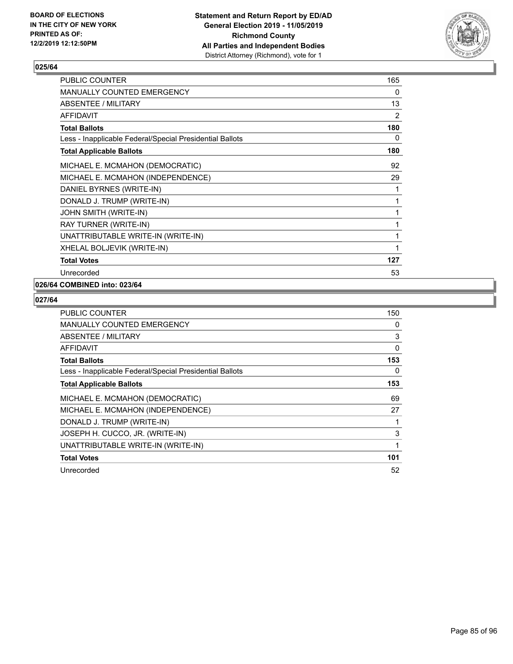

| PUBLIC COUNTER                                           | 165 |
|----------------------------------------------------------|-----|
| <b>MANUALLY COUNTED EMERGENCY</b>                        | 0   |
| ABSENTEE / MILITARY                                      | 13  |
| <b>AFFIDAVIT</b>                                         | 2   |
| <b>Total Ballots</b>                                     | 180 |
| Less - Inapplicable Federal/Special Presidential Ballots | 0   |
| <b>Total Applicable Ballots</b>                          | 180 |
| MICHAEL E. MCMAHON (DEMOCRATIC)                          | 92  |
| MICHAEL E. MCMAHON (INDEPENDENCE)                        | 29  |
| DANIEL BYRNES (WRITE-IN)                                 | 1   |
| DONALD J. TRUMP (WRITE-IN)                               | 1   |
| JOHN SMITH (WRITE-IN)                                    | 1   |
| RAY TURNER (WRITE-IN)                                    | 1   |
| UNATTRIBUTABLE WRITE-IN (WRITE-IN)                       | 1   |
| XHELAL BOLJEVIK (WRITE-IN)                               | 1   |
| <b>Total Votes</b>                                       | 127 |
| Unrecorded                                               | 53  |
|                                                          |     |

# **026/64 COMBINED into: 023/64**

| <b>PUBLIC COUNTER</b>                                    | 150 |
|----------------------------------------------------------|-----|
| <b>MANUALLY COUNTED EMERGENCY</b>                        | 0   |
| <b>ABSENTEE / MILITARY</b>                               | 3   |
| <b>AFFIDAVIT</b>                                         | 0   |
| <b>Total Ballots</b>                                     | 153 |
| Less - Inapplicable Federal/Special Presidential Ballots | 0   |
| <b>Total Applicable Ballots</b>                          | 153 |
| MICHAEL E. MCMAHON (DEMOCRATIC)                          | 69  |
| MICHAEL E. MCMAHON (INDEPENDENCE)                        | 27  |
| DONALD J. TRUMP (WRITE-IN)                               | 1   |
| JOSEPH H. CUCCO, JR. (WRITE-IN)                          | 3   |
| UNATTRIBUTABLE WRITE-IN (WRITE-IN)                       | 1   |
| <b>Total Votes</b>                                       | 101 |
| Unrecorded                                               | 52  |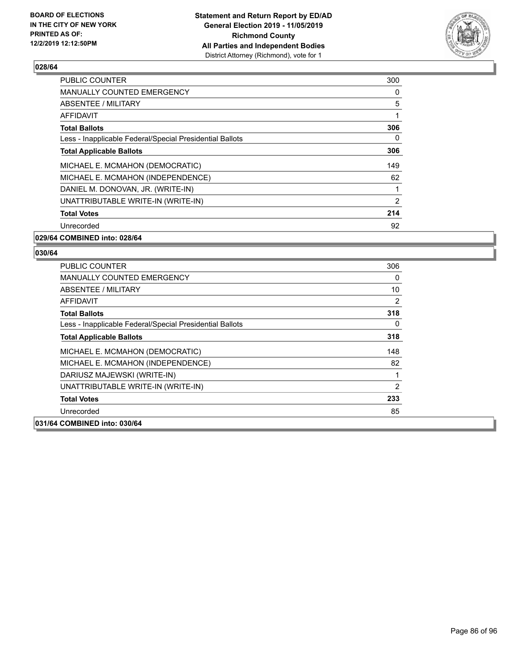

| <b>PUBLIC COUNTER</b>                                    | 300 |
|----------------------------------------------------------|-----|
| <b>MANUALLY COUNTED EMERGENCY</b>                        | 0   |
| ABSENTEE / MILITARY                                      | 5   |
| AFFIDAVIT                                                |     |
| <b>Total Ballots</b>                                     | 306 |
| Less - Inapplicable Federal/Special Presidential Ballots | 0   |
| <b>Total Applicable Ballots</b>                          | 306 |
| MICHAEL E. MCMAHON (DEMOCRATIC)                          | 149 |
| MICHAEL E. MCMAHON (INDEPENDENCE)                        | 62  |
| DANIEL M. DONOVAN, JR. (WRITE-IN)                        |     |
| UNATTRIBUTABLE WRITE-IN (WRITE-IN)                       | 2   |
| <b>Total Votes</b>                                       | 214 |
| Unrecorded                                               | 92  |
| 029/64 COMBINED into: 028/64                             |     |

| × |  |
|---|--|
|   |  |

| <b>PUBLIC COUNTER</b>                                    | 306 |
|----------------------------------------------------------|-----|
| <b>MANUALLY COUNTED EMERGENCY</b>                        | 0   |
| ABSENTEE / MILITARY                                      | 10  |
| <b>AFFIDAVIT</b>                                         | 2   |
| <b>Total Ballots</b>                                     | 318 |
| Less - Inapplicable Federal/Special Presidential Ballots | 0   |
| <b>Total Applicable Ballots</b>                          | 318 |
| MICHAEL E. MCMAHON (DEMOCRATIC)                          | 148 |
| MICHAEL E. MCMAHON (INDEPENDENCE)                        | 82  |
| DARIUSZ MAJEWSKI (WRITE-IN)                              | 1   |
| UNATTRIBUTABLE WRITE-IN (WRITE-IN)                       | 2   |
| <b>Total Votes</b>                                       | 233 |
| Unrecorded                                               | 85  |
| 031/64 COMBINED into: 030/64                             |     |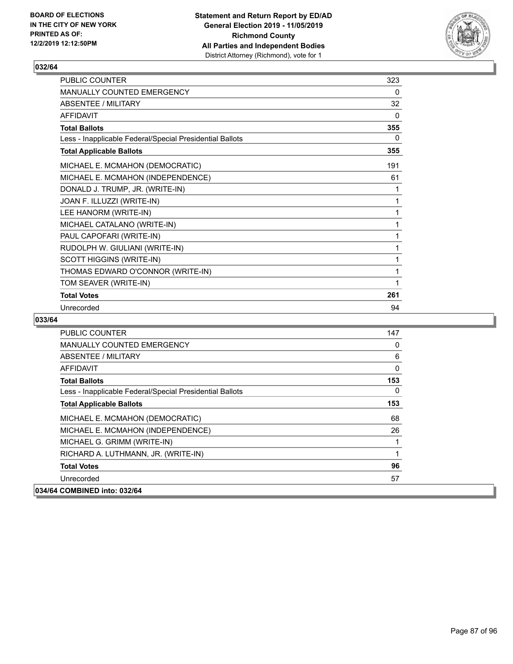

| PUBLIC COUNTER                                           | 323      |
|----------------------------------------------------------|----------|
| <b>MANUALLY COUNTED EMERGENCY</b>                        | $\Omega$ |
| ABSENTEE / MILITARY                                      | 32       |
| <b>AFFIDAVIT</b>                                         | $\Omega$ |
| <b>Total Ballots</b>                                     | 355      |
| Less - Inapplicable Federal/Special Presidential Ballots | 0        |
| <b>Total Applicable Ballots</b>                          | 355      |
| MICHAEL E. MCMAHON (DEMOCRATIC)                          | 191      |
| MICHAEL E. MCMAHON (INDEPENDENCE)                        | 61       |
| DONALD J. TRUMP, JR. (WRITE-IN)                          | 1        |
| JOAN F. ILLUZZI (WRITE-IN)                               | 1        |
| LEE HANORM (WRITE-IN)                                    | 1        |
| MICHAEL CATALANO (WRITE-IN)                              | 1        |
| PAUL CAPOFARI (WRITE-IN)                                 | 1        |
| RUDOLPH W. GIULIANI (WRITE-IN)                           | 1        |
| <b>SCOTT HIGGINS (WRITE-IN)</b>                          | 1        |
| THOMAS EDWARD O'CONNOR (WRITE-IN)                        | 1        |
| TOM SEAVER (WRITE-IN)                                    | 1        |
| <b>Total Votes</b>                                       | 261      |
| Unrecorded                                               | 94       |

| <b>PUBLIC COUNTER</b>                                    | 147      |
|----------------------------------------------------------|----------|
| <b>MANUALLY COUNTED EMERGENCY</b>                        | 0        |
| ABSENTEE / MILITARY                                      | 6        |
| AFFIDAVIT                                                | $\Omega$ |
| <b>Total Ballots</b>                                     | 153      |
| Less - Inapplicable Federal/Special Presidential Ballots | $\Omega$ |
| <b>Total Applicable Ballots</b>                          | 153      |
| MICHAEL E. MCMAHON (DEMOCRATIC)                          | 68       |
| MICHAEL E. MCMAHON (INDEPENDENCE)                        | 26       |
| MICHAEL G. GRIMM (WRITE-IN)                              |          |
| RICHARD A. LUTHMANN, JR. (WRITE-IN)                      | 1        |
| <b>Total Votes</b>                                       | 96       |
| Unrecorded                                               | 57       |
| 034/64 COMBINED into: 032/64                             |          |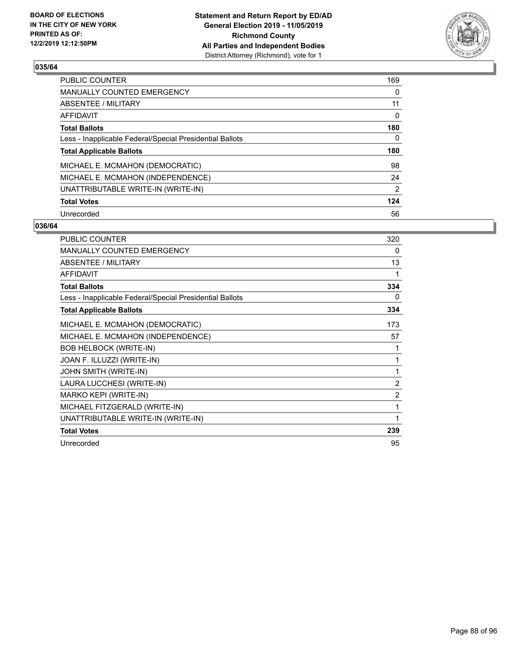

| <b>PUBLIC COUNTER</b>                                    | 169          |
|----------------------------------------------------------|--------------|
| <b>MANUALLY COUNTED EMERGENCY</b>                        | 0            |
| ABSENTEE / MILITARY                                      | 11           |
| <b>AFFIDAVIT</b>                                         | 0            |
| <b>Total Ballots</b>                                     | 180          |
| Less - Inapplicable Federal/Special Presidential Ballots | $\mathbf{0}$ |
| <b>Total Applicable Ballots</b>                          | 180          |
| MICHAEL E. MCMAHON (DEMOCRATIC)                          | 98           |
| MICHAEL E. MCMAHON (INDEPENDENCE)                        | 24           |
| UNATTRIBUTABLE WRITE-IN (WRITE-IN)                       | 2            |
| <b>Total Votes</b>                                       | 124          |
| Unrecorded                                               | 56           |

| <b>PUBLIC COUNTER</b>                                    | 320            |
|----------------------------------------------------------|----------------|
| <b>MANUALLY COUNTED EMERGENCY</b>                        | 0              |
| ABSENTEE / MILITARY                                      | 13             |
| <b>AFFIDAVIT</b>                                         | 1              |
| <b>Total Ballots</b>                                     | 334            |
| Less - Inapplicable Federal/Special Presidential Ballots | 0              |
| <b>Total Applicable Ballots</b>                          | 334            |
| MICHAEL E. MCMAHON (DEMOCRATIC)                          | 173            |
| MICHAEL E. MCMAHON (INDEPENDENCE)                        | 57             |
| <b>BOB HELBOCK (WRITE-IN)</b>                            | 1              |
| JOAN F. ILLUZZI (WRITE-IN)                               | 1              |
| JOHN SMITH (WRITE-IN)                                    | 1              |
| LAURA LUCCHESI (WRITE-IN)                                | $\overline{2}$ |
| MARKO KEPI (WRITE-IN)                                    | $\overline{2}$ |
| MICHAEL FITZGERALD (WRITE-IN)                            | 1              |
| UNATTRIBUTABLE WRITE-IN (WRITE-IN)                       | 1              |
| <b>Total Votes</b>                                       | 239            |
| Unrecorded                                               | 95             |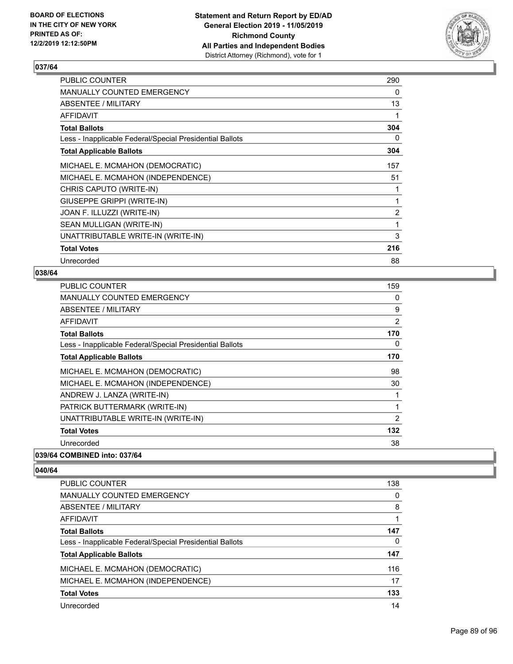

| PUBLIC COUNTER                                           | 290            |
|----------------------------------------------------------|----------------|
| MANUALLY COUNTED EMERGENCY                               | 0              |
| <b>ABSENTEE / MILITARY</b>                               | 13             |
| <b>AFFIDAVIT</b>                                         |                |
| <b>Total Ballots</b>                                     | 304            |
| Less - Inapplicable Federal/Special Presidential Ballots | 0              |
| <b>Total Applicable Ballots</b>                          | 304            |
| MICHAEL E. MCMAHON (DEMOCRATIC)                          | 157            |
| MICHAEL E. MCMAHON (INDEPENDENCE)                        | 51             |
| CHRIS CAPUTO (WRITE-IN)                                  | 1              |
| GIUSEPPE GRIPPI (WRITE-IN)                               | 1              |
| JOAN F. ILLUZZI (WRITE-IN)                               | $\overline{2}$ |
| SEAN MULLIGAN (WRITE-IN)                                 | 1              |
| UNATTRIBUTABLE WRITE-IN (WRITE-IN)                       | 3              |
| <b>Total Votes</b>                                       | 216            |
| Unrecorded                                               | 88             |

#### **038/64**

| <b>PUBLIC COUNTER</b>                                    | 159            |
|----------------------------------------------------------|----------------|
| <b>MANUALLY COUNTED EMERGENCY</b>                        | 0              |
| <b>ABSENTEE / MILITARY</b>                               | 9              |
| <b>AFFIDAVIT</b>                                         | 2              |
| <b>Total Ballots</b>                                     | 170            |
| Less - Inapplicable Federal/Special Presidential Ballots | 0              |
| <b>Total Applicable Ballots</b>                          | 170            |
| MICHAEL E. MCMAHON (DEMOCRATIC)                          | 98             |
| MICHAEL E. MCMAHON (INDEPENDENCE)                        | 30             |
| ANDREW J. LANZA (WRITE-IN)                               | 1              |
| PATRICK BUTTERMARK (WRITE-IN)                            | 1              |
| UNATTRIBUTABLE WRITE-IN (WRITE-IN)                       | $\overline{2}$ |
| <b>Total Votes</b>                                       | 132            |
| Unrecorded                                               | 38             |
| 039/64 COMBINED into: 037/64                             |                |

| <b>PUBLIC COUNTER</b>                                    | 138 |
|----------------------------------------------------------|-----|
| <b>MANUALLY COUNTED EMERGENCY</b>                        | 0   |
| ABSENTEE / MILITARY                                      | 8   |
| AFFIDAVIT                                                |     |
| <b>Total Ballots</b>                                     | 147 |
| Less - Inapplicable Federal/Special Presidential Ballots | 0   |
| <b>Total Applicable Ballots</b>                          | 147 |
| MICHAEL E. MCMAHON (DEMOCRATIC)                          | 116 |
| MICHAEL E. MCMAHON (INDEPENDENCE)                        | 17  |
| <b>Total Votes</b>                                       | 133 |
| Unrecorded                                               | 14  |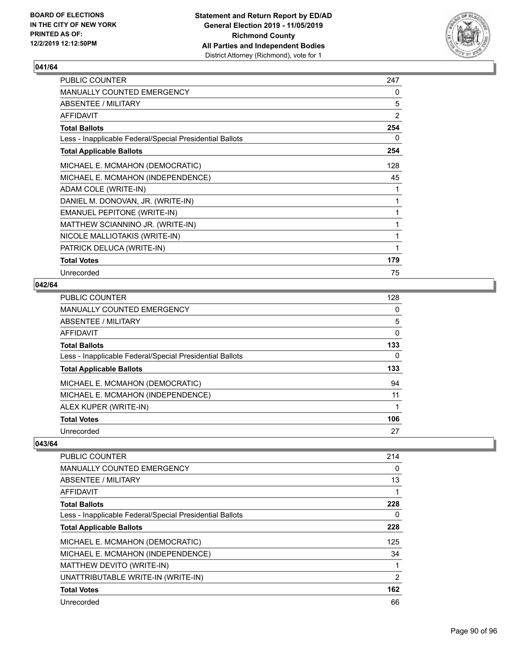

| PUBLIC COUNTER                                           | 247 |
|----------------------------------------------------------|-----|
| <b>MANUALLY COUNTED EMERGENCY</b>                        | 0   |
| ABSENTEE / MILITARY                                      | 5   |
| AFFIDAVIT                                                | 2   |
| <b>Total Ballots</b>                                     | 254 |
| Less - Inapplicable Federal/Special Presidential Ballots | 0   |
| <b>Total Applicable Ballots</b>                          | 254 |
| MICHAEL E. MCMAHON (DEMOCRATIC)                          | 128 |
| MICHAEL E. MCMAHON (INDEPENDENCE)                        | 45  |
| ADAM COLE (WRITE-IN)                                     | 1   |
| DANIEL M. DONOVAN, JR. (WRITE-IN)                        | 1   |
| <b>EMANUEL PEPITONE (WRITE-IN)</b>                       | 1   |
| MATTHEW SCIANNINO JR. (WRITE-IN)                         | 1   |
| NICOLE MALLIOTAKIS (WRITE-IN)                            | 1   |
| PATRICK DELUCA (WRITE-IN)                                | 1   |
| <b>Total Votes</b>                                       | 179 |
| Unrecorded                                               | 75  |

#### **042/64**

| PUBLIC COUNTER                                           | 128 |
|----------------------------------------------------------|-----|
| <b>MANUALLY COUNTED EMERGENCY</b>                        | 0   |
| ABSENTEE / MILITARY                                      | 5   |
| AFFIDAVIT                                                | 0   |
| <b>Total Ballots</b>                                     | 133 |
| Less - Inapplicable Federal/Special Presidential Ballots | 0   |
| <b>Total Applicable Ballots</b>                          | 133 |
| MICHAEL E. MCMAHON (DEMOCRATIC)                          | 94  |
| MICHAEL E. MCMAHON (INDEPENDENCE)                        | 11  |
| ALEX KUPER (WRITE-IN)                                    |     |
| <b>Total Votes</b>                                       | 106 |
| Unrecorded                                               | 27  |

| <b>PUBLIC COUNTER</b>                                    | 214           |
|----------------------------------------------------------|---------------|
| <b>MANUALLY COUNTED EMERGENCY</b>                        | 0             |
| ABSENTEE / MILITARY                                      | 13            |
| AFFIDAVIT                                                |               |
| <b>Total Ballots</b>                                     | 228           |
| Less - Inapplicable Federal/Special Presidential Ballots | 0             |
| <b>Total Applicable Ballots</b>                          | 228           |
| MICHAEL E. MCMAHON (DEMOCRATIC)                          | 125           |
| MICHAEL E. MCMAHON (INDEPENDENCE)                        | 34            |
| MATTHEW DEVITO (WRITE-IN)                                |               |
| UNATTRIBUTABLE WRITE-IN (WRITE-IN)                       | $\mathcal{P}$ |
| <b>Total Votes</b>                                       | 162           |
| Unrecorded                                               | 66            |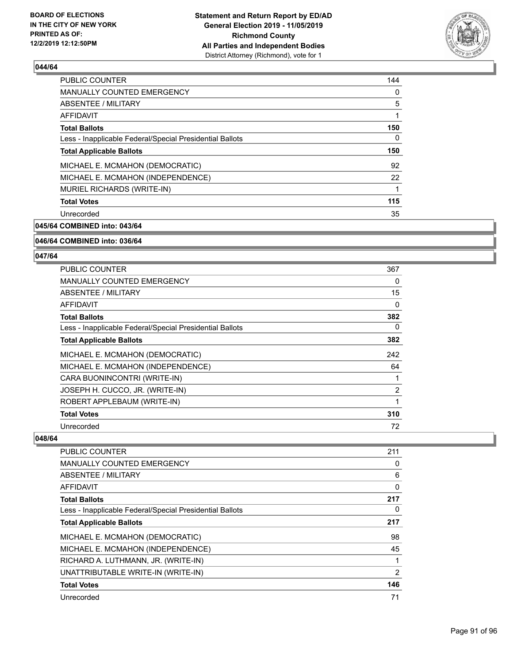

| <b>PUBLIC COUNTER</b>                                    | 144 |
|----------------------------------------------------------|-----|
| MANUALLY COUNTED EMERGENCY                               | 0   |
| ABSENTEE / MILITARY                                      | 5   |
| AFFIDAVIT                                                | 1   |
| <b>Total Ballots</b>                                     | 150 |
| Less - Inapplicable Federal/Special Presidential Ballots | 0   |
| <b>Total Applicable Ballots</b>                          | 150 |
| MICHAEL E. MCMAHON (DEMOCRATIC)                          | 92  |
| MICHAEL E. MCMAHON (INDEPENDENCE)                        | 22  |
| MURIEL RICHARDS (WRITE-IN)                               | 1   |
| <b>Total Votes</b>                                       | 115 |
| Unrecorded                                               | 35  |
|                                                          |     |

**045/64 COMBINED into: 043/64**

#### **046/64 COMBINED into: 036/64**

#### **047/64**

| <b>PUBLIC COUNTER</b>                                    | 367            |
|----------------------------------------------------------|----------------|
| <b>MANUALLY COUNTED EMERGENCY</b>                        | 0              |
| ABSENTEE / MILITARY                                      | 15             |
| <b>AFFIDAVIT</b>                                         | 0              |
| <b>Total Ballots</b>                                     | 382            |
| Less - Inapplicable Federal/Special Presidential Ballots | 0              |
| <b>Total Applicable Ballots</b>                          | 382            |
| MICHAEL E. MCMAHON (DEMOCRATIC)                          | 242            |
| MICHAEL E. MCMAHON (INDEPENDENCE)                        | 64             |
| CARA BUONINCONTRI (WRITE-IN)                             |                |
| JOSEPH H. CUCCO, JR. (WRITE-IN)                          | $\overline{2}$ |
| ROBERT APPLEBAUM (WRITE-IN)                              |                |
| <b>Total Votes</b>                                       | 310            |
| Unrecorded                                               | 72             |

| <b>PUBLIC COUNTER</b>                                    | 211 |
|----------------------------------------------------------|-----|
| <b>MANUALLY COUNTED EMERGENCY</b>                        | 0   |
| ABSENTEE / MILITARY                                      | 6   |
| AFFIDAVIT                                                | 0   |
| <b>Total Ballots</b>                                     | 217 |
| Less - Inapplicable Federal/Special Presidential Ballots | 0   |
| <b>Total Applicable Ballots</b>                          | 217 |
| MICHAEL E. MCMAHON (DEMOCRATIC)                          | 98  |
| MICHAEL E. MCMAHON (INDEPENDENCE)                        | 45  |
| RICHARD A. LUTHMANN, JR. (WRITE-IN)                      |     |
| UNATTRIBUTABLE WRITE-IN (WRITE-IN)                       | 2   |
| <b>Total Votes</b>                                       | 146 |
| Unrecorded                                               | 71  |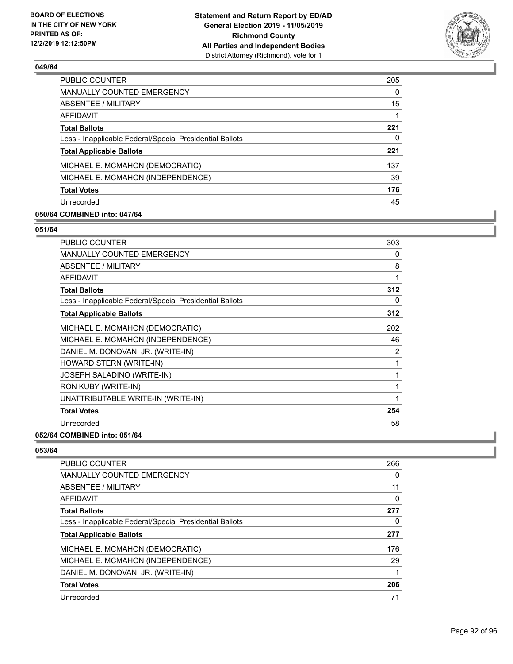

| <b>PUBLIC COUNTER</b>                                    | 205      |
|----------------------------------------------------------|----------|
| <b>MANUALLY COUNTED EMERGENCY</b>                        | $\Omega$ |
| ABSENTEE / MILITARY                                      | 15       |
| <b>AFFIDAVIT</b>                                         |          |
| <b>Total Ballots</b>                                     | 221      |
| Less - Inapplicable Federal/Special Presidential Ballots | 0        |
| <b>Total Applicable Ballots</b>                          | 221      |
| MICHAEL E. MCMAHON (DEMOCRATIC)                          | 137      |
| MICHAEL E. MCMAHON (INDEPENDENCE)                        | 39       |
| <b>Total Votes</b>                                       | 176      |
| Unrecorded                                               | 45       |
|                                                          |          |

#### **050/64 COMBINED into: 047/64**

#### **051/64**

| <b>PUBLIC COUNTER</b>                                    | 303            |
|----------------------------------------------------------|----------------|
| <b>MANUALLY COUNTED EMERGENCY</b>                        | 0              |
| <b>ABSENTEE / MILITARY</b>                               | 8              |
| <b>AFFIDAVIT</b>                                         | 1              |
| <b>Total Ballots</b>                                     | 312            |
| Less - Inapplicable Federal/Special Presidential Ballots | 0              |
| <b>Total Applicable Ballots</b>                          | 312            |
| MICHAEL E. MCMAHON (DEMOCRATIC)                          | 202            |
| MICHAEL E. MCMAHON (INDEPENDENCE)                        | 46             |
| DANIEL M. DONOVAN, JR. (WRITE-IN)                        | $\overline{2}$ |
| HOWARD STERN (WRITE-IN)                                  | 1              |
| JOSEPH SALADINO (WRITE-IN)                               | 1              |
| RON KUBY (WRITE-IN)                                      | 1              |
| UNATTRIBUTABLE WRITE-IN (WRITE-IN)                       | 1              |
| <b>Total Votes</b>                                       | 254            |
| Unrecorded                                               | 58             |
| 052/64 COMBINED into: 051/64                             |                |

| 266 |
|-----|
| 0   |
| 11  |
| 0   |
| 277 |
| 0   |
| 277 |
| 176 |
| 29  |
| 1   |
| 206 |
|     |
|     |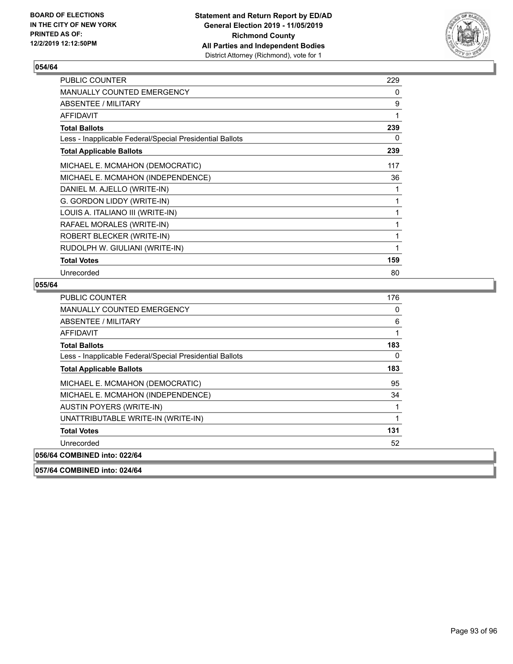

| <b>PUBLIC COUNTER</b>                                    | 229 |
|----------------------------------------------------------|-----|
| <b>MANUALLY COUNTED EMERGENCY</b>                        | 0   |
| <b>ABSENTEE / MILITARY</b>                               | 9   |
| AFFIDAVIT                                                | 1   |
| <b>Total Ballots</b>                                     | 239 |
| Less - Inapplicable Federal/Special Presidential Ballots | 0   |
| <b>Total Applicable Ballots</b>                          | 239 |
| MICHAEL E. MCMAHON (DEMOCRATIC)                          | 117 |
| MICHAEL E. MCMAHON (INDEPENDENCE)                        | 36  |
| DANIEL M. AJELLO (WRITE-IN)                              | 1   |
| G. GORDON LIDDY (WRITE-IN)                               | 1   |
| LOUIS A. ITALIANO III (WRITE-IN)                         | 1   |
| RAFAEL MORALES (WRITE-IN)                                | 1   |
| ROBERT BLECKER (WRITE-IN)                                | 1   |
| RUDOLPH W. GIULIANI (WRITE-IN)                           | 1   |
| <b>Total Votes</b>                                       | 159 |
| Unrecorded                                               | 80  |

| PUBLIC COUNTER                                           | 176 |
|----------------------------------------------------------|-----|
| <b>MANUALLY COUNTED EMERGENCY</b>                        | 0   |
| ABSENTEE / MILITARY                                      | 6   |
| AFFIDAVIT                                                | 1   |
| <b>Total Ballots</b>                                     | 183 |
| Less - Inapplicable Federal/Special Presidential Ballots | 0   |
| <b>Total Applicable Ballots</b>                          | 183 |
| MICHAEL E. MCMAHON (DEMOCRATIC)                          | 95  |
| MICHAEL E. MCMAHON (INDEPENDENCE)                        | 34  |
| AUSTIN POYERS (WRITE-IN)                                 |     |
| UNATTRIBUTABLE WRITE-IN (WRITE-IN)                       | 1   |
| <b>Total Votes</b>                                       | 131 |
| Unrecorded                                               | 52  |
| 056/64 COMBINED into: 022/64                             |     |
| 057/64 COMBINED into: 024/64                             |     |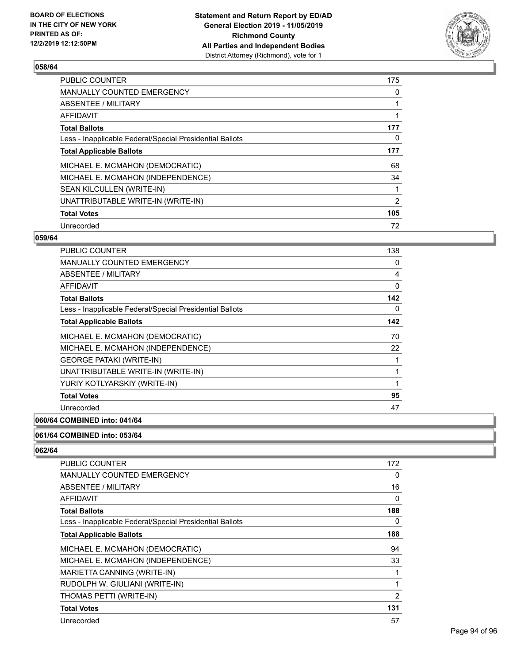

| <b>PUBLIC COUNTER</b>                                    | 175            |
|----------------------------------------------------------|----------------|
| <b>MANUALLY COUNTED EMERGENCY</b>                        | 0              |
| ABSENTEE / MILITARY                                      |                |
| AFFIDAVIT                                                |                |
| <b>Total Ballots</b>                                     | 177            |
| Less - Inapplicable Federal/Special Presidential Ballots | 0              |
| <b>Total Applicable Ballots</b>                          | 177            |
| MICHAEL E. MCMAHON (DEMOCRATIC)                          | 68             |
| MICHAEL E. MCMAHON (INDEPENDENCE)                        | 34             |
| SEAN KILCULLEN (WRITE-IN)                                |                |
| UNATTRIBUTABLE WRITE-IN (WRITE-IN)                       | $\overline{2}$ |
| <b>Total Votes</b>                                       | 105            |
| Unrecorded                                               | 72             |

#### **059/64**

| 138 |
|-----|
| 0   |
| 4   |
| 0   |
| 142 |
| 0   |
| 142 |
| 70  |
| 22  |
| 1   |
| 1   |
| 1   |
| 95  |
| 47  |
|     |

# **060/64 COMBINED into: 041/64**

#### **061/64 COMBINED into: 053/64**

| <b>PUBLIC COUNTER</b>                                    | 172            |
|----------------------------------------------------------|----------------|
| <b>MANUALLY COUNTED EMERGENCY</b>                        | 0              |
| <b>ABSENTEE / MILITARY</b>                               | 16             |
| AFFIDAVIT                                                | 0              |
| <b>Total Ballots</b>                                     | 188            |
| Less - Inapplicable Federal/Special Presidential Ballots | 0              |
| <b>Total Applicable Ballots</b>                          | 188            |
| MICHAEL E. MCMAHON (DEMOCRATIC)                          | 94             |
| MICHAEL E. MCMAHON (INDEPENDENCE)                        | 33             |
| MARIETTA CANNING (WRITE-IN)                              | 1              |
| RUDOLPH W. GIULIANI (WRITE-IN)                           | 1              |
| THOMAS PETTI (WRITE-IN)                                  | $\overline{2}$ |
| <b>Total Votes</b>                                       | 131            |
| Unrecorded                                               | 57             |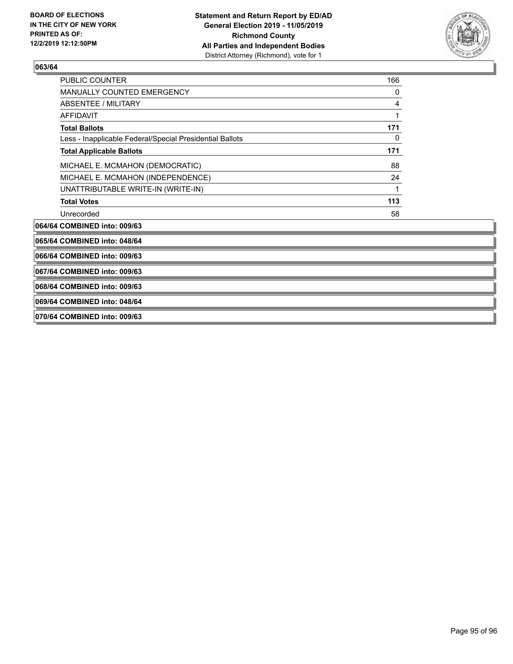

| <b>PUBLIC COUNTER</b>                                    | 166          |
|----------------------------------------------------------|--------------|
| <b>MANUALLY COUNTED EMERGENCY</b>                        | 0            |
| <b>ABSENTEE / MILITARY</b>                               | 4            |
| AFFIDAVIT                                                |              |
| <b>Total Ballots</b>                                     | 171          |
| Less - Inapplicable Federal/Special Presidential Ballots | $\mathbf{0}$ |
| <b>Total Applicable Ballots</b>                          | 171          |
| MICHAEL E. MCMAHON (DEMOCRATIC)                          | 88           |
| MICHAEL E. MCMAHON (INDEPENDENCE)                        | 24           |
| UNATTRIBUTABLE WRITE-IN (WRITE-IN)                       | 1            |
| <b>Total Votes</b>                                       | 113          |
| Unrecorded                                               | 58           |
| 064/64 COMBINED into: 009/63                             |              |
| 065/64 COMBINED into: 048/64                             |              |
| 066/64 COMBINED into: 009/63                             |              |
| 067/64 COMBINED into: 009/63                             |              |
| 068/64 COMBINED into: 009/63                             |              |
| 069/64 COMBINED into: 048/64                             |              |
| 070/64 COMBINED into: 009/63                             |              |